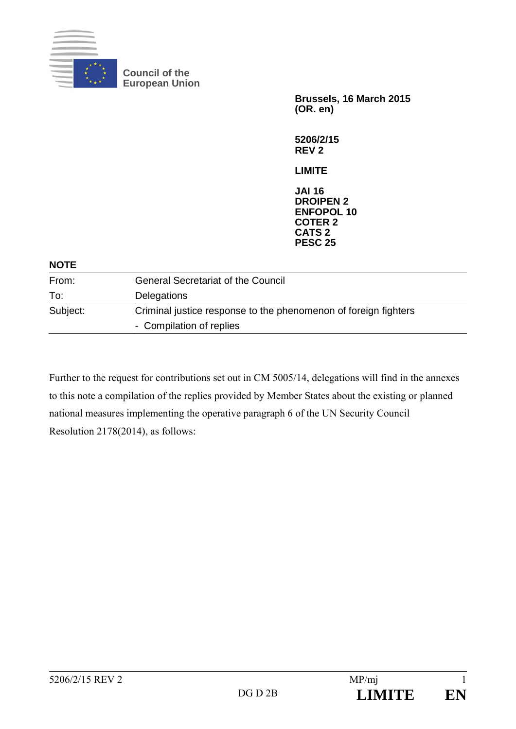

**Council of the European Union** 

> **Brussels, 16 March 2015 (OR. en)**

**5206/2/15 REV 2** 

**LIMITE** 

**JAI 16 DROIPEN 2 ENFOPOL 10 COTER 2 CATS 2 PESC 25**

#### **NOTE**

| From:    | <b>General Secretariat of the Council</b>                                                   |  |
|----------|---------------------------------------------------------------------------------------------|--|
| To:      | <b>Delegations</b>                                                                          |  |
| Subject: | Criminal justice response to the phenomenon of foreign fighters<br>- Compilation of replies |  |

Further to the request for contributions set out in CM 5005/14, delegations will find in the annexes to this note a compilation of the replies provided by Member States about the existing or planned national measures implementing the operative paragraph 6 of the UN Security Council Resolution 2178(2014), as follows: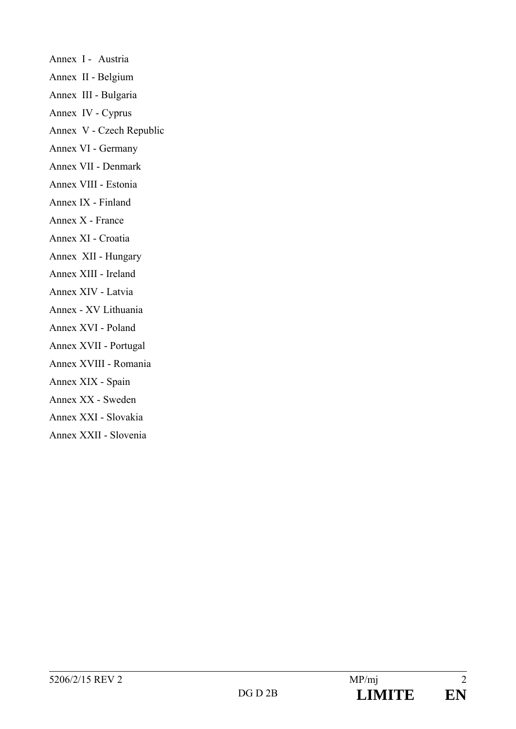Annex I - Austria Annex II - Belgium Annex III - Bulgaria Annex IV - Cyprus Annex V - Czech Republic Annex VI - Germany Annex VII - Denmark Annex VIII - Estonia Annex IX - Finland Annex X - France Annex XI - Croatia Annex XII - Hungary Annex XIII - Ireland Annex XIV - Latvia Annex - XV Lithuania Annex XVI - Poland Annex XVII - Portugal Annex XVIII - Romania Annex XIX - Spain Annex XX - Sweden Annex XXI - Slovakia Annex XXII - Slovenia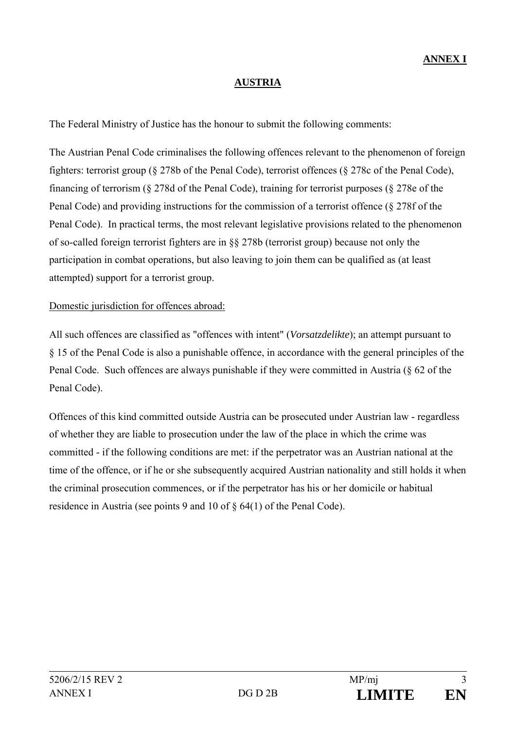### **AUSTRIA**

The Federal Ministry of Justice has the honour to submit the following comments:

The Austrian Penal Code criminalises the following offences relevant to the phenomenon of foreign fighters: terrorist group (§ 278b of the Penal Code), terrorist offences (§ 278c of the Penal Code), financing of terrorism (§ 278d of the Penal Code), training for terrorist purposes (§ 278e of the Penal Code) and providing instructions for the commission of a terrorist offence (§ 278f of the Penal Code). In practical terms, the most relevant legislative provisions related to the phenomenon of so-called foreign terrorist fighters are in §§ 278b (terrorist group) because not only the participation in combat operations, but also leaving to join them can be qualified as (at least attempted) support for a terrorist group.

### Domestic jurisdiction for offences abroad:

All such offences are classified as "offences with intent" (*Vorsatzdelikte*); an attempt pursuant to § 15 of the Penal Code is also a punishable offence, in accordance with the general principles of the Penal Code. Such offences are always punishable if they were committed in Austria (§ 62 of the Penal Code).

Offences of this kind committed outside Austria can be prosecuted under Austrian law - regardless of whether they are liable to prosecution under the law of the place in which the crime was committed - if the following conditions are met: if the perpetrator was an Austrian national at the time of the offence, or if he or she subsequently acquired Austrian nationality and still holds it when the criminal prosecution commences, or if the perpetrator has his or her domicile or habitual residence in Austria (see points 9 and 10 of § 64(1) of the Penal Code).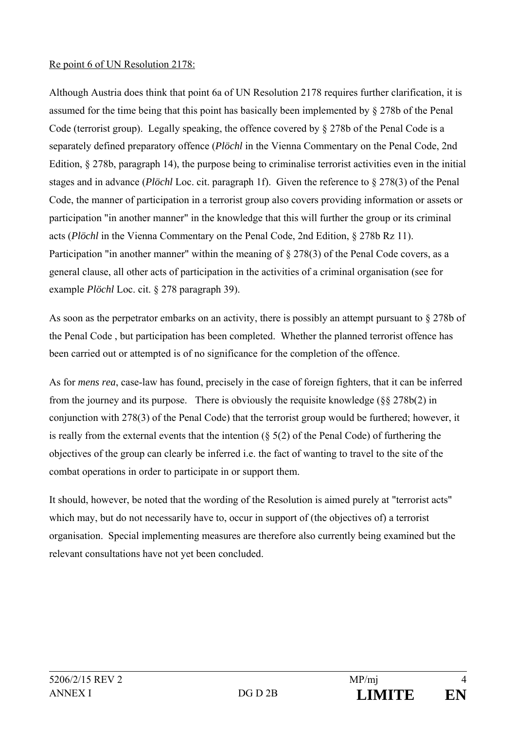### Re point 6 of UN Resolution 2178:

Although Austria does think that point 6a of UN Resolution 2178 requires further clarification, it is assumed for the time being that this point has basically been implemented by § 278b of the Penal Code (terrorist group). Legally speaking, the offence covered by § 278b of the Penal Code is a separately defined preparatory offence (*Plöchl* in the Vienna Commentary on the Penal Code, 2nd Edition, § 278b, paragraph 14), the purpose being to criminalise terrorist activities even in the initial stages and in advance (*Plöchl* Loc. cit. paragraph 1f). Given the reference to § 278(3) of the Penal Code, the manner of participation in a terrorist group also covers providing information or assets or participation "in another manner" in the knowledge that this will further the group or its criminal acts (*Plöchl* in the Vienna Commentary on the Penal Code, 2nd Edition, § 278b Rz 11). Participation "in another manner" within the meaning of § 278(3) of the Penal Code covers, as a general clause, all other acts of participation in the activities of a criminal organisation (see for example *Plöchl* Loc. cit. § 278 paragraph 39).

As soon as the perpetrator embarks on an activity, there is possibly an attempt pursuant to § 278b of the Penal Code , but participation has been completed. Whether the planned terrorist offence has been carried out or attempted is of no significance for the completion of the offence.

As for *mens rea*, case-law has found, precisely in the case of foreign fighters, that it can be inferred from the journey and its purpose. There is obviously the requisite knowledge  $(\frac{8}{5} \times 278b(2))$  in conjunction with 278(3) of the Penal Code) that the terrorist group would be furthered; however, it is really from the external events that the intention  $(\S 5(2)$  of the Penal Code) of furthering the objectives of the group can clearly be inferred i.e. the fact of wanting to travel to the site of the combat operations in order to participate in or support them.

It should, however, be noted that the wording of the Resolution is aimed purely at "terrorist acts" which may, but do not necessarily have to, occur in support of (the objectives of) a terrorist organisation. Special implementing measures are therefore also currently being examined but the relevant consultations have not yet been concluded.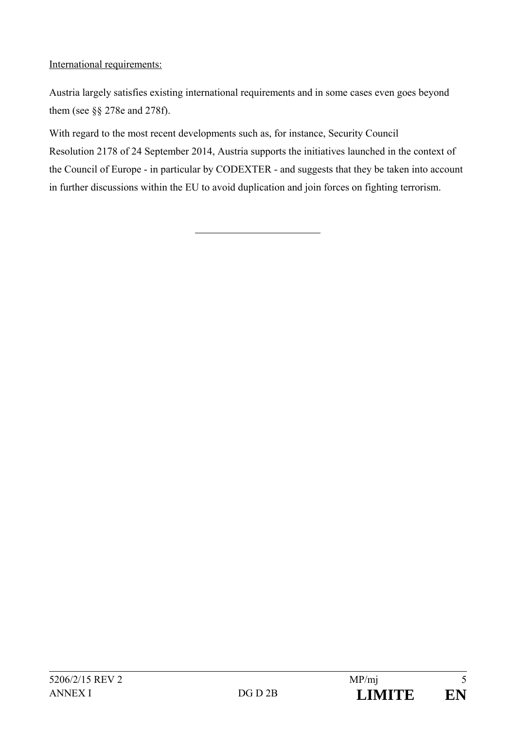# International requirements:

Austria largely satisfies existing international requirements and in some cases even goes beyond them (see §§ 278e and 278f).

With regard to the most recent developments such as, for instance, Security Council Resolution 2178 of 24 September 2014, Austria supports the initiatives launched in the context of the Council of Europe - in particular by CODEXTER - and suggests that they be taken into account in further discussions within the EU to avoid duplication and join forces on fighting terrorism.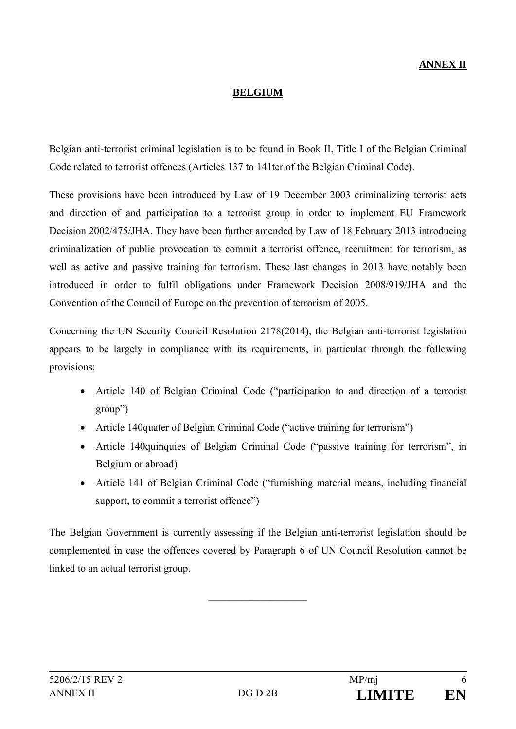# **ANNEX II**

### **BELGIUM**

Belgian anti-terrorist criminal legislation is to be found in Book II, Title I of the Belgian Criminal Code related to terrorist offences (Articles 137 to 141ter of the Belgian Criminal Code).

These provisions have been introduced by Law of 19 December 2003 criminalizing terrorist acts and direction of and participation to a terrorist group in order to implement EU Framework Decision 2002/475/JHA. They have been further amended by Law of 18 February 2013 introducing criminalization of public provocation to commit a terrorist offence, recruitment for terrorism, as well as active and passive training for terrorism. These last changes in 2013 have notably been introduced in order to fulfil obligations under Framework Decision 2008/919/JHA and the Convention of the Council of Europe on the prevention of terrorism of 2005.

Concerning the UN Security Council Resolution 2178(2014), the Belgian anti-terrorist legislation appears to be largely in compliance with its requirements, in particular through the following provisions:

- Article 140 of Belgian Criminal Code ("participation to and direction of a terrorist group")
- Article 140quater of Belgian Criminal Code ("active training for terrorism")
- Article 140quinquies of Belgian Criminal Code ("passive training for terrorism", in Belgium or abroad)
- Article 141 of Belgian Criminal Code ("furnishing material means, including financial support, to commit a terrorist offence")

The Belgian Government is currently assessing if the Belgian anti-terrorist legislation should be complemented in case the offences covered by Paragraph 6 of UN Council Resolution cannot be linked to an actual terrorist group.

**\_\_\_\_\_\_\_\_\_\_\_\_\_\_\_\_\_\_\_**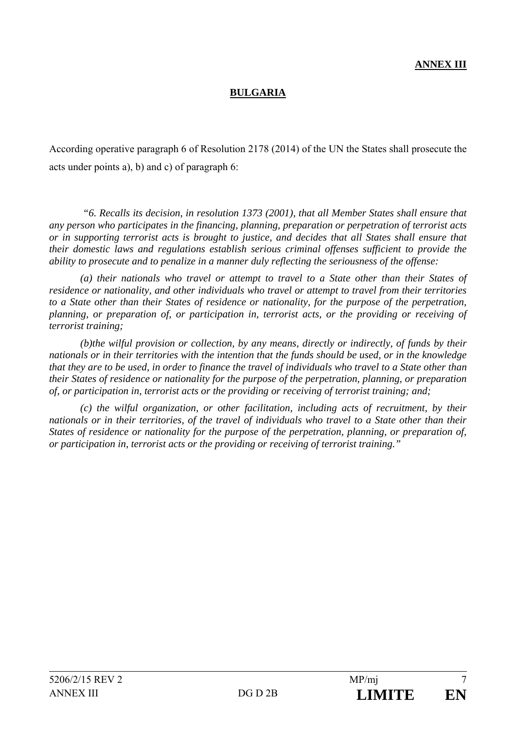# **BULGARIA**

According operative paragraph 6 of Resolution 2178 (2014) of the UN the States shall prosecute the acts under points a), b) and c) of paragraph 6:

 *"6. Recalls its decision, in resolution 1373 (2001), that all Member States shall ensure that any person who participates in the financing, planning, preparation or perpetration of terrorist acts or in supporting terrorist acts is brought to justice, and decides that all States shall ensure that their domestic laws and regulations establish serious criminal offenses sufficient to provide the ability to prosecute and to penalize in a manner duly reflecting the seriousness of the offense:* 

*(a) their nationals who travel or attempt to travel to a State other than their States of residence or nationality, and other individuals who travel or attempt to travel from their territories to a State other than their States of residence or nationality, for the purpose of the perpetration, planning, or preparation of, or participation in, terrorist acts, or the providing or receiving of terrorist training;* 

*(b)the wilful provision or collection, by any means, directly or indirectly, of funds by their nationals or in their territories with the intention that the funds should be used, or in the knowledge that they are to be used, in order to finance the travel of individuals who travel to a State other than their States of residence or nationality for the purpose of the perpetration, planning, or preparation of, or participation in, terrorist acts or the providing or receiving of terrorist training; and;* 

*(c) the wilful organization, or other facilitation, including acts of recruitment, by their nationals or in their territories, of the travel of individuals who travel to a State other than their States of residence or nationality for the purpose of the perpetration, planning, or preparation of, or participation in, terrorist acts or the providing or receiving of terrorist training."*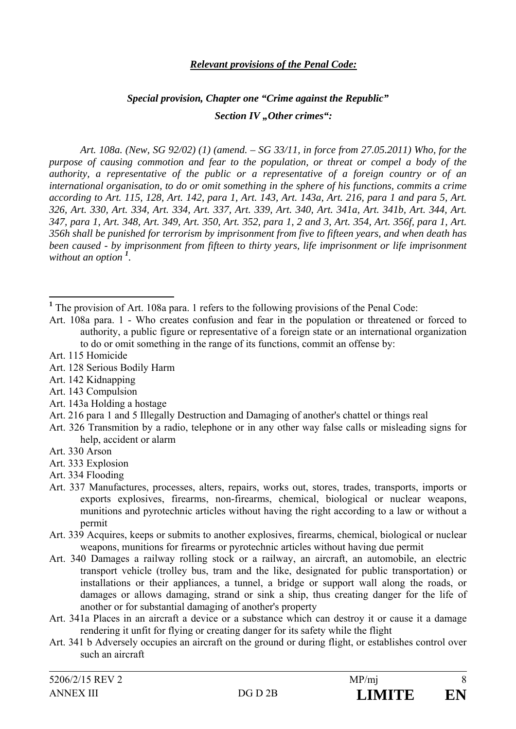### *Relevant provisions of the Penal Code:*

# *Special provision, Chapter one "Crime against the Republic" Section IV* "Other crimes":

*Art. 108a. (New, SG 92/02) (1) (amend. – SG 33/11, in force from 27.05.2011) Who, for the purpose of causing commotion and fear to the population, or threat or compel a body of the authority, a representative of the public or a representative of a foreign country or of an international organisation, to do or omit something in the sphere of his functions, commits a crime according to Art. 115, 128, Art. 142, para 1, Art. 143, Art. 143a, Art. 216, para 1 and para 5, Art. 326, Art. 330, Art. 334, Art. 334, Art. 337, Art. 339, Art. 340, Art. 341a, Art. 341b, Art. 344, Art. 347, para 1, Art. 348, Art. 349, Art. 350, Art. 352, para 1, 2 and 3, Art. 354, Art. 356f, para 1, Art. 356h shall be punished for terrorism by imprisonment from five to fifteen years, and when death has been caused - by imprisonment from fifteen to thirty years, life imprisonment or life imprisonment without an option <sup>1</sup> .* 

 $\overline{a}$ 

- Art. 142 Kidnapping
- Art. 143 Compulsion
- Art. 143a Holding a hostage
- Art. 216 para 1 and 5 Illegally Destruction and Damaging of another's chattel or things real
- Art. 326 Transmition by a radio, telephone or in any other way false calls or misleading signs for help, accident or alarm
- Art. 330 Arson
- Art. 333 Explosion
- Art. 334 Flooding
- Art. 337 Manufactures, processes, alters, repairs, works out, stores, trades, transports, imports or exports explosives, firearms, non-firearms, chemical, biological or nuclear weapons, munitions and pyrotechnic articles without having the right according to a law or without a permit
- Art. 339 Acquires, keeps or submits to another explosives, firearms, chemical, biological or nuclear weapons, munitions for firearms or pyrotechnic articles without having due permit
- Art. 340 Damages a railway rolling stock or a railway, an aircraft, an automobile, an electric transport vehicle (trolley bus, tram and the like, designated for public transportation) or installations or their appliances, a tunnel, a bridge or support wall along the roads, or damages or allows damaging, strand or sink a ship, thus creating danger for the life of another or for substantial damaging of another's property
- Art. 341a Places in an aircraft a device or a substance which can destroy it or cause it a damage rendering it unfit for flying or creating danger for its safety while the flight
- Art. 341 b Adversely occupies an aircraft on the ground or during flight, or establishes control over such an aircraft

<sup>&</sup>lt;sup>1</sup> The provision of Art. 108a para. 1 refers to the following provisions of the Penal Code:

Art. 108a para. 1 - Who creates confusion and fear in the population or threatened or forced to authority, a public figure or representative of a foreign state or an international organization to do or omit something in the range of its functions, commit an offense by:

Art. 115 Homicide

Art. 128 Serious Bodily Harm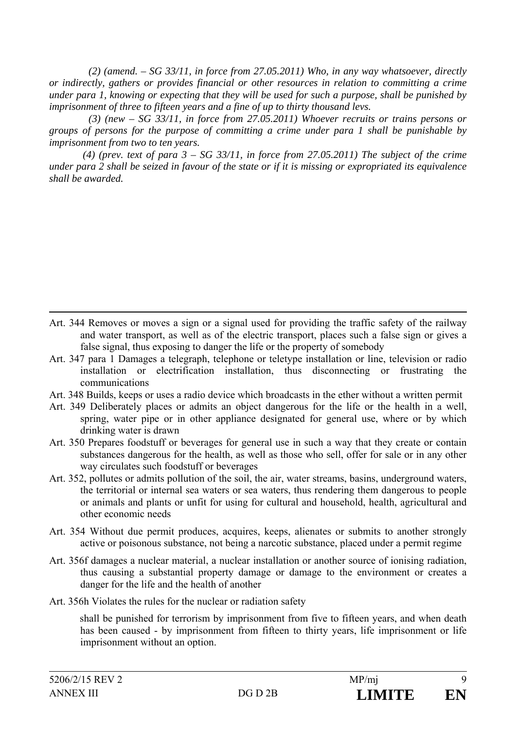*(2) (amend. – SG 33/11, in force from 27.05.2011) Who, in any way whatsoever, directly or indirectly, gathers or provides financial or other resources in relation to committing a crime under para 1, knowing or expecting that they will be used for such a purpose, shall be punished by imprisonment of three to fifteen years and a fine of up to thirty thousand levs.* 

 *(3) (new – SG 33/11, in force from 27.05.2011) Whoever recruits or trains persons or groups of persons for the purpose of committing a crime under para 1 shall be punishable by imprisonment from two to ten years.* 

 *(4) (prev. text of para 3 – SG 33/11, in force from 27.05.2011) The subject of the crime under para 2 shall be seized in favour of the state or if it is missing or expropriated its equivalence shall be awarded.* 

- Art. 344 Removes or moves a sign or a signal used for providing the traffic safety of the railway and water transport, as well as of the electric transport, places such a false sign or gives a false signal, thus exposing to danger the life or the property of somebody
- Art. 347 para 1 Damages a telegraph, telephone or teletype installation or line, television or radio installation or electrification installation, thus disconnecting or frustrating the communications
- Art. 348 Builds, keeps or uses a radio device which broadcasts in the ether without a written permit
- Art. 349 Deliberately places or admits an object dangerous for the life or the health in a well, spring, water pipe or in other appliance designated for general use, where or by which drinking water is drawn
- Art. 350 Prepares foodstuff or beverages for general use in such a way that they create or contain substances dangerous for the health, as well as those who sell, offer for sale or in any other way circulates such foodstuff or beverages
- Art. 352, pollutes or admits pollution of the soil, the air, water streams, basins, underground waters, the territorial or internal sea waters or sea waters, thus rendering them dangerous to people or animals and plants or unfit for using for cultural and household, health, agricultural and other economic needs
- Art. 354 Without due permit produces, acquires, keeps, alienates or submits to another strongly active or poisonous substance, not being a narcotic substance, placed under a permit regime
- Art. 356f damages a nuclear material, a nuclear installation or another source of ionising radiation, thus causing a substantial property damage or damage to the environment or creates a danger for the life and the health of another
- Art. 356h Violates the rules for the nuclear or radiation safety

shall be punished for terrorism by imprisonment from five to fifteen years, and when death has been caused - by imprisonment from fifteen to thirty years, life imprisonment or life imprisonment without an option.

 $\overline{a}$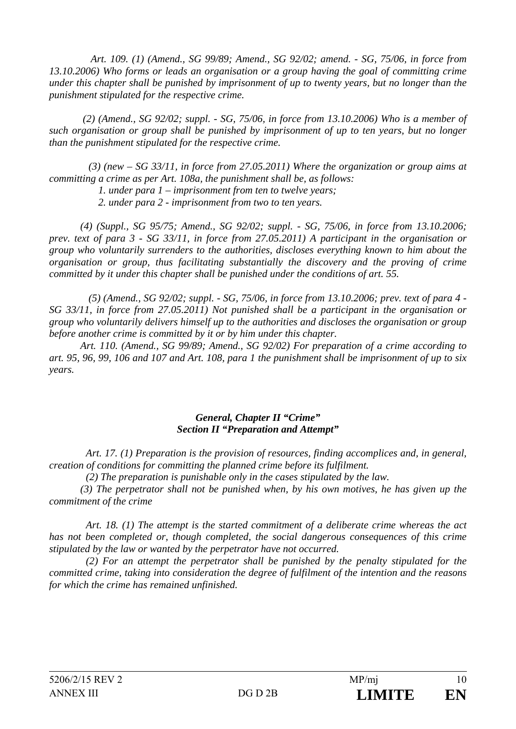*Art. 109. (1) (Amend., SG 99/89; Amend., SG 92/02; amend. - SG, 75/06, in force from 13.10.2006) Who forms or leads an organisation or a group having the goal of committing crime under this chapter shall be punished by imprisonment of up to twenty years, but no longer than the punishment stipulated for the respective crime.* 

 *(2) (Amend., SG 92/02; suppl. - SG, 75/06, in force from 13.10.2006) Who is a member of such organisation or group shall be punished by imprisonment of up to ten years, but no longer than the punishment stipulated for the respective crime.* 

 *(3) (new – SG 33/11, in force from 27.05.2011) Where the organization or group aims at committing a crime as per Art. 108a, the punishment shall be, as follows:* 

 *1. under para 1 – imprisonment from ten to twelve years;* 

 *2. under para 2 - imprisonment from two to ten years.* 

*(4) (Suppl., SG 95/75; Amend., SG 92/02; suppl. - SG, 75/06, in force from 13.10.2006; prev. text of para 3 - SG 33/11, in force from 27.05.2011) A participant in the organisation or group who voluntarily surrenders to the authorities, discloses everything known to him about the organisation or group, thus facilitating substantially the discovery and the proving of crime committed by it under this chapter shall be punished under the conditions of art. 55.* 

 *(5) (Amend., SG 92/02; suppl. - SG, 75/06, in force from 13.10.2006; prev. text of para 4 - SG 33/11, in force from 27.05.2011) Not punished shall be a participant in the organisation or group who voluntarily delivers himself up to the authorities and discloses the organisation or group before another crime is committed by it or by him under this chapter.* 

*Art. 110. (Amend., SG 99/89; Amend., SG 92/02) For preparation of a crime according to art. 95, 96, 99, 106 and 107 and Art. 108, para 1 the punishment shall be imprisonment of up to six years.* 

### *General, Chapter II "Crime" Section II "Preparation and Attempt"*

*Art. 17. (1) Preparation is the provision of resources, finding accomplices and, in general, creation of conditions for committing the planned crime before its fulfilment.* 

*(2) The preparation is punishable only in the cases stipulated by the law.* 

*(3) The perpetrator shall not be punished when, by his own motives, he has given up the commitment of the crime* 

*Art. 18. (1) The attempt is the started commitment of a deliberate crime whereas the act has not been completed or, though completed, the social dangerous consequences of this crime stipulated by the law or wanted by the perpetrator have not occurred.* 

*(2) For an attempt the perpetrator shall be punished by the penalty stipulated for the committed crime, taking into consideration the degree of fulfilment of the intention and the reasons for which the crime has remained unfinished.*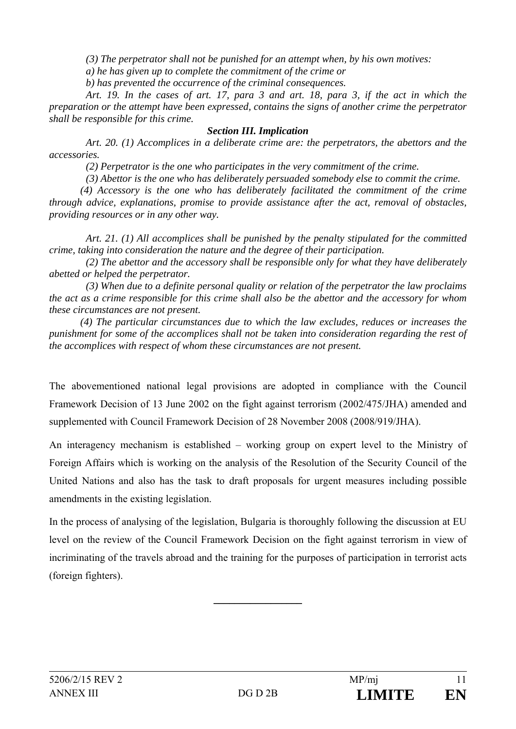*(3) The perpetrator shall not be punished for an attempt when, by his own motives:* 

*a) he has given up to complete the commitment of the crime or* 

*b) has prevented the occurrence of the criminal consequences.* 

*Art. 19. In the cases of art. 17, para 3 and art. 18, para 3, if the act in which the preparation or the attempt have been expressed, contains the signs of another crime the perpetrator shall be responsible for this crime.* 

### *Section III. Implication*

*Art. 20. (1) Accomplices in a deliberate crime are: the perpetrators, the abettors and the accessories.* 

*(2) Perpetrator is the one who participates in the very commitment of the crime.* 

*(3) Abettor is the one who has deliberately persuaded somebody else to commit the crime.* 

*(4) Accessory is the one who has deliberately facilitated the commitment of the crime through advice, explanations, promise to provide assistance after the act, removal of obstacles, providing resources or in any other way.* 

*Art. 21. (1) All accomplices shall be punished by the penalty stipulated for the committed crime, taking into consideration the nature and the degree of their participation.* 

*(2) The abettor and the accessory shall be responsible only for what they have deliberately abetted or helped the perpetrator.* 

*(3) When due to a definite personal quality or relation of the perpetrator the law proclaims the act as a crime responsible for this crime shall also be the abettor and the accessory for whom these circumstances are not present.* 

*(4) The particular circumstances due to which the law excludes, reduces or increases the punishment for some of the accomplices shall not be taken into consideration regarding the rest of the accomplices with respect of whom these circumstances are not present.* 

The abovementioned national legal provisions are adopted in compliance with the Council Framework Decision of 13 June 2002 on the fight against terrorism (2002/475/JHA) amended and supplemented with Council Framework Decision of 28 November 2008 (2008/919/JHA).

An interagency mechanism is established – working group on expert level to the Ministry of Foreign Affairs which is working on the analysis of the Resolution of the Security Council of the United Nations and also has the task to draft proposals for urgent measures including possible amendments in the existing legislation.

In the process of analysing of the legislation, Bulgaria is thoroughly following the discussion at EU level on the review of the Council Framework Decision on the fight against terrorism in view of incriminating of the travels abroad and the training for the purposes of participation in terrorist acts (foreign fighters).

 $\overline{\phantom{a}}$  , where  $\overline{\phantom{a}}$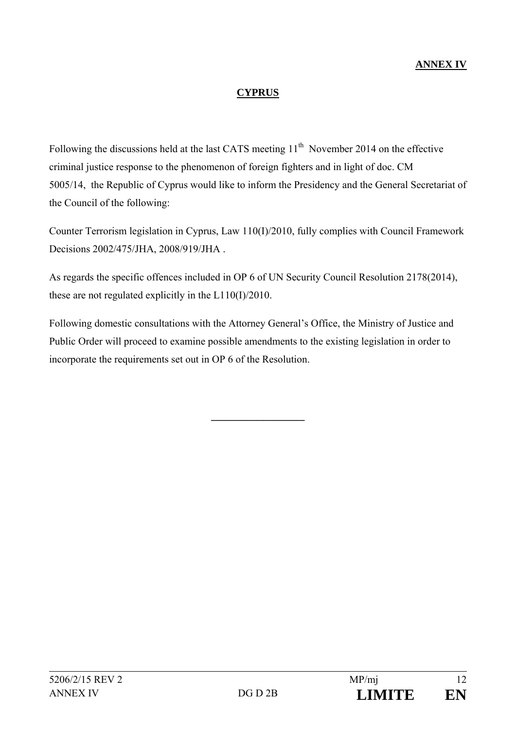# **CYPRUS**

Following the discussions held at the last CATS meeting  $11<sup>th</sup>$  November 2014 on the effective criminal justice response to the phenomenon of foreign fighters and in light of doc. CM 5005/14, the Republic of Cyprus would like to inform the Presidency and the General Secretariat of the Council of the following:

Counter Terrorism legislation in Cyprus, Law 110(I)/2010, fully complies with Council Framework Decisions 2002/475/JHA, 2008/919/JHA .

As regards the specific offences included in OP 6 of UN Security Council Resolution 2178(2014), these are not regulated explicitly in the L110(I)/2010.

Following domestic consultations with the Attorney General's Office, the Ministry of Justice and Public Order will proceed to examine possible amendments to the existing legislation in order to incorporate the requirements set out in OP 6 of the Resolution.

**\_\_\_\_\_\_\_\_\_\_\_\_\_\_\_\_\_\_**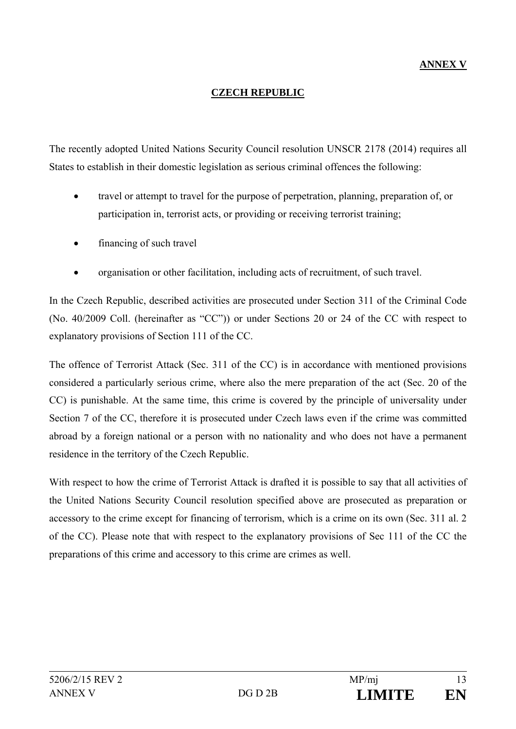# **ANNEX V**

### **CZECH REPUBLIC**

The recently adopted United Nations Security Council resolution UNSCR 2178 (2014) requires all States to establish in their domestic legislation as serious criminal offences the following:

- travel or attempt to travel for the purpose of perpetration, planning, preparation of, or participation in, terrorist acts, or providing or receiving terrorist training;
- financing of such travel
- organisation or other facilitation, including acts of recruitment, of such travel.

In the Czech Republic, described activities are prosecuted under Section 311 of the Criminal Code (No. 40/2009 Coll. (hereinafter as "CC")) or under Sections 20 or 24 of the CC with respect to explanatory provisions of Section 111 of the CC.

The offence of Terrorist Attack (Sec. 311 of the CC) is in accordance with mentioned provisions considered a particularly serious crime, where also the mere preparation of the act (Sec. 20 of the CC) is punishable. At the same time, this crime is covered by the principle of universality under Section 7 of the CC, therefore it is prosecuted under Czech laws even if the crime was committed abroad by a foreign national or a person with no nationality and who does not have a permanent residence in the territory of the Czech Republic.

With respect to how the crime of Terrorist Attack is drafted it is possible to say that all activities of the United Nations Security Council resolution specified above are prosecuted as preparation or accessory to the crime except for financing of terrorism, which is a crime on its own (Sec. 311 al. 2 of the CC). Please note that with respect to the explanatory provisions of Sec 111 of the CC the preparations of this crime and accessory to this crime are crimes as well.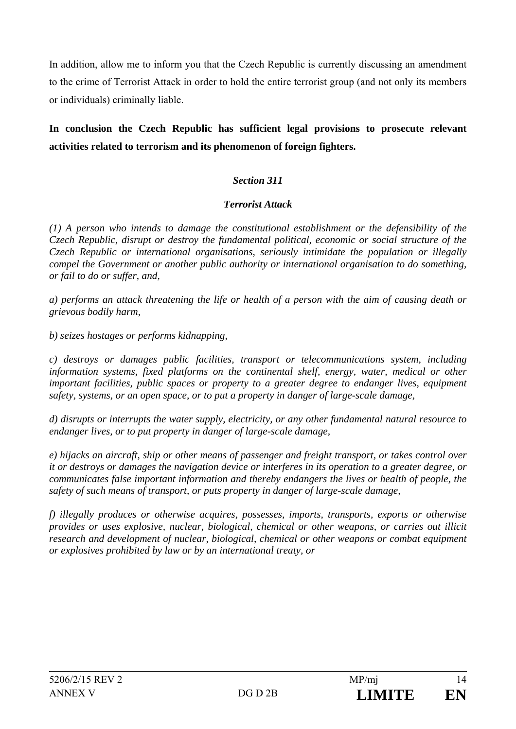In addition, allow me to inform you that the Czech Republic is currently discussing an amendment to the crime of Terrorist Attack in order to hold the entire terrorist group (and not only its members or individuals) criminally liable.

# **In conclusion the Czech Republic has sufficient legal provisions to prosecute relevant activities related to terrorism and its phenomenon of foreign fighters.**

# *Section 311*

### *Terrorist Attack*

*(1) A person who intends to damage the constitutional establishment or the defensibility of the Czech Republic, disrupt or destroy the fundamental political, economic or social structure of the Czech Republic or international organisations, seriously intimidate the population or illegally compel the Government or another public authority or international organisation to do something, or fail to do or suffer, and,* 

*a) performs an attack threatening the life or health of a person with the aim of causing death or grievous bodily harm,* 

*b) seizes hostages or performs kidnapping,* 

*c) destroys or damages public facilities, transport or telecommunications system, including information systems, fixed platforms on the continental shelf, energy, water, medical or other important facilities, public spaces or property to a greater degree to endanger lives, equipment safety, systems, or an open space, or to put a property in danger of large-scale damage,* 

*d) disrupts or interrupts the water supply, electricity, or any other fundamental natural resource to endanger lives, or to put property in danger of large-scale damage,* 

*e) hijacks an aircraft, ship or other means of passenger and freight transport, or takes control over it or destroys or damages the navigation device or interferes in its operation to a greater degree, or communicates false important information and thereby endangers the lives or health of people, the safety of such means of transport, or puts property in danger of large-scale damage,* 

*f) illegally produces or otherwise acquires, possesses, imports, transports, exports or otherwise provides or uses explosive, nuclear, biological, chemical or other weapons, or carries out illicit research and development of nuclear, biological, chemical or other weapons or combat equipment or explosives prohibited by law or by an international treaty, or*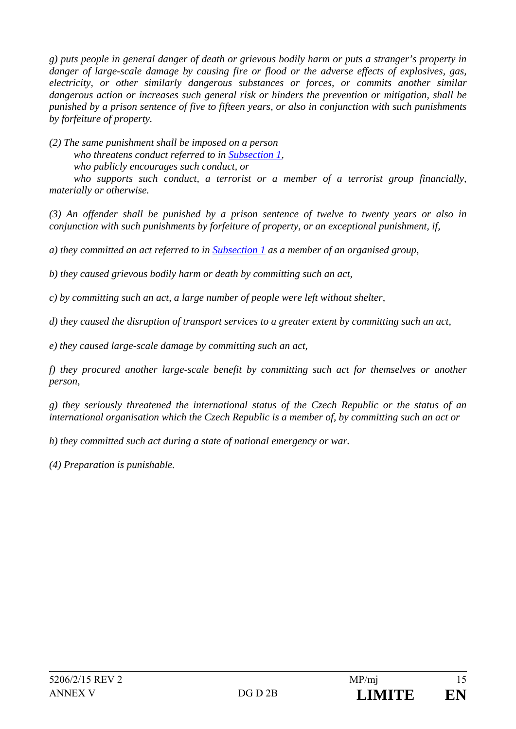*g) puts people in general danger of death or grievous bodily harm or puts a stranger's property in danger of large-scale damage by causing fire or flood or the adverse effects of explosives, gas, electricity, or other similarly dangerous substances or forces, or commits another similar dangerous action or increases such general risk or hinders the prevention or mitigation, shall be punished by a prison sentence of five to fifteen years, or also in conjunction with such punishments by forfeiture of property.* 

*(2) The same punishment shall be imposed on a person* 

 *who threatens conduct referred to in Subsection 1,* 

 *who publicly encourages such conduct, or* 

 *who supports such conduct, a terrorist or a member of a terrorist group financially, materially or otherwise.* 

*(3) An offender shall be punished by a prison sentence of twelve to twenty years or also in conjunction with such punishments by forfeiture of property, or an exceptional punishment, if,* 

*a) they committed an act referred to in Subsection 1 as a member of an organised group,* 

*b) they caused grievous bodily harm or death by committing such an act,* 

*c) by committing such an act, a large number of people were left without shelter,* 

*d) they caused the disruption of transport services to a greater extent by committing such an act,* 

*e) they caused large-scale damage by committing such an act,* 

*f) they procured another large-scale benefit by committing such act for themselves or another person,* 

*g) they seriously threatened the international status of the Czech Republic or the status of an international organisation which the Czech Republic is a member of, by committing such an act or* 

*h) they committed such act during a state of national emergency or war.* 

*(4) Preparation is punishable.*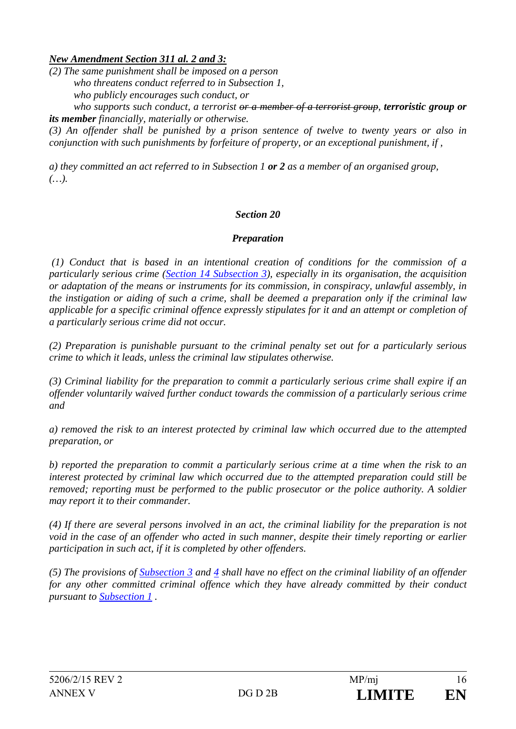# *New Amendment Section 311 al. 2 and 3:*

*(2) The same punishment shall be imposed on a person who threatens conduct referred to in Subsection 1, who publicly encourages such conduct, or* 

*who supports such conduct, a terrorist <del>or a member of a terrorist group</del>, <i>terroristic group or its member financially, materially or otherwise.* 

*(3) An offender shall be punished by a prison sentence of twelve to twenty years or also in conjunction with such punishments by forfeiture of property, or an exceptional punishment, if ,* 

*a) they committed an act referred to in Subsection 1 or 2 as a member of an organised group, (…).* 

# *Section 20*

### *Preparation*

 *(1) Conduct that is based in an intentional creation of conditions for the commission of a particularly serious crime (Section 14 Subsection 3), especially in its organisation, the acquisition or adaptation of the means or instruments for its commission, in conspiracy, unlawful assembly, in the instigation or aiding of such a crime, shall be deemed a preparation only if the criminal law applicable for a specific criminal offence expressly stipulates for it and an attempt or completion of a particularly serious crime did not occur.* 

*(2) Preparation is punishable pursuant to the criminal penalty set out for a particularly serious crime to which it leads, unless the criminal law stipulates otherwise.* 

*(3) Criminal liability for the preparation to commit a particularly serious crime shall expire if an offender voluntarily waived further conduct towards the commission of a particularly serious crime and* 

*a) removed the risk to an interest protected by criminal law which occurred due to the attempted preparation, or* 

*b) reported the preparation to commit a particularly serious crime at a time when the risk to an interest protected by criminal law which occurred due to the attempted preparation could still be removed; reporting must be performed to the public prosecutor or the police authority. A soldier may report it to their commander.* 

*(4) If there are several persons involved in an act, the criminal liability for the preparation is not void in the case of an offender who acted in such manner, despite their timely reporting or earlier participation in such act, if it is completed by other offenders.* 

*(5) The provisions of Subsection 3 and 4 shall have no effect on the criminal liability of an offender for any other committed criminal offence which they have already committed by their conduct pursuant to Subsection 1 .*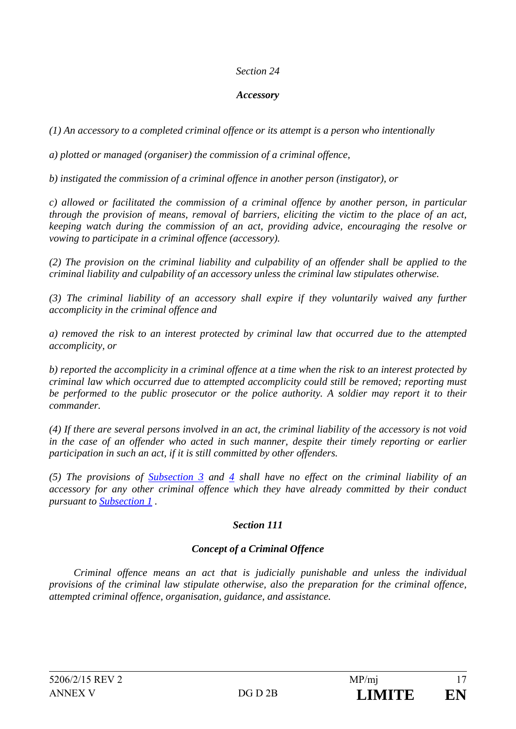### *Section 24*

#### *Accessory*

*(1) An accessory to a completed criminal offence or its attempt is a person who intentionally* 

*a) plotted or managed (organiser) the commission of a criminal offence,* 

*b) instigated the commission of a criminal offence in another person (instigator), or* 

*c) allowed or facilitated the commission of a criminal offence by another person, in particular through the provision of means, removal of barriers, eliciting the victim to the place of an act, keeping watch during the commission of an act, providing advice, encouraging the resolve or vowing to participate in a criminal offence (accessory).* 

*(2) The provision on the criminal liability and culpability of an offender shall be applied to the criminal liability and culpability of an accessory unless the criminal law stipulates otherwise.* 

*(3) The criminal liability of an accessory shall expire if they voluntarily waived any further accomplicity in the criminal offence and* 

*a) removed the risk to an interest protected by criminal law that occurred due to the attempted accomplicity, or* 

*b) reported the accomplicity in a criminal offence at a time when the risk to an interest protected by criminal law which occurred due to attempted accomplicity could still be removed; reporting must be performed to the public prosecutor or the police authority. A soldier may report it to their commander.* 

*(4) If there are several persons involved in an act, the criminal liability of the accessory is not void in the case of an offender who acted in such manner, despite their timely reporting or earlier participation in such an act, if it is still committed by other offenders.* 

*(5) The provisions of Subsection 3 and 4 shall have no effect on the criminal liability of an accessory for any other criminal offence which they have already committed by their conduct pursuant to Subsection 1 .* 

# *Section 111*

# *Concept of a Criminal Offence*

 *Criminal offence means an act that is judicially punishable and unless the individual provisions of the criminal law stipulate otherwise, also the preparation for the criminal offence, attempted criminal offence, organisation, guidance, and assistance.*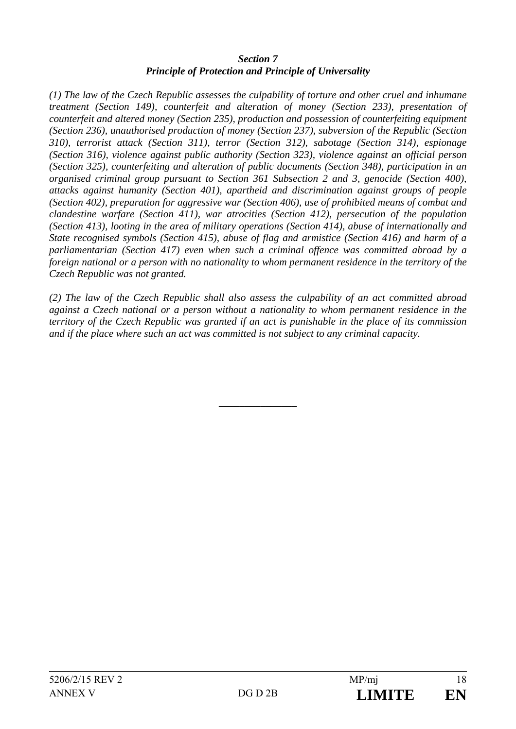### *Section 7 Principle of Protection and Principle of Universality*

*(1) The law of the Czech Republic assesses the culpability of torture and other cruel and inhumane treatment (Section 149), counterfeit and alteration of money (Section 233), presentation of counterfeit and altered money (Section 235), production and possession of counterfeiting equipment (Section 236), unauthorised production of money (Section 237), subversion of the Republic (Section 310), terrorist attack (Section 311), terror (Section 312), sabotage (Section 314), espionage (Section 316), violence against public authority (Section 323), violence against an official person (Section 325), counterfeiting and alteration of public documents (Section 348), participation in an organised criminal group pursuant to Section 361 Subsection 2 and 3, genocide (Section 400), attacks against humanity (Section 401), apartheid and discrimination against groups of people (Section 402), preparation for aggressive war (Section 406), use of prohibited means of combat and clandestine warfare (Section 411), war atrocities (Section 412), persecution of the population (Section 413), looting in the area of military operations (Section 414), abuse of internationally and State recognised symbols (Section 415), abuse of flag and armistice (Section 416) and harm of a parliamentarian (Section 417) even when such a criminal offence was committed abroad by a foreign national or a person with no nationality to whom permanent residence in the territory of the Czech Republic was not granted.* 

*(2) The law of the Czech Republic shall also assess the culpability of an act committed abroad against a Czech national or a person without a nationality to whom permanent residence in the territory of the Czech Republic was granted if an act is punishable in the place of its commission and if the place where such an act was committed is not subject to any criminal capacity.* 

**\_\_\_\_\_\_\_\_\_\_\_\_\_\_\_**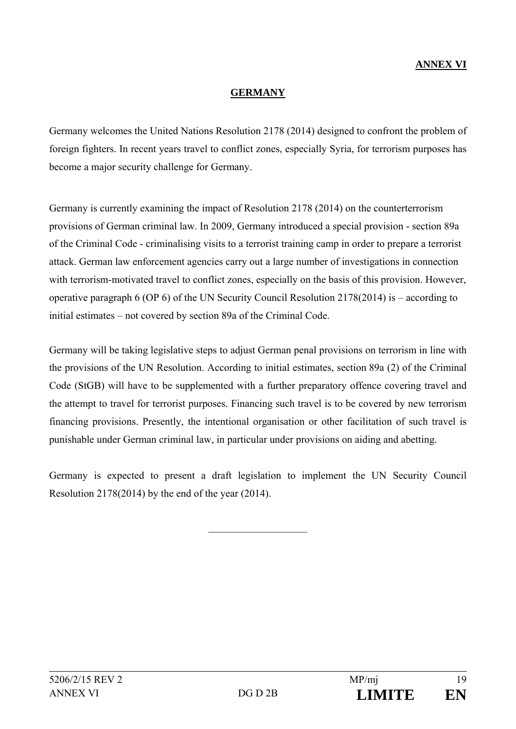# **ANNEX VI**

### **GERMANY**

Germany welcomes the United Nations Resolution 2178 (2014) designed to confront the problem of foreign fighters. In recent years travel to conflict zones, especially Syria, for terrorism purposes has become a major security challenge for Germany.

Germany is currently examining the impact of Resolution 2178 (2014) on the counterterrorism provisions of German criminal law. In 2009, Germany introduced a special provision - section 89a of the Criminal Code - criminalising visits to a terrorist training camp in order to prepare a terrorist attack. German law enforcement agencies carry out a large number of investigations in connection with terrorism-motivated travel to conflict zones, especially on the basis of this provision. However, operative paragraph 6 (OP 6) of the UN Security Council Resolution 2178(2014) is – according to initial estimates – not covered by section 89a of the Criminal Code.

Germany will be taking legislative steps to adjust German penal provisions on terrorism in line with the provisions of the UN Resolution. According to initial estimates, section 89a (2) of the Criminal Code (StGB) will have to be supplemented with a further preparatory offence covering travel and the attempt to travel for terrorist purposes. Financing such travel is to be covered by new terrorism financing provisions. Presently, the intentional organisation or other facilitation of such travel is punishable under German criminal law, in particular under provisions on aiding and abetting.

Germany is expected to present a draft legislation to implement the UN Security Council Resolution 2178(2014) by the end of the year (2014).

 $\mathcal{L}_\text{max}$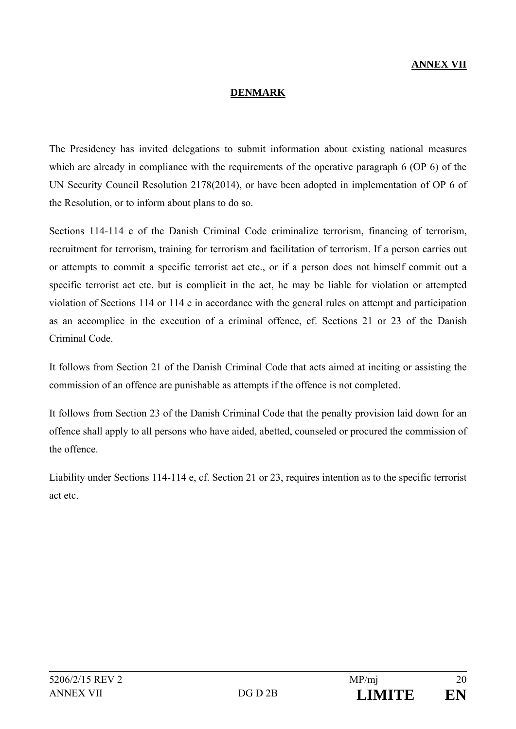# **ANNEX VII**

#### **DENMARK**

The Presidency has invited delegations to submit information about existing national measures which are already in compliance with the requirements of the operative paragraph 6 (OP 6) of the UN Security Council Resolution 2178(2014), or have been adopted in implementation of OP 6 of the Resolution, or to inform about plans to do so.

Sections 114-114 e of the Danish Criminal Code criminalize terrorism, financing of terrorism, recruitment for terrorism, training for terrorism and facilitation of terrorism. If a person carries out or attempts to commit a specific terrorist act etc., or if a person does not himself commit out a specific terrorist act etc. but is complicit in the act, he may be liable for violation or attempted violation of Sections 114 or 114 e in accordance with the general rules on attempt and participation as an accomplice in the execution of a criminal offence, cf. Sections 21 or 23 of the Danish Criminal Code.

It follows from Section 21 of the Danish Criminal Code that acts aimed at inciting or assisting the commission of an offence are punishable as attempts if the offence is not completed.

It follows from Section 23 of the Danish Criminal Code that the penalty provision laid down for an offence shall apply to all persons who have aided, abetted, counseled or procured the commission of the offence.

Liability under Sections 114-114 e, cf. Section 21 or 23, requires intention as to the specific terrorist act etc.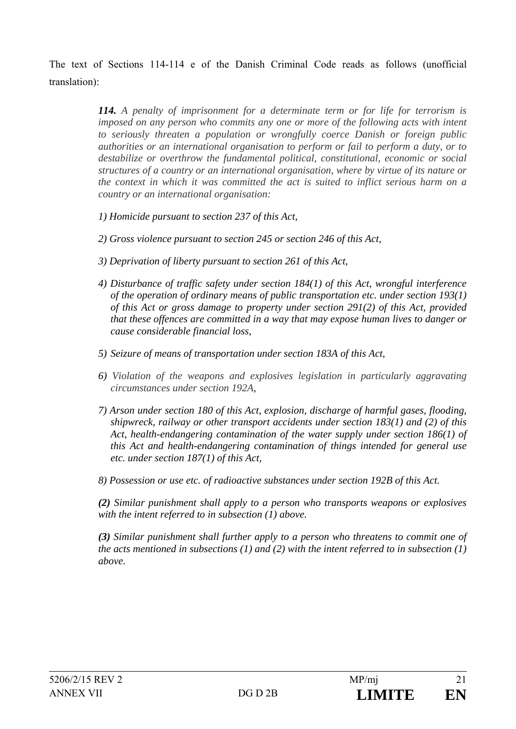The text of Sections 114-114 e of the Danish Criminal Code reads as follows (unofficial translation):

> *114. A penalty of imprisonment for a determinate term or for life for terrorism is imposed on any person who commits any one or more of the following acts with intent to seriously threaten a population or wrongfully coerce Danish or foreign public authorities or an international organisation to perform or fail to perform a duty, or to destabilize or overthrow the fundamental political, constitutional, economic or social structures of a country or an international organisation, where by virtue of its nature or the context in which it was committed the act is suited to inflict serious harm on a country or an international organisation:*

- *1) Homicide pursuant to section 237 of this Act,*
- *2) Gross violence pursuant to section 245 or section 246 of this Act,*
- *3) Deprivation of liberty pursuant to section 261 of this Act,*
- *4) Disturbance of traffic safety under section 184(1) of this Act, wrongful interference of the operation of ordinary means of public transportation etc. under section 193(1) of this Act or gross damage to property under section 291(2) of this Act, provided that these offences are committed in a way that may expose human lives to danger or cause considerable financial loss,*
- *5) Seizure of means of transportation under section 183A of this Act,*
- *6) Violation of the weapons and explosives legislation in particularly aggravating circumstances under section 192A,*
- *7) Arson under section 180 of this Act, explosion, discharge of harmful gases, flooding, shipwreck, railway or other transport accidents under section 183(1) and (2) of this Act, health-endangering contamination of the water supply under section 186(1) of this Act and health-endangering contamination of things intended for general use etc. under section 187(1) of this Act,*
- *8) Possession or use etc. of radioactive substances under section 192B of this Act.*

*(2) Similar punishment shall apply to a person who transports weapons or explosives with the intent referred to in subsection (1) above.* 

*(3) Similar punishment shall further apply to a person who threatens to commit one of the acts mentioned in subsections (1) and (2) with the intent referred to in subsection (1) above.*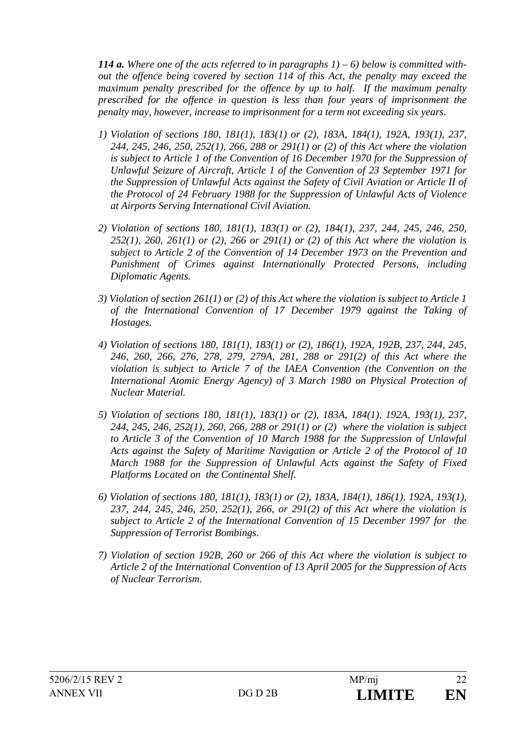*114 a. Where one of the acts referred to in paragraphs 1) – 6) below is committed without the offence being covered by section 114 of this Act, the penalty may exceed the maximum penalty prescribed for the offence by up to half. If the maximum penalty prescribed for the offence in question is less than four years of imprisonment the penalty may, however, increase to imprisonment for a term not exceeding six years.* 

- *1) Violation of sections 180, 181(1), 183(1) or (2), 183A, 184(1), 192A, 193(1), 237, 244, 245, 246, 250, 252(1), 266, 288 or 291(1) or (2) of this Act where the violation is subject to Article 1 of the Convention of 16 December 1970 for the Suppression of Unlawful Seizure of Aircraft, Article 1 of the Convention of 23 September 1971 for the Suppression of Unlawful Acts against the Safety of Civil Aviation or Article II of the Protocol of 24 February 1988 for the Suppression of Unlawful Acts of Violence at Airports Serving International Civil Aviation.*
- *2) Violation of sections 180, 181(1), 183(1) or (2), 184(1), 237, 244, 245, 246, 250, 252(1), 260, 261(1) or (2), 266 or 291(1) or (2) of this Act where the violation is subject to Article 2 of the Convention of 14 December 1973 on the Prevention and Punishment of Crimes against Internationally Protected Persons, including Diplomatic Agents.*
- *3) Violation of section 261(1) or (2) of this Act where the violation is subject to Article 1 of the International Convention of 17 December 1979 against the Taking of Hostages.*
- *4) Violation of sections 180, 181(1), 183(1) or (2), 186(1), 192A, 192B, 237, 244, 245, 246, 260, 266, 276, 278, 279, 279A, 281, 288 or 291(2) of this Act where the violation is subject to Article 7 of the IAEA Convention (the Convention on the International Atomic Energy Agency) of 3 March 1980 on Physical Protection of Nuclear Material.*
- *5) Violation of sections 180, 181(1), 183(1) or (2), 183A, 184(1), 192A, 193(1), 237, 244, 245, 246, 252(1), 260, 266, 288 or 291(1) or (2) where the violation is subject to Article 3 of the Convention of 10 March 1988 for the Suppression of Unlawful Acts against the Safety of Maritime Navigation or Article 2 of the Protocol of 10 March 1988 for the Suppression of Unlawful Acts against the Safety of Fixed Platforms Located on the Continental Shelf.*
- *6) Violation of sections 180, 181(1), 183(1) or (2), 183A, 184(1), 186(1), 192A, 193(1), 237, 244, 245, 246, 250, 252(1), 266, or 291(2) of this Act where the violation is subject to Article 2 of the International Convention of 15 December 1997 for the Suppression of Terrorist Bombings.*
- *7) Violation of section 192B, 260 or 266 of this Act where the violation is subject to Article 2 of the International Convention of 13 April 2005 for the Suppression of Acts of Nuclear Terrorism.*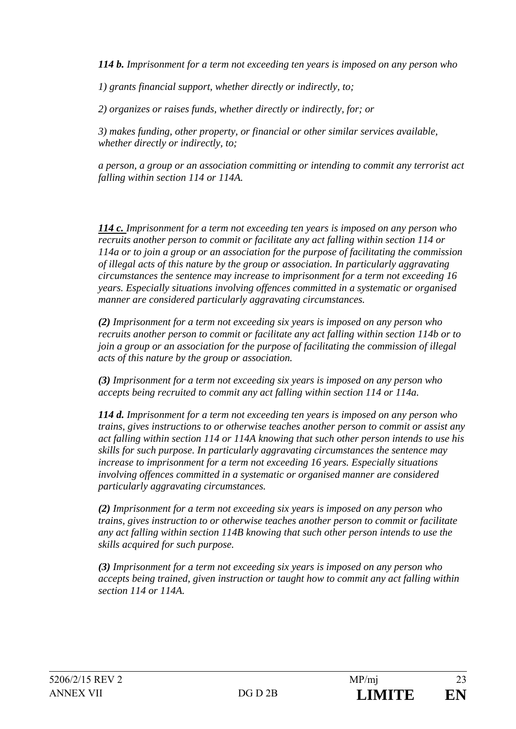*114 b. Imprisonment for a term not exceeding ten years is imposed on any person who* 

*1) grants financial support, whether directly or indirectly, to;* 

*2) organizes or raises funds, whether directly or indirectly, for; or* 

*3) makes funding, other property, or financial or other similar services available, whether directly or indirectly, to;* 

*a person, a group or an association committing or intending to commit any terrorist act falling within section 114 or 114A.* 

*114 c. Imprisonment for a term not exceeding ten years is imposed on any person who recruits another person to commit or facilitate any act falling within section 114 or 114a or to join a group or an association for the purpose of facilitating the commission of illegal acts of this nature by the group or association. In particularly aggravating circumstances the sentence may increase to imprisonment for a term not exceeding 16 years. Especially situations involving offences committed in a systematic or organised manner are considered particularly aggravating circumstances.* 

*(2) Imprisonment for a term not exceeding six years is imposed on any person who recruits another person to commit or facilitate any act falling within section 114b or to join a group or an association for the purpose of facilitating the commission of illegal acts of this nature by the group or association.* 

*(3) Imprisonment for a term not exceeding six years is imposed on any person who accepts being recruited to commit any act falling within section 114 or 114a.* 

*114 d. Imprisonment for a term not exceeding ten years is imposed on any person who trains, gives instructions to or otherwise teaches another person to commit or assist any act falling within section 114 or 114A knowing that such other person intends to use his skills for such purpose. In particularly aggravating circumstances the sentence may increase to imprisonment for a term not exceeding 16 years. Especially situations involving offences committed in a systematic or organised manner are considered particularly aggravating circumstances.* 

*(2) Imprisonment for a term not exceeding six years is imposed on any person who trains, gives instruction to or otherwise teaches another person to commit or facilitate any act falling within section 114B knowing that such other person intends to use the skills acquired for such purpose.* 

*(3) Imprisonment for a term not exceeding six years is imposed on any person who accepts being trained, given instruction or taught how to commit any act falling within section 114 or 114A.*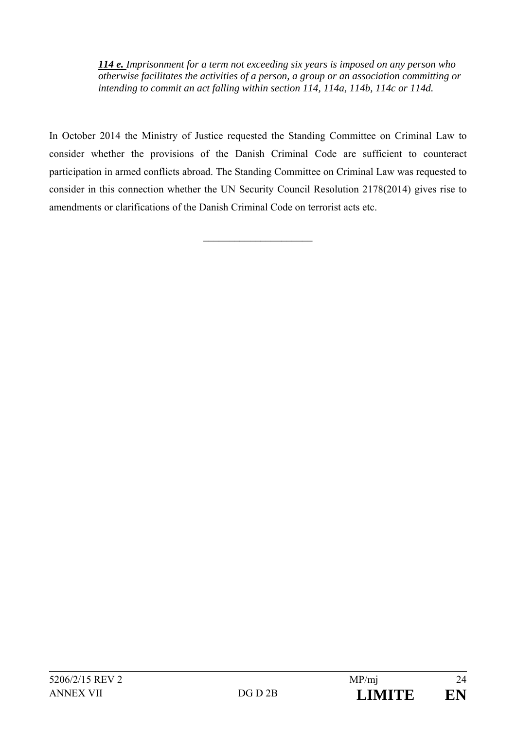*114 e. Imprisonment for a term not exceeding six years is imposed on any person who otherwise facilitates the activities of a person, a group or an association committing or intending to commit an act falling within section 114, 114a, 114b, 114c or 114d.*

In October 2014 the Ministry of Justice requested the Standing Committee on Criminal Law to consider whether the provisions of the Danish Criminal Code are sufficient to counteract participation in armed conflicts abroad. The Standing Committee on Criminal Law was requested to consider in this connection whether the UN Security Council Resolution 2178(2014) gives rise to amendments or clarifications of the Danish Criminal Code on terrorist acts etc.

 $\overline{\phantom{a}}$  , where  $\overline{\phantom{a}}$  , where  $\overline{\phantom{a}}$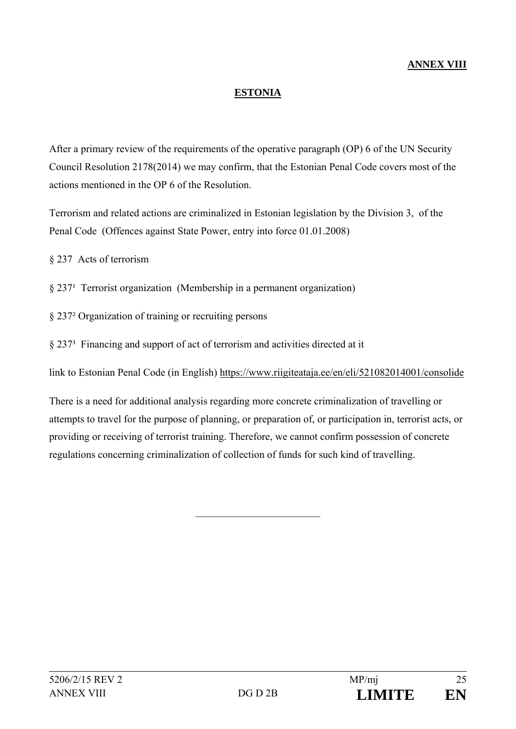# **ANNEX VIII**

### **ESTONIA**

After a primary review of the requirements of the operative paragraph (OP) 6 of the UN Security Council Resolution 2178(2014) we may confirm, that the Estonian Penal Code covers most of the actions mentioned in the OP 6 of the Resolution.

Terrorism and related actions are criminalized in Estonian legislation by the Division 3, of the Penal Code (Offences against State Power, entry into force 01.01.2008)

§ 237 Acts of terrorism

 $\S 237<sup>1</sup>$  Terrorist organization (Membership in a permanent organization)

§ 237² Organization of training or recruiting persons

§ 237³ Financing and support of act of terrorism and activities directed at it

link to Estonian Penal Code (in English) https://www.riigiteataja.ee/en/eli/521082014001/consolide

There is a need for additional analysis regarding more concrete criminalization of travelling or attempts to travel for the purpose of planning, or preparation of, or participation in, terrorist acts, or providing or receiving of terrorist training. Therefore, we cannot confirm possession of concrete regulations concerning criminalization of collection of funds for such kind of travelling.

\_\_\_\_\_\_\_\_\_\_\_\_\_\_\_\_\_\_\_\_\_\_\_\_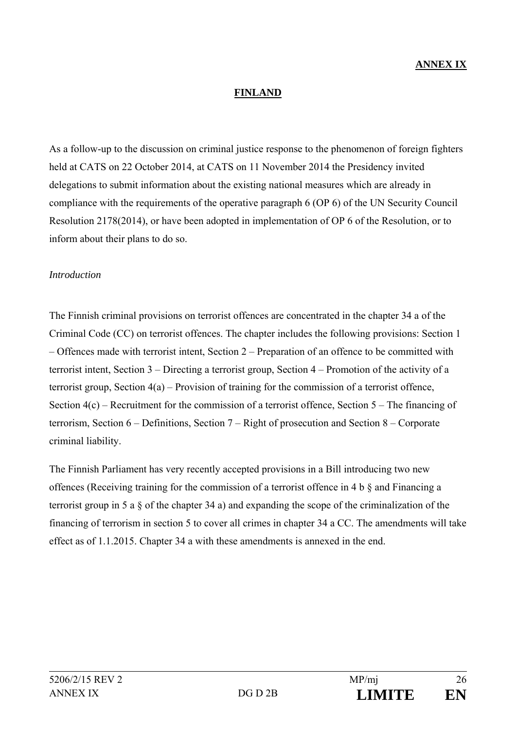### **FINLAND**

As a follow-up to the discussion on criminal justice response to the phenomenon of foreign fighters held at CATS on 22 October 2014, at CATS on 11 November 2014 the Presidency invited delegations to submit information about the existing national measures which are already in compliance with the requirements of the operative paragraph 6 (OP 6) of the UN Security Council Resolution 2178(2014), or have been adopted in implementation of OP 6 of the Resolution, or to inform about their plans to do so.

#### *Introduction*

The Finnish criminal provisions on terrorist offences are concentrated in the chapter 34 a of the Criminal Code (CC) on terrorist offences. The chapter includes the following provisions: Section 1 – Offences made with terrorist intent, Section 2 – Preparation of an offence to be committed with terrorist intent, Section 3 – Directing a terrorist group, Section 4 – Promotion of the activity of a terrorist group, Section 4(a) – Provision of training for the commission of a terrorist offence, Section 4(c) – Recruitment for the commission of a terrorist offence, Section 5 – The financing of terrorism, Section 6 – Definitions, Section 7 – Right of prosecution and Section 8 – Corporate criminal liability.

The Finnish Parliament has very recently accepted provisions in a Bill introducing two new offences (Receiving training for the commission of a terrorist offence in 4 b § and Financing a terrorist group in 5 a § of the chapter 34 a) and expanding the scope of the criminalization of the financing of terrorism in section 5 to cover all crimes in chapter 34 a CC. The amendments will take effect as of 1.1.2015. Chapter 34 a with these amendments is annexed in the end.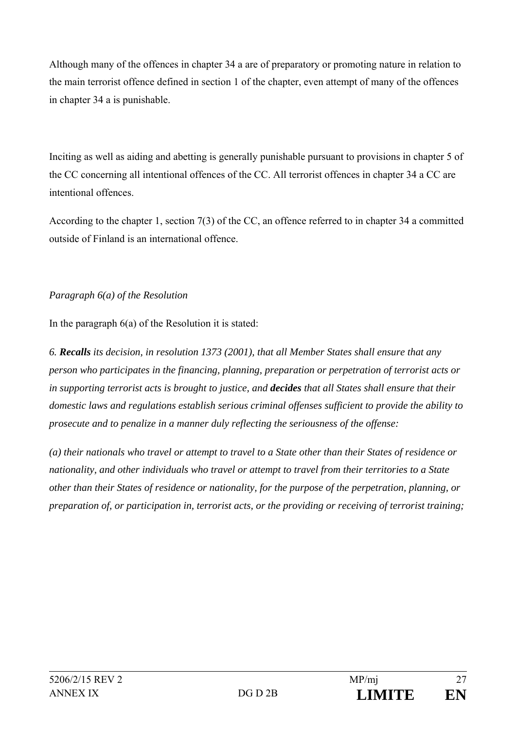Although many of the offences in chapter 34 a are of preparatory or promoting nature in relation to the main terrorist offence defined in section 1 of the chapter, even attempt of many of the offences in chapter 34 a is punishable.

Inciting as well as aiding and abetting is generally punishable pursuant to provisions in chapter 5 of the CC concerning all intentional offences of the CC. All terrorist offences in chapter 34 a CC are intentional offences.

According to the chapter 1, section 7(3) of the CC, an offence referred to in chapter 34 a committed outside of Finland is an international offence.

# *Paragraph 6(a) of the Resolution*

In the paragraph  $6(a)$  of the Resolution it is stated:

*6. Recalls its decision, in resolution 1373 (2001), that all Member States shall ensure that any person who participates in the financing, planning, preparation or perpetration of terrorist acts or in supporting terrorist acts is brought to justice, and decides that all States shall ensure that their domestic laws and regulations establish serious criminal offenses sufficient to provide the ability to prosecute and to penalize in a manner duly reflecting the seriousness of the offense:* 

*(a) their nationals who travel or attempt to travel to a State other than their States of residence or nationality, and other individuals who travel or attempt to travel from their territories to a State other than their States of residence or nationality, for the purpose of the perpetration, planning, or preparation of, or participation in, terrorist acts, or the providing or receiving of terrorist training;*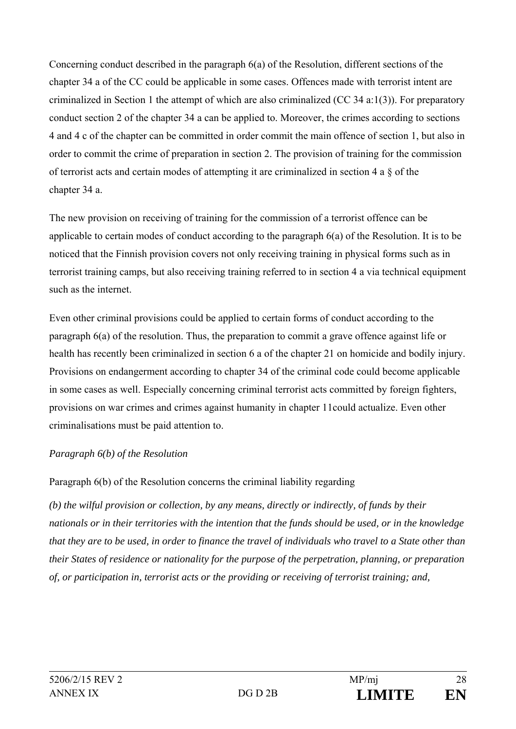Concerning conduct described in the paragraph 6(a) of the Resolution, different sections of the chapter 34 a of the CC could be applicable in some cases. Offences made with terrorist intent are criminalized in Section 1 the attempt of which are also criminalized (CC 34 a:1(3)). For preparatory conduct section 2 of the chapter 34 a can be applied to. Moreover, the crimes according to sections 4 and 4 c of the chapter can be committed in order commit the main offence of section 1, but also in order to commit the crime of preparation in section 2. The provision of training for the commission of terrorist acts and certain modes of attempting it are criminalized in section 4 a § of the chapter 34 a.

The new provision on receiving of training for the commission of a terrorist offence can be applicable to certain modes of conduct according to the paragraph 6(a) of the Resolution. It is to be noticed that the Finnish provision covers not only receiving training in physical forms such as in terrorist training camps, but also receiving training referred to in section 4 a via technical equipment such as the internet.

Even other criminal provisions could be applied to certain forms of conduct according to the paragraph 6(a) of the resolution. Thus, the preparation to commit a grave offence against life or health has recently been criminalized in section 6 a of the chapter 21 on homicide and bodily injury. Provisions on endangerment according to chapter 34 of the criminal code could become applicable in some cases as well. Especially concerning criminal terrorist acts committed by foreign fighters, provisions on war crimes and crimes against humanity in chapter 11could actualize. Even other criminalisations must be paid attention to.

# *Paragraph 6(b) of the Resolution*

Paragraph 6(b) of the Resolution concerns the criminal liability regarding

*(b) the wilful provision or collection, by any means, directly or indirectly, of funds by their nationals or in their territories with the intention that the funds should be used, or in the knowledge that they are to be used, in order to finance the travel of individuals who travel to a State other than their States of residence or nationality for the purpose of the perpetration, planning, or preparation of, or participation in, terrorist acts or the providing or receiving of terrorist training; and,*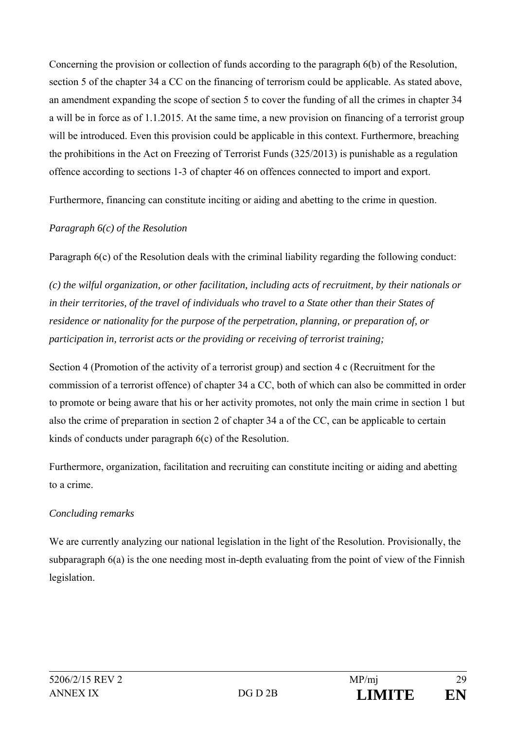Concerning the provision or collection of funds according to the paragraph 6(b) of the Resolution, section 5 of the chapter 34 a CC on the financing of terrorism could be applicable. As stated above, an amendment expanding the scope of section 5 to cover the funding of all the crimes in chapter 34 a will be in force as of 1.1.2015. At the same time, a new provision on financing of a terrorist group will be introduced. Even this provision could be applicable in this context. Furthermore, breaching the prohibitions in the Act on Freezing of Terrorist Funds (325/2013) is punishable as a regulation offence according to sections 1-3 of chapter 46 on offences connected to import and export.

Furthermore, financing can constitute inciting or aiding and abetting to the crime in question.

# *Paragraph 6(c) of the Resolution*

Paragraph 6(c) of the Resolution deals with the criminal liability regarding the following conduct:

*(c) the wilful organization, or other facilitation, including acts of recruitment, by their nationals or in their territories, of the travel of individuals who travel to a State other than their States of residence or nationality for the purpose of the perpetration, planning, or preparation of, or participation in, terrorist acts or the providing or receiving of terrorist training;* 

Section 4 (Promotion of the activity of a terrorist group) and section 4 c (Recruitment for the commission of a terrorist offence) of chapter 34 a CC, both of which can also be committed in order to promote or being aware that his or her activity promotes, not only the main crime in section 1 but also the crime of preparation in section 2 of chapter 34 a of the CC, can be applicable to certain kinds of conducts under paragraph 6(c) of the Resolution.

Furthermore, organization, facilitation and recruiting can constitute inciting or aiding and abetting to a crime.

# *Concluding remarks*

We are currently analyzing our national legislation in the light of the Resolution. Provisionally, the subparagraph 6(a) is the one needing most in-depth evaluating from the point of view of the Finnish legislation.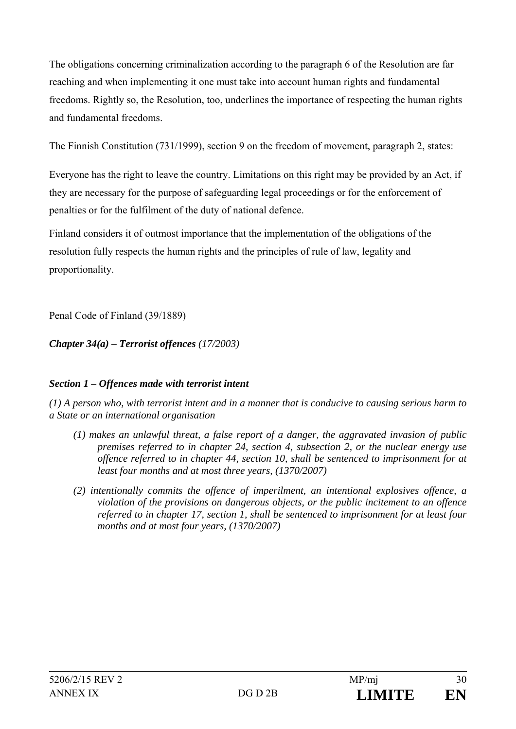The obligations concerning criminalization according to the paragraph 6 of the Resolution are far reaching and when implementing it one must take into account human rights and fundamental freedoms. Rightly so, the Resolution, too, underlines the importance of respecting the human rights and fundamental freedoms.

The Finnish Constitution (731/1999), section 9 on the freedom of movement, paragraph 2, states:

Everyone has the right to leave the country. Limitations on this right may be provided by an Act, if they are necessary for the purpose of safeguarding legal proceedings or for the enforcement of penalties or for the fulfilment of the duty of national defence.

Finland considers it of outmost importance that the implementation of the obligations of the resolution fully respects the human rights and the principles of rule of law, legality and proportionality.

Penal Code of Finland (39/1889)

*Chapter 34(a) – Terrorist offences (17/2003)* 

# *Section 1 – Offences made with terrorist intent*

*(1) A person who, with terrorist intent and in a manner that is conducive to causing serious harm to a State or an international organisation* 

- *(1) makes an unlawful threat, a false report of a danger, the aggravated invasion of public premises referred to in chapter 24, section 4, subsection 2, or the nuclear energy use offence referred to in chapter 44, section 10, shall be sentenced to imprisonment for at least four months and at most three years, (1370/2007)*
- *(2) intentionally commits the offence of imperilment, an intentional explosives offence, a violation of the provisions on dangerous objects, or the public incitement to an offence referred to in chapter 17, section 1, shall be sentenced to imprisonment for at least four months and at most four years, (1370/2007)*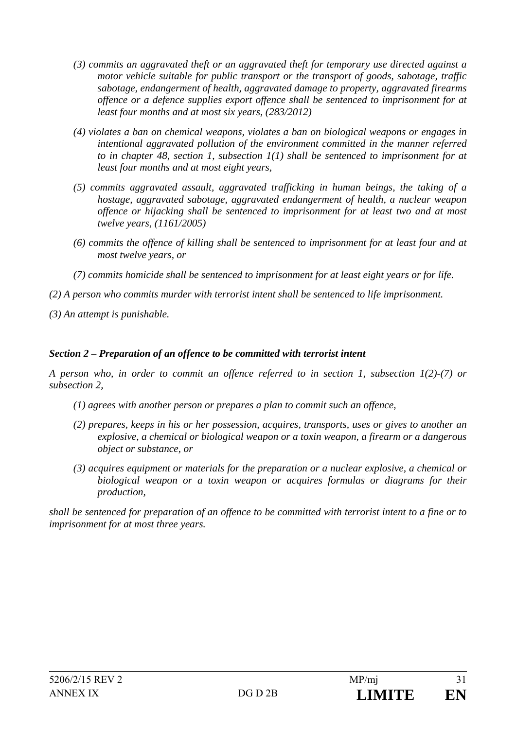- *(3) commits an aggravated theft or an aggravated theft for temporary use directed against a motor vehicle suitable for public transport or the transport of goods, sabotage, traffic sabotage, endangerment of health, aggravated damage to property, aggravated firearms offence or a defence supplies export offence shall be sentenced to imprisonment for at least four months and at most six years, (283/2012)*
- *(4) violates a ban on chemical weapons, violates a ban on biological weapons or engages in intentional aggravated pollution of the environment committed in the manner referred to in chapter 48, section 1, subsection 1(1) shall be sentenced to imprisonment for at least four months and at most eight years,*
- *(5) commits aggravated assault, aggravated trafficking in human beings, the taking of a hostage, aggravated sabotage, aggravated endangerment of health, a nuclear weapon offence or hijacking shall be sentenced to imprisonment for at least two and at most twelve years, (1161/2005)*
- *(6) commits the offence of killing shall be sentenced to imprisonment for at least four and at most twelve years, or*
- *(7) commits homicide shall be sentenced to imprisonment for at least eight years or for life.*
- *(2) A person who commits murder with terrorist intent shall be sentenced to life imprisonment.*
- *(3) An attempt is punishable.*

# *Section 2 – Preparation of an offence to be committed with terrorist intent*

*A person who, in order to commit an offence referred to in section 1, subsection 1(2)-(7) or subsection 2,* 

- *(1) agrees with another person or prepares a plan to commit such an offence,*
- *(2) prepares, keeps in his or her possession, acquires, transports, uses or gives to another an explosive, a chemical or biological weapon or a toxin weapon, a firearm or a dangerous object or substance, or*
- *(3) acquires equipment or materials for the preparation or a nuclear explosive, a chemical or biological weapon or a toxin weapon or acquires formulas or diagrams for their production,*

*shall be sentenced for preparation of an offence to be committed with terrorist intent to a fine or to imprisonment for at most three years.*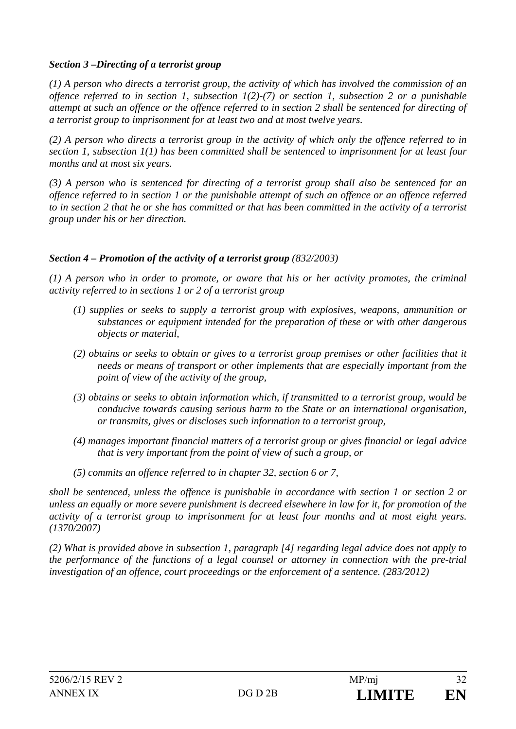# *Section 3 –Directing of a terrorist group*

*(1) A person who directs a terrorist group, the activity of which has involved the commission of an offence referred to in section 1, subsection 1(2)-(7) or section 1, subsection 2 or a punishable attempt at such an offence or the offence referred to in section 2 shall be sentenced for directing of a terrorist group to imprisonment for at least two and at most twelve years.* 

*(2) A person who directs a terrorist group in the activity of which only the offence referred to in section 1, subsection 1(1) has been committed shall be sentenced to imprisonment for at least four months and at most six years.* 

*(3) A person who is sentenced for directing of a terrorist group shall also be sentenced for an offence referred to in section 1 or the punishable attempt of such an offence or an offence referred to in section 2 that he or she has committed or that has been committed in the activity of a terrorist group under his or her direction.* 

### *Section 4 – Promotion of the activity of a terrorist group (832/2003)*

*(1) A person who in order to promote, or aware that his or her activity promotes, the criminal activity referred to in sections 1 or 2 of a terrorist group* 

- *(1) supplies or seeks to supply a terrorist group with explosives, weapons, ammunition or substances or equipment intended for the preparation of these or with other dangerous objects or material,*
- *(2) obtains or seeks to obtain or gives to a terrorist group premises or other facilities that it needs or means of transport or other implements that are especially important from the point of view of the activity of the group,*
- *(3) obtains or seeks to obtain information which, if transmitted to a terrorist group, would be conducive towards causing serious harm to the State or an international organisation, or transmits, gives or discloses such information to a terrorist group,*
- *(4) manages important financial matters of a terrorist group or gives financial or legal advice that is very important from the point of view of such a group, or*
- *(5) commits an offence referred to in chapter 32, section 6 or 7,*

*shall be sentenced, unless the offence is punishable in accordance with section 1 or section 2 or unless an equally or more severe punishment is decreed elsewhere in law for it, for promotion of the activity of a terrorist group to imprisonment for at least four months and at most eight years. (1370/2007)* 

*(2) What is provided above in subsection 1, paragraph [4] regarding legal advice does not apply to the performance of the functions of a legal counsel or attorney in connection with the pre-trial investigation of an offence, court proceedings or the enforcement of a sentence. (283/2012)*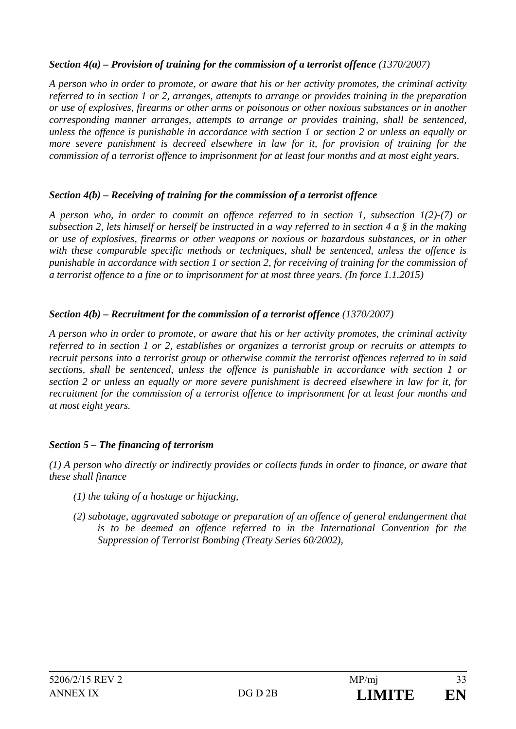# *Section 4(a) – Provision of training for the commission of a terrorist offence (1370/2007)*

*A person who in order to promote, or aware that his or her activity promotes, the criminal activity referred to in section 1 or 2, arranges, attempts to arrange or provides training in the preparation or use of explosives, firearms or other arms or poisonous or other noxious substances or in another corresponding manner arranges, attempts to arrange or provides training, shall be sentenced, unless the offence is punishable in accordance with section 1 or section 2 or unless an equally or more severe punishment is decreed elsewhere in law for it, for provision of training for the commission of a terrorist offence to imprisonment for at least four months and at most eight years.* 

# *Section 4(b) – Receiving of training for the commission of a terrorist offence*

*A person who, in order to commit an offence referred to in section 1, subsection 1(2)-(7) or subsection 2, lets himself or herself be instructed in a way referred to in section 4 a § in the making or use of explosives, firearms or other weapons or noxious or hazardous substances, or in other with these comparable specific methods or techniques, shall be sentenced, unless the offence is punishable in accordance with section 1 or section 2, for receiving of training for the commission of a terrorist offence to a fine or to imprisonment for at most three years. (In force 1.1.2015)* 

# *Section 4(b) – Recruitment for the commission of a terrorist offence (1370/2007)*

*A person who in order to promote, or aware that his or her activity promotes, the criminal activity referred to in section 1 or 2, establishes or organizes a terrorist group or recruits or attempts to recruit persons into a terrorist group or otherwise commit the terrorist offences referred to in said sections, shall be sentenced, unless the offence is punishable in accordance with section 1 or section 2 or unless an equally or more severe punishment is decreed elsewhere in law for it, for recruitment for the commission of a terrorist offence to imprisonment for at least four months and at most eight years.* 

# *Section 5 – The financing of terrorism*

*(1) A person who directly or indirectly provides or collects funds in order to finance, or aware that these shall finance* 

- *(1) the taking of a hostage or hijacking,*
- *(2) sabotage, aggravated sabotage or preparation of an offence of general endangerment that*  is to be deemed an offence referred to in the International Convention for the *Suppression of Terrorist Bombing (Treaty Series 60/2002),*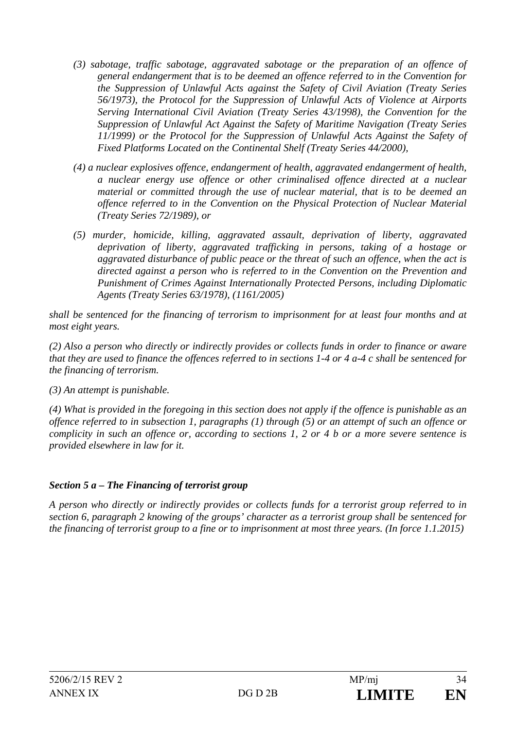- *(3) sabotage, traffic sabotage, aggravated sabotage or the preparation of an offence of general endangerment that is to be deemed an offence referred to in the Convention for the Suppression of Unlawful Acts against the Safety of Civil Aviation (Treaty Series 56/1973), the Protocol for the Suppression of Unlawful Acts of Violence at Airports Serving International Civil Aviation (Treaty Series 43/1998), the Convention for the Suppression of Unlawful Act Against the Safety of Maritime Navigation (Treaty Series 11/1999) or the Protocol for the Suppression of Unlawful Acts Against the Safety of Fixed Platforms Located on the Continental Shelf (Treaty Series 44/2000),*
- *(4) a nuclear explosives offence, endangerment of health, aggravated endangerment of health, a nuclear energy use offence or other criminalised offence directed at a nuclear material or committed through the use of nuclear material, that is to be deemed an offence referred to in the Convention on the Physical Protection of Nuclear Material (Treaty Series 72/1989), or*
- *(5) murder, homicide, killing, aggravated assault, deprivation of liberty, aggravated deprivation of liberty, aggravated trafficking in persons, taking of a hostage or aggravated disturbance of public peace or the threat of such an offence, when the act is directed against a person who is referred to in the Convention on the Prevention and Punishment of Crimes Against Internationally Protected Persons, including Diplomatic Agents (Treaty Series 63/1978), (1161/2005)*

*shall be sentenced for the financing of terrorism to imprisonment for at least four months and at most eight years.* 

*(2) Also a person who directly or indirectly provides or collects funds in order to finance or aware that they are used to finance the offences referred to in sections 1-4 or 4 a-4 c shall be sentenced for the financing of terrorism.* 

*(3) An attempt is punishable.* 

*(4) What is provided in the foregoing in this section does not apply if the offence is punishable as an offence referred to in subsection 1, paragraphs (1) through (5) or an attempt of such an offence or complicity in such an offence or, according to sections 1, 2 or 4 b or a more severe sentence is provided elsewhere in law for it.* 

# *Section 5 a – The Financing of terrorist group*

*A person who directly or indirectly provides or collects funds for a terrorist group referred to in section 6, paragraph 2 knowing of the groups' character as a terrorist group shall be sentenced for the financing of terrorist group to a fine or to imprisonment at most three years. (In force 1.1.2015)*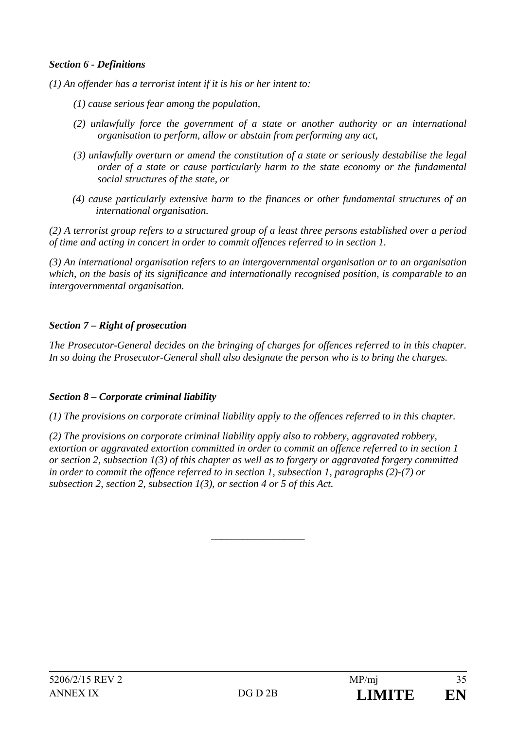### *Section 6 - Definitions*

*(1) An offender has a terrorist intent if it is his or her intent to:* 

- *(1) cause serious fear among the population,*
- *(2) unlawfully force the government of a state or another authority or an international organisation to perform, allow or abstain from performing any act,*
- *(3) unlawfully overturn or amend the constitution of a state or seriously destabilise the legal order of a state or cause particularly harm to the state economy or the fundamental social structures of the state, or*
- *(4) cause particularly extensive harm to the finances or other fundamental structures of an international organisation.*

*(2) A terrorist group refers to a structured group of a least three persons established over a period of time and acting in concert in order to commit offences referred to in section 1.* 

*(3) An international organisation refers to an intergovernmental organisation or to an organisation which, on the basis of its significance and internationally recognised position, is comparable to an intergovernmental organisation.* 

### *Section 7 – Right of prosecution*

*The Prosecutor-General decides on the bringing of charges for offences referred to in this chapter. In so doing the Prosecutor-General shall also designate the person who is to bring the charges.* 

#### *Section 8 – Corporate criminal liability*

*(1) The provisions on corporate criminal liability apply to the offences referred to in this chapter.* 

*(2) The provisions on corporate criminal liability apply also to robbery, aggravated robbery, extortion or aggravated extortion committed in order to commit an offence referred to in section 1 or section 2, subsection 1(3) of this chapter as well as to forgery or aggravated forgery committed in order to commit the offence referred to in section 1, subsection 1, paragraphs (2)-(7) or subsection 2, section 2, subsection 1(3), or section 4 or 5 of this Act.* 

 $\overline{\phantom{a}}$  , where  $\overline{\phantom{a}}$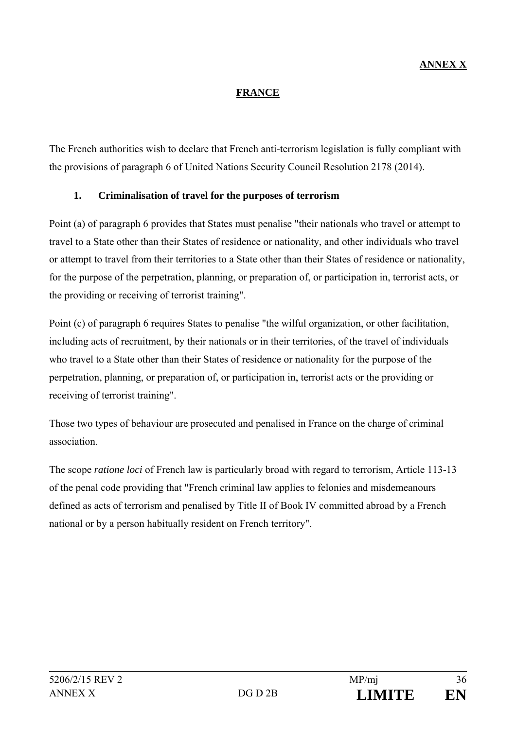# **ANNEX X**

### **FRANCE**

The French authorities wish to declare that French anti-terrorism legislation is fully compliant with the provisions of paragraph 6 of United Nations Security Council Resolution 2178 (2014).

# **1. Criminalisation of travel for the purposes of terrorism**

Point (a) of paragraph 6 provides that States must penalise "their nationals who travel or attempt to travel to a State other than their States of residence or nationality, and other individuals who travel or attempt to travel from their territories to a State other than their States of residence or nationality, for the purpose of the perpetration, planning, or preparation of, or participation in, terrorist acts, or the providing or receiving of terrorist training".

Point (c) of paragraph 6 requires States to penalise "the wilful organization, or other facilitation, including acts of recruitment, by their nationals or in their territories, of the travel of individuals who travel to a State other than their States of residence or nationality for the purpose of the perpetration, planning, or preparation of, or participation in, terrorist acts or the providing or receiving of terrorist training".

Those two types of behaviour are prosecuted and penalised in France on the charge of criminal association.

The scope *ratione loci* of French law is particularly broad with regard to terrorism, Article 113-13 of the penal code providing that "French criminal law applies to felonies and misdemeanours defined as acts of terrorism and penalised by Title II of Book IV committed abroad by a French national or by a person habitually resident on French territory".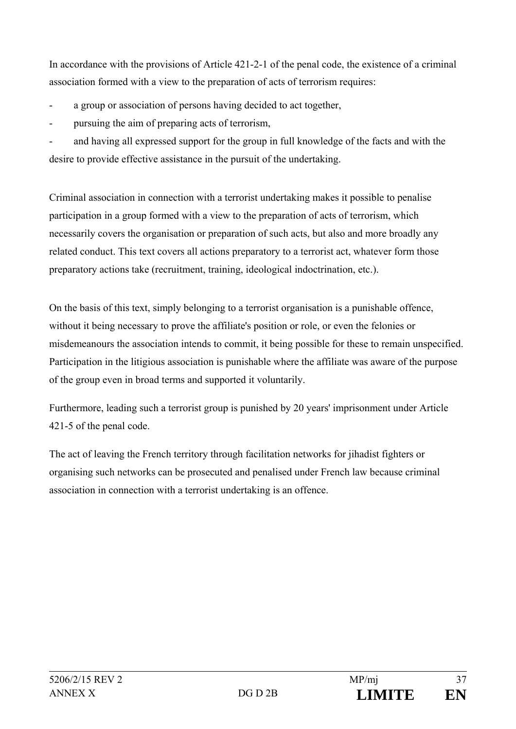In accordance with the provisions of Article 421-2-1 of the penal code, the existence of a criminal association formed with a view to the preparation of acts of terrorism requires:

- a group or association of persons having decided to act together,
- pursuing the aim of preparing acts of terrorism,

and having all expressed support for the group in full knowledge of the facts and with the desire to provide effective assistance in the pursuit of the undertaking.

Criminal association in connection with a terrorist undertaking makes it possible to penalise participation in a group formed with a view to the preparation of acts of terrorism, which necessarily covers the organisation or preparation of such acts, but also and more broadly any related conduct. This text covers all actions preparatory to a terrorist act, whatever form those preparatory actions take (recruitment, training, ideological indoctrination, etc.).

On the basis of this text, simply belonging to a terrorist organisation is a punishable offence, without it being necessary to prove the affiliate's position or role, or even the felonies or misdemeanours the association intends to commit, it being possible for these to remain unspecified. Participation in the litigious association is punishable where the affiliate was aware of the purpose of the group even in broad terms and supported it voluntarily.

Furthermore, leading such a terrorist group is punished by 20 years' imprisonment under Article 421-5 of the penal code.

The act of leaving the French territory through facilitation networks for jihadist fighters or organising such networks can be prosecuted and penalised under French law because criminal association in connection with a terrorist undertaking is an offence.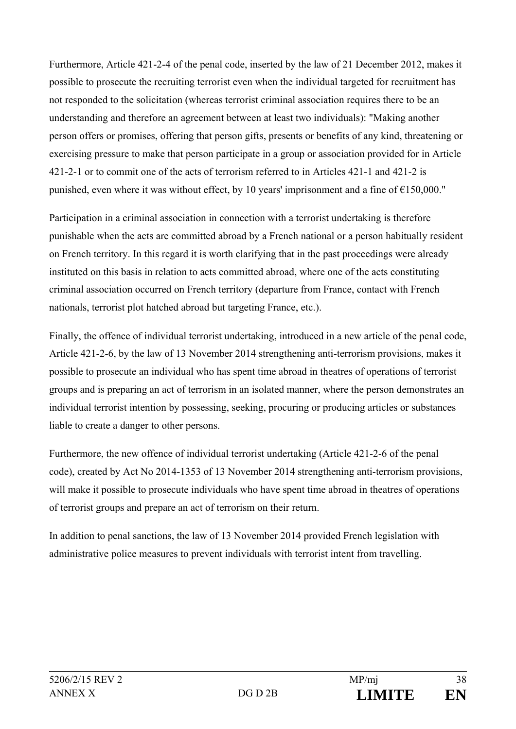Furthermore, Article 421-2-4 of the penal code, inserted by the law of 21 December 2012, makes it possible to prosecute the recruiting terrorist even when the individual targeted for recruitment has not responded to the solicitation (whereas terrorist criminal association requires there to be an understanding and therefore an agreement between at least two individuals): "Making another person offers or promises, offering that person gifts, presents or benefits of any kind, threatening or exercising pressure to make that person participate in a group or association provided for in Article 421-2-1 or to commit one of the acts of terrorism referred to in Articles 421-1 and 421-2 is punished, even where it was without effect, by 10 years' imprisonment and a fine of  $\epsilon$ 150,000."

Participation in a criminal association in connection with a terrorist undertaking is therefore punishable when the acts are committed abroad by a French national or a person habitually resident on French territory. In this regard it is worth clarifying that in the past proceedings were already instituted on this basis in relation to acts committed abroad, where one of the acts constituting criminal association occurred on French territory (departure from France, contact with French nationals, terrorist plot hatched abroad but targeting France, etc.).

Finally, the offence of individual terrorist undertaking, introduced in a new article of the penal code, Article 421-2-6, by the law of 13 November 2014 strengthening anti-terrorism provisions, makes it possible to prosecute an individual who has spent time abroad in theatres of operations of terrorist groups and is preparing an act of terrorism in an isolated manner, where the person demonstrates an individual terrorist intention by possessing, seeking, procuring or producing articles or substances liable to create a danger to other persons.

Furthermore, the new offence of individual terrorist undertaking (Article 421-2-6 of the penal code), created by Act No 2014-1353 of 13 November 2014 strengthening anti-terrorism provisions, will make it possible to prosecute individuals who have spent time abroad in theatres of operations of terrorist groups and prepare an act of terrorism on their return.

In addition to penal sanctions, the law of 13 November 2014 provided French legislation with administrative police measures to prevent individuals with terrorist intent from travelling.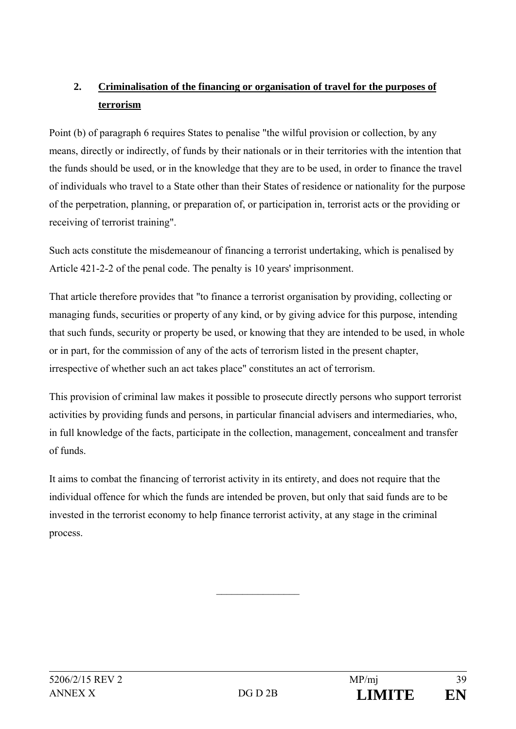# **2. Criminalisation of the financing or organisation of travel for the purposes of terrorism**

Point (b) of paragraph 6 requires States to penalise "the wilful provision or collection, by any means, directly or indirectly, of funds by their nationals or in their territories with the intention that the funds should be used, or in the knowledge that they are to be used, in order to finance the travel of individuals who travel to a State other than their States of residence or nationality for the purpose of the perpetration, planning, or preparation of, or participation in, terrorist acts or the providing or receiving of terrorist training".

Such acts constitute the misdemeanour of financing a terrorist undertaking, which is penalised by Article 421-2-2 of the penal code. The penalty is 10 years' imprisonment.

That article therefore provides that "to finance a terrorist organisation by providing, collecting or managing funds, securities or property of any kind, or by giving advice for this purpose, intending that such funds, security or property be used, or knowing that they are intended to be used, in whole or in part, for the commission of any of the acts of terrorism listed in the present chapter, irrespective of whether such an act takes place" constitutes an act of terrorism.

This provision of criminal law makes it possible to prosecute directly persons who support terrorist activities by providing funds and persons, in particular financial advisers and intermediaries, who, in full knowledge of the facts, participate in the collection, management, concealment and transfer of funds.

It aims to combat the financing of terrorist activity in its entirety, and does not require that the individual offence for which the funds are intended be proven, but only that said funds are to be invested in the terrorist economy to help finance terrorist activity, at any stage in the criminal process.

 $\frac{1}{2}$  ,  $\frac{1}{2}$  ,  $\frac{1}{2}$  ,  $\frac{1}{2}$  ,  $\frac{1}{2}$  ,  $\frac{1}{2}$  ,  $\frac{1}{2}$  ,  $\frac{1}{2}$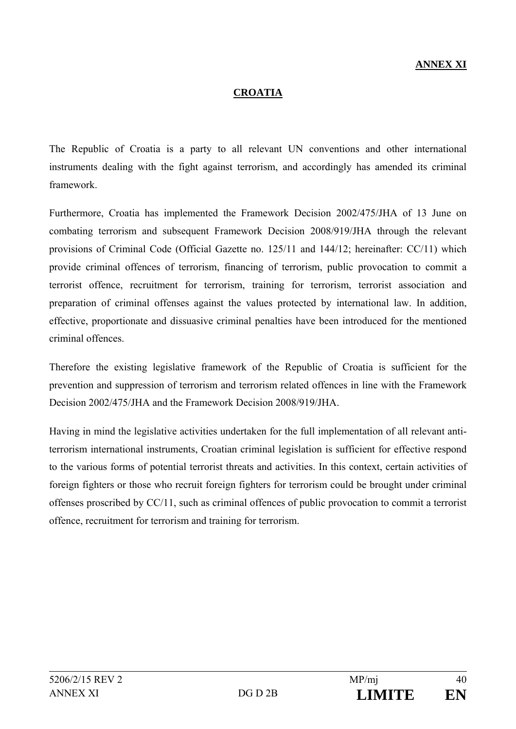#### **CROATIA**

The Republic of Croatia is a party to all relevant UN conventions and other international instruments dealing with the fight against terrorism, and accordingly has amended its criminal framework.

Furthermore, Croatia has implemented the Framework Decision 2002/475/JHA of 13 June on combating terrorism and subsequent Framework Decision 2008/919/JHA through the relevant provisions of Criminal Code (Official Gazette no. 125/11 and 144/12; hereinafter: CC/11) which provide criminal offences of terrorism, financing of terrorism, public provocation to commit a terrorist offence, recruitment for terrorism, training for terrorism, terrorist association and preparation of criminal offenses against the values protected by international law. In addition, effective, proportionate and dissuasive criminal penalties have been introduced for the mentioned criminal offences.

Therefore the existing legislative framework of the Republic of Croatia is sufficient for the prevention and suppression of terrorism and terrorism related offences in line with the Framework Decision 2002/475/JHA and the Framework Decision 2008/919/JHA.

Having in mind the legislative activities undertaken for the full implementation of all relevant antiterrorism international instruments, Croatian criminal legislation is sufficient for effective respond to the various forms of potential terrorist threats and activities. In this context, certain activities of foreign fighters or those who recruit foreign fighters for terrorism could be brought under criminal offenses proscribed by CC/11, such as criminal offences of public provocation to commit a terrorist offence, recruitment for terrorism and training for terrorism.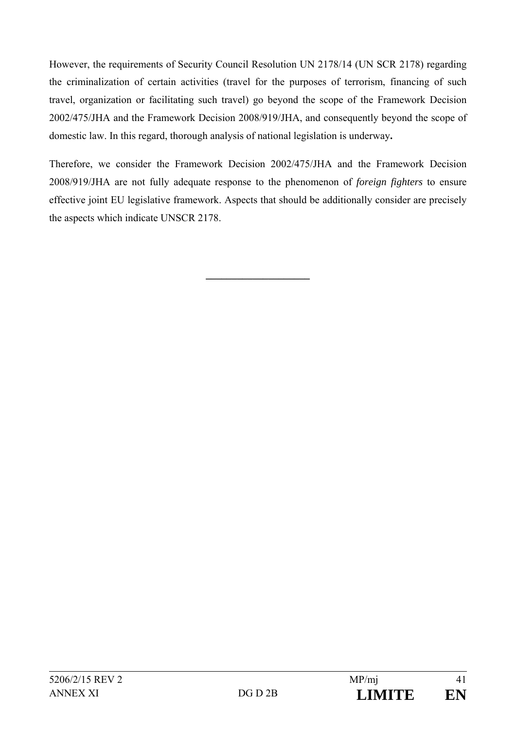However, the requirements of Security Council Resolution UN 2178/14 (UN SCR 2178) regarding the criminalization of certain activities (travel for the purposes of terrorism, financing of such travel, organization or facilitating such travel) go beyond the scope of the Framework Decision 2002/475/JHA and the Framework Decision 2008/919/JHA, and consequently beyond the scope of domestic law. In this regard, thorough analysis of national legislation is underway**.**

Therefore, we consider the Framework Decision 2002/475/JHA and the Framework Decision 2008/919/JHA are not fully adequate response to the phenomenon of *foreign fighters* to ensure effective joint EU legislative framework. Aspects that should be additionally consider are precisely the aspects which indicate UNSCR 2178.

**\_\_\_\_\_\_\_\_\_\_\_\_\_\_\_\_\_\_\_\_**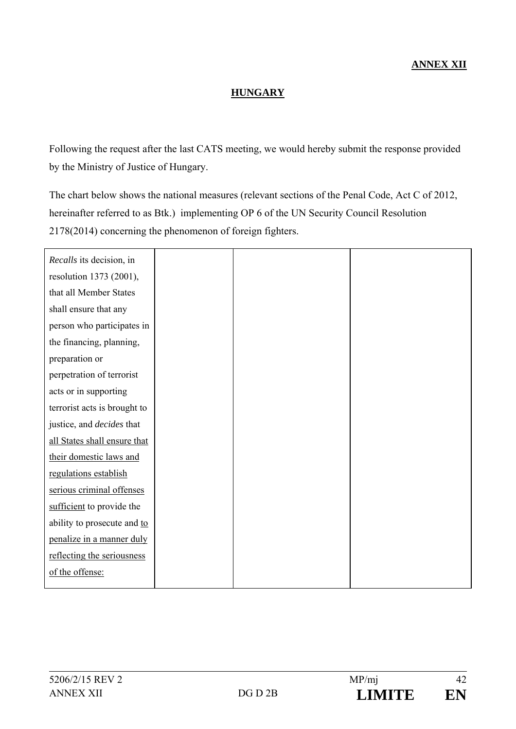## **HUNGARY**

Following the request after the last CATS meeting, we would hereby submit the response provided by the Ministry of Justice of Hungary.

The chart below shows the national measures (relevant sections of the Penal Code, Act C of 2012, hereinafter referred to as Btk.) implementing OP 6 of the UN Security Council Resolution 2178(2014) concerning the phenomenon of foreign fighters.

| Recalls its decision, in         |  |  |
|----------------------------------|--|--|
| resolution 1373 (2001),          |  |  |
| that all Member States           |  |  |
| shall ensure that any            |  |  |
| person who participates in       |  |  |
| the financing, planning,         |  |  |
| preparation or                   |  |  |
| perpetration of terrorist        |  |  |
| acts or in supporting            |  |  |
| terrorist acts is brought to     |  |  |
| justice, and <i>decides</i> that |  |  |
| all States shall ensure that     |  |  |
| their domestic laws and          |  |  |
| regulations establish            |  |  |
| serious criminal offenses        |  |  |
| sufficient to provide the        |  |  |
| ability to prosecute and to      |  |  |
| penalize in a manner duly        |  |  |
| reflecting the seriousness       |  |  |
| of the offense:                  |  |  |
|                                  |  |  |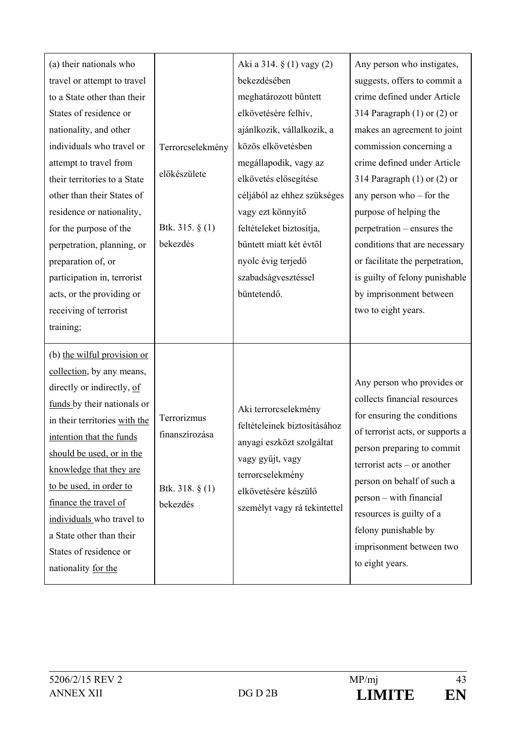| (a) their nationals who<br>travel or attempt to travel<br>to a State other than their<br>States of residence or<br>nationality, and other<br>individuals who travel or<br>attempt to travel from<br>their territories to a State<br>other than their States of<br>residence or nationality,                                                                                                              | Terrorcselekmény<br>előkészülete                               | Aki a 314. § (1) vagy (2)<br>bekezdésében<br>meghatározott bűntett<br>elkövetésére felhív,<br>ajánlkozik, vállalkozik, a<br>közös elkövetésben<br>megállapodik, vagy az<br>elkövetés elősegítése<br>céljából az ehhez szükséges<br>vagy ezt könnyítő | Any person who instigates,<br>suggests, offers to commit a<br>crime defined under Article<br>314 Paragraph $(1)$ or $(2)$ or<br>makes an agreement to joint<br>commission concerning a<br>crime defined under Article<br>314 Paragraph $(1)$ or $(2)$ or<br>any person who $-$ for the<br>purpose of helping the                                                               |
|----------------------------------------------------------------------------------------------------------------------------------------------------------------------------------------------------------------------------------------------------------------------------------------------------------------------------------------------------------------------------------------------------------|----------------------------------------------------------------|------------------------------------------------------------------------------------------------------------------------------------------------------------------------------------------------------------------------------------------------------|--------------------------------------------------------------------------------------------------------------------------------------------------------------------------------------------------------------------------------------------------------------------------------------------------------------------------------------------------------------------------------|
| for the purpose of the<br>perpetration, planning, or                                                                                                                                                                                                                                                                                                                                                     | Btk. 315. $\S(1)$<br>bekezdés                                  | feltételeket biztosítja,<br>bűntett miatt két évtől                                                                                                                                                                                                  | perpetration – ensures the<br>conditions that are necessary                                                                                                                                                                                                                                                                                                                    |
| preparation of, or<br>participation in, terrorist<br>acts, or the providing or<br>receiving of terrorist<br>training;                                                                                                                                                                                                                                                                                    |                                                                | nyolc évig terjedő<br>szabadságvesztéssel<br>büntetendő.                                                                                                                                                                                             | or facilitate the perpetration,<br>is guilty of felony punishable<br>by imprisonment between<br>two to eight years.                                                                                                                                                                                                                                                            |
| (b) the wilful provision or<br>collection, by any means,<br>directly or indirectly, of<br>funds by their nationals or<br>in their territories with the<br>intention that the funds<br>should be used, or in the<br>knowledge that they are<br>to be used, in order to<br>finance the travel of<br>individuals who travel to<br>a State other than their<br>States of residence or<br>nationality for the | Terrorizmus<br>finanszírozása<br>Btk. 318. $\S(1)$<br>bekezdés | Aki terrorcselekmény<br>feltételeinek biztosításához<br>anyagi eszközt szolgáltat<br>vagy gyűjt, vagy<br>terrorcselekmény<br>elkövetésére készülő<br>személyt vagy rá tekintettel                                                                    | Any person who provides or<br>collects financial resources<br>for ensuring the conditions<br>of terrorist acts, or supports a<br>person preparing to commit<br>$\text{terrorist } \text{acts} - \text{or another}$<br>person on behalf of such a<br>person – with financial<br>resources is guilty of a<br>felony punishable by<br>imprisonment between two<br>to eight years. |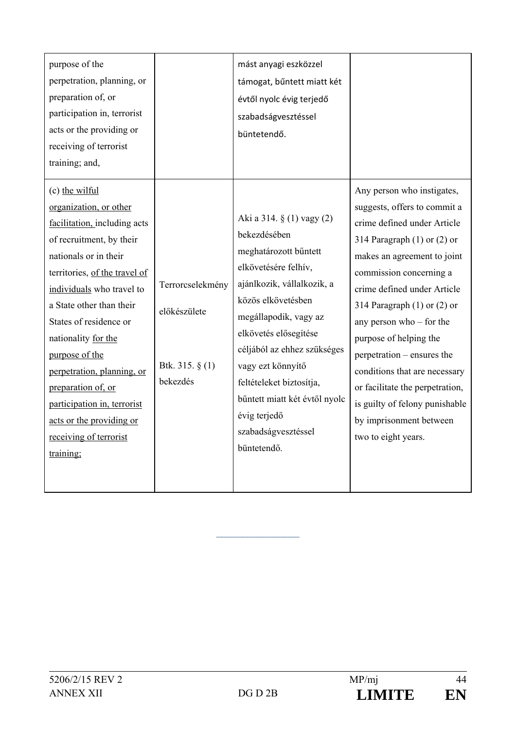| purpose of the<br>perpetration, planning, or<br>preparation of, or<br>participation in, terrorist<br>acts or the providing or<br>receiving of terrorist<br>training; and,<br>(c) the wilful<br>organization, or other                                                                                                                                                                                |                                                                    | mást anyagi eszközzel<br>támogat, bűntett miatt két<br>évtől nyolc évig terjedő<br>szabadságvesztéssel<br>büntetendő.                                                                                                                                                                                                                                                   | Any person who instigates,<br>suggests, offers to commit a                                                                                                                                                                                                                                                                                                                                                                               |
|------------------------------------------------------------------------------------------------------------------------------------------------------------------------------------------------------------------------------------------------------------------------------------------------------------------------------------------------------------------------------------------------------|--------------------------------------------------------------------|-------------------------------------------------------------------------------------------------------------------------------------------------------------------------------------------------------------------------------------------------------------------------------------------------------------------------------------------------------------------------|------------------------------------------------------------------------------------------------------------------------------------------------------------------------------------------------------------------------------------------------------------------------------------------------------------------------------------------------------------------------------------------------------------------------------------------|
| facilitation, including acts<br>of recruitment, by their<br>nationals or in their<br>territories, of the travel of<br>individuals who travel to<br>a State other than their<br>States of residence or<br>nationality for the<br>purpose of the<br>perpetration, planning, or<br>preparation of, or<br>participation in, terrorist<br>acts or the providing or<br>receiving of terrorist<br>training; | Terrorcselekmény<br>előkészülete<br>Btk. 315. $\S$ (1)<br>bekezdés | Aki a 314. § (1) vagy (2)<br>bekezdésében<br>meghatározott bűntett<br>elkövetésére felhív,<br>ajánlkozik, vállalkozik, a<br>közös elkövetésben<br>megállapodik, vagy az<br>elkövetés elősegítése<br>céljából az ehhez szükséges<br>vagy ezt könnyítő<br>feltételeket biztosítja,<br>bűntett miatt két évtől nyolc<br>évig terjedő<br>szabadságvesztéssel<br>büntetendő. | crime defined under Article<br>314 Paragraph $(1)$ or $(2)$ or<br>makes an agreement to joint<br>commission concerning a<br>crime defined under Article<br>314 Paragraph $(1)$ or $(2)$ or<br>any person who $-$ for the<br>purpose of helping the<br>perpetration – ensures the<br>conditions that are necessary<br>or facilitate the perpetration,<br>is guilty of felony punishable<br>by imprisonment between<br>two to eight years. |

 $\mathcal{L}_\text{max}$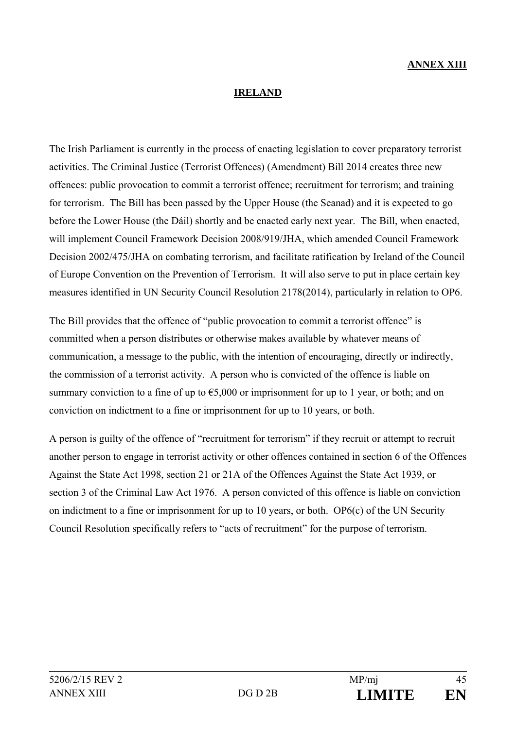#### **ANNEX XIII**

#### **IRELAND**

The Irish Parliament is currently in the process of enacting legislation to cover preparatory terrorist activities. The Criminal Justice (Terrorist Offences) (Amendment) Bill 2014 creates three new offences: public provocation to commit a terrorist offence; recruitment for terrorism; and training for terrorism. The Bill has been passed by the Upper House (the Seanad) and it is expected to go before the Lower House (the Dáil) shortly and be enacted early next year. The Bill, when enacted, will implement Council Framework Decision 2008/919/JHA, which amended Council Framework Decision 2002/475/JHA on combating terrorism, and facilitate ratification by Ireland of the Council of Europe Convention on the Prevention of Terrorism. It will also serve to put in place certain key measures identified in UN Security Council Resolution 2178(2014), particularly in relation to OP6.

The Bill provides that the offence of "public provocation to commit a terrorist offence" is committed when a person distributes or otherwise makes available by whatever means of communication, a message to the public, with the intention of encouraging, directly or indirectly, the commission of a terrorist activity. A person who is convicted of the offence is liable on summary conviction to a fine of up to  $65,000$  or imprisonment for up to 1 year, or both; and on conviction on indictment to a fine or imprisonment for up to 10 years, or both.

A person is guilty of the offence of "recruitment for terrorism" if they recruit or attempt to recruit another person to engage in terrorist activity or other offences contained in section 6 of the Offences Against the State Act 1998, section 21 or 21A of the Offences Against the State Act 1939, or section 3 of the Criminal Law Act 1976. A person convicted of this offence is liable on conviction on indictment to a fine or imprisonment for up to 10 years, or both. OP6(c) of the UN Security Council Resolution specifically refers to "acts of recruitment" for the purpose of terrorism.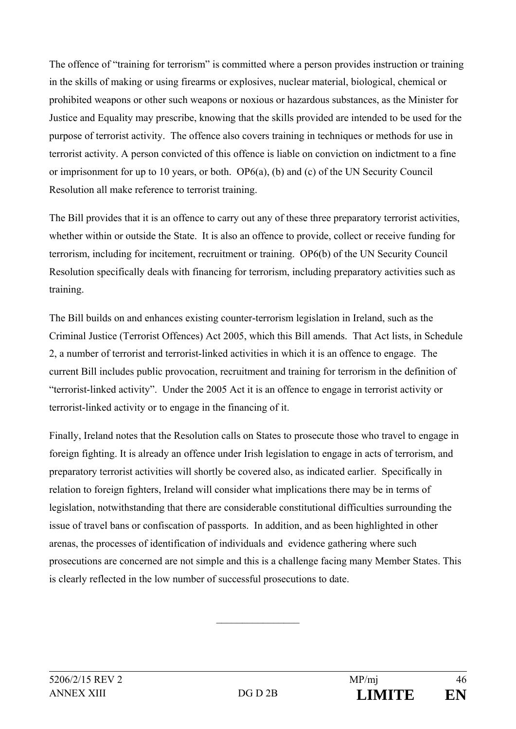The offence of "training for terrorism" is committed where a person provides instruction or training in the skills of making or using firearms or explosives, nuclear material, biological, chemical or prohibited weapons or other such weapons or noxious or hazardous substances, as the Minister for Justice and Equality may prescribe, knowing that the skills provided are intended to be used for the purpose of terrorist activity. The offence also covers training in techniques or methods for use in terrorist activity. A person convicted of this offence is liable on conviction on indictment to a fine or imprisonment for up to 10 years, or both. OP6(a), (b) and (c) of the UN Security Council Resolution all make reference to terrorist training.

The Bill provides that it is an offence to carry out any of these three preparatory terrorist activities, whether within or outside the State. It is also an offence to provide, collect or receive funding for terrorism, including for incitement, recruitment or training. OP6(b) of the UN Security Council Resolution specifically deals with financing for terrorism, including preparatory activities such as training.

The Bill builds on and enhances existing counter-terrorism legislation in Ireland, such as the Criminal Justice (Terrorist Offences) Act 2005, which this Bill amends. That Act lists, in Schedule 2, a number of terrorist and terrorist-linked activities in which it is an offence to engage. The current Bill includes public provocation, recruitment and training for terrorism in the definition of "terrorist-linked activity". Under the 2005 Act it is an offence to engage in terrorist activity or terrorist-linked activity or to engage in the financing of it.

Finally, Ireland notes that the Resolution calls on States to prosecute those who travel to engage in foreign fighting. It is already an offence under Irish legislation to engage in acts of terrorism, and preparatory terrorist activities will shortly be covered also, as indicated earlier. Specifically in relation to foreign fighters, Ireland will consider what implications there may be in terms of legislation, notwithstanding that there are considerable constitutional difficulties surrounding the issue of travel bans or confiscation of passports. In addition, and as been highlighted in other arenas, the processes of identification of individuals and evidence gathering where such prosecutions are concerned are not simple and this is a challenge facing many Member States. This is clearly reflected in the low number of successful prosecutions to date.

 $\frac{1}{2}$  ,  $\frac{1}{2}$  ,  $\frac{1}{2}$  ,  $\frac{1}{2}$  ,  $\frac{1}{2}$  ,  $\frac{1}{2}$  ,  $\frac{1}{2}$  ,  $\frac{1}{2}$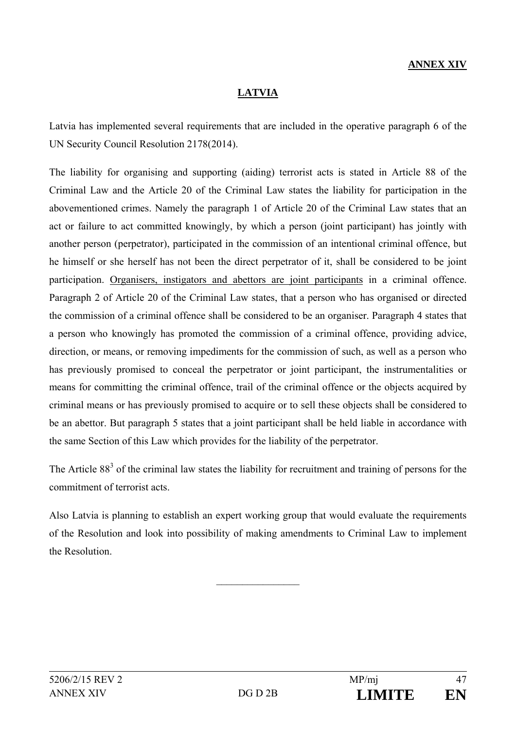## **ANNEX XIV**

### **LATVIA**

Latvia has implemented several requirements that are included in the operative paragraph 6 of the UN Security Council Resolution 2178(2014).

The liability for organising and supporting (aiding) terrorist acts is stated in Article 88 of the Criminal Law and the Article 20 of the Criminal Law states the liability for participation in the abovementioned crimes. Namely the paragraph 1 of Article 20 of the Criminal Law states that an act or failure to act committed knowingly, by which a person (joint participant) has jointly with another person (perpetrator), participated in the commission of an intentional criminal offence, but he himself or she herself has not been the direct perpetrator of it, shall be considered to be joint participation. Organisers, instigators and abettors are joint participants in a criminal offence. Paragraph 2 of Article 20 of the Criminal Law states, that a person who has organised or directed the commission of a criminal offence shall be considered to be an organiser. Paragraph 4 states that a person who knowingly has promoted the commission of a criminal offence, providing advice, direction, or means, or removing impediments for the commission of such, as well as a person who has previously promised to conceal the perpetrator or joint participant, the instrumentalities or means for committing the criminal offence, trail of the criminal offence or the objects acquired by criminal means or has previously promised to acquire or to sell these objects shall be considered to be an abettor. But paragraph 5 states that a joint participant shall be held liable in accordance with the same Section of this Law which provides for the liability of the perpetrator.

The Article  $88<sup>3</sup>$  of the criminal law states the liability for recruitment and training of persons for the commitment of terrorist acts.

Also Latvia is planning to establish an expert working group that would evaluate the requirements of the Resolution and look into possibility of making amendments to Criminal Law to implement the Resolution.

 $\mathcal{L}_\text{max}$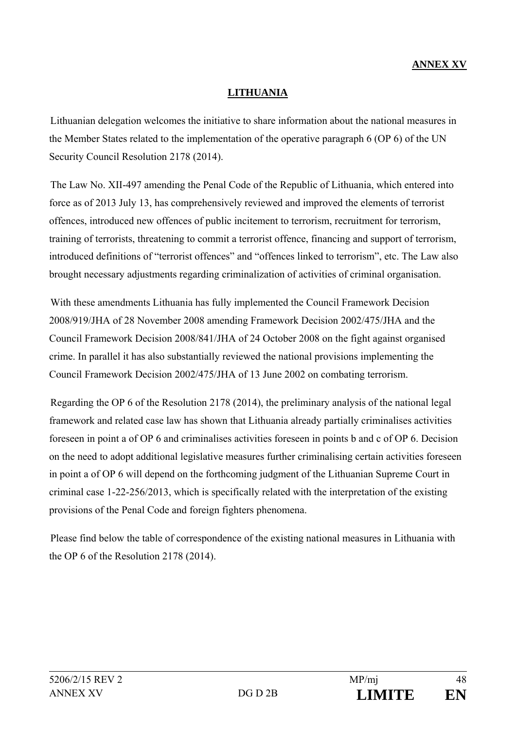## **ANNEX XV**

### **LITHUANIA**

Lithuanian delegation welcomes the initiative to share information about the national measures in the Member States related to the implementation of the operative paragraph 6 (OP 6) of the UN Security Council Resolution 2178 (2014).

The Law No. XII-497 amending the Penal Code of the Republic of Lithuania, which entered into force as of 2013 July 13, has comprehensively reviewed and improved the elements of terrorist offences, introduced new offences of public incitement to terrorism, recruitment for terrorism, training of terrorists, threatening to commit a terrorist offence, financing and support of terrorism, introduced definitions of "terrorist offences" and "offences linked to terrorism", etc. The Law also brought necessary adjustments regarding criminalization of activities of criminal organisation.

With these amendments Lithuania has fully implemented the Council Framework Decision 2008/919/JHA of 28 November 2008 amending Framework Decision 2002/475/JHA and the Council Framework Decision 2008/841/JHA of 24 October 2008 on the fight against organised crime. In parallel it has also substantially reviewed the national provisions implementing the Council Framework Decision 2002/475/JHA of 13 June 2002 on combating terrorism.

Regarding the OP 6 of the Resolution 2178 (2014), the preliminary analysis of the national legal framework and related case law has shown that Lithuania already partially criminalises activities foreseen in point a of OP 6 and criminalises activities foreseen in points b and c of OP 6. Decision on the need to adopt additional legislative measures further criminalising certain activities foreseen in point a of OP 6 will depend on the forthcoming judgment of the Lithuanian Supreme Court in criminal case 1-22-256/2013, which is specifically related with the interpretation of the existing provisions of the Penal Code and foreign fighters phenomena.

Please find below the table of correspondence of the existing national measures in Lithuania with the OP 6 of the Resolution 2178 (2014).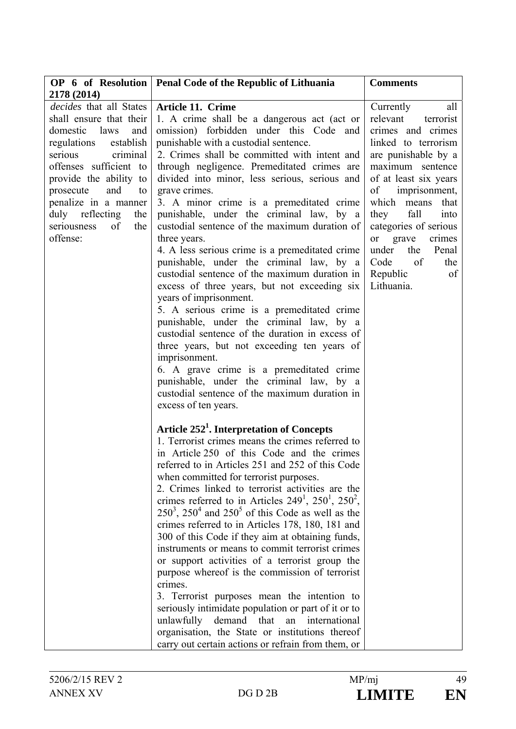|                                | OP 6 of Resolution   Penal Code of the Republic of Lithuania | <b>Comments</b>       |
|--------------------------------|--------------------------------------------------------------|-----------------------|
| 2178 (2014)                    |                                                              |                       |
| <i>decides</i> that all States | <b>Article 11. Crime</b>                                     | Currently<br>all      |
| shall ensure that their        | 1. A crime shall be a dangerous act (act or                  | relevant<br>terrorist |
| domestic laws<br>and           | omission) forbidden under this Code and                      | crimes and crimes     |
| regulations<br>establish       | punishable with a custodial sentence.                        | linked to terrorism   |
| serious<br>criminal            | 2. Crimes shall be committed with intent and                 | are punishable by a   |
| offenses sufficient to         | through negligence. Premeditated crimes are                  | maximum sentence      |
| provide the ability to         | divided into minor, less serious, serious and                | of at least six years |
| and<br>prosecute<br>to         | grave crimes.                                                | imprisonment,<br>of   |
| penalize in a manner           | 3. A minor crime is a premeditated crime                     | which means<br>that   |
| duly reflecting<br>the         | punishable, under the criminal law, by a                     | fall<br>they<br>into  |
| seriousness<br>the<br>of       | custodial sentence of the maximum duration of                | categories of serious |
| offense:                       | three years.                                                 | or grave<br>crimes    |
|                                | 4. A less serious crime is a premeditated crime              | under<br>the Penal    |
|                                | punishable, under the criminal law, by a                     | Code<br>of<br>the     |
|                                | custodial sentence of the maximum duration in                | Republic<br>of        |
|                                | excess of three years, but not exceeding six                 | Lithuania.            |
|                                | years of imprisonment.                                       |                       |
|                                | 5. A serious crime is a premeditated crime                   |                       |
|                                | punishable, under the criminal law, by a                     |                       |
|                                | custodial sentence of the duration in excess of              |                       |
|                                | three years, but not exceeding ten years of                  |                       |
|                                | imprisonment.                                                |                       |
|                                | 6. A grave crime is a premeditated crime                     |                       |
|                                | punishable, under the criminal law, by a                     |                       |
|                                | custodial sentence of the maximum duration in                |                       |
|                                | excess of ten years.                                         |                       |
|                                | Article 252 <sup>1</sup> . Interpretation of Concepts        |                       |
|                                | 1. Terrorist crimes means the crimes referred to             |                       |
|                                | in Article 250 of this Code and the crimes                   |                       |
|                                | referred to in Articles 251 and 252 of this Code             |                       |
|                                | when committed for terrorist purposes.                       |                       |
|                                | 2. Crimes linked to terrorist activities are the             |                       |
|                                | crimes referred to in Articles $249^1$ , $250^1$ , $250^2$ , |                       |
|                                | $250^3$ , $250^4$ and $250^5$ of this Code as well as the    |                       |
|                                | crimes referred to in Articles 178, 180, 181 and             |                       |
|                                | 300 of this Code if they aim at obtaining funds,             |                       |
|                                | instruments or means to commit terrorist crimes              |                       |
|                                | or support activities of a terrorist group the               |                       |
|                                | purpose whereof is the commission of terrorist               |                       |
|                                | crimes.                                                      |                       |
|                                | 3. Terrorist purposes mean the intention to                  |                       |
|                                | seriously intimidate population or part of it or to          |                       |
|                                | unlawfully<br>demand that<br>an<br>international             |                       |
|                                | organisation, the State or institutions thereof              |                       |
|                                | carry out certain actions or refrain from them, or           |                       |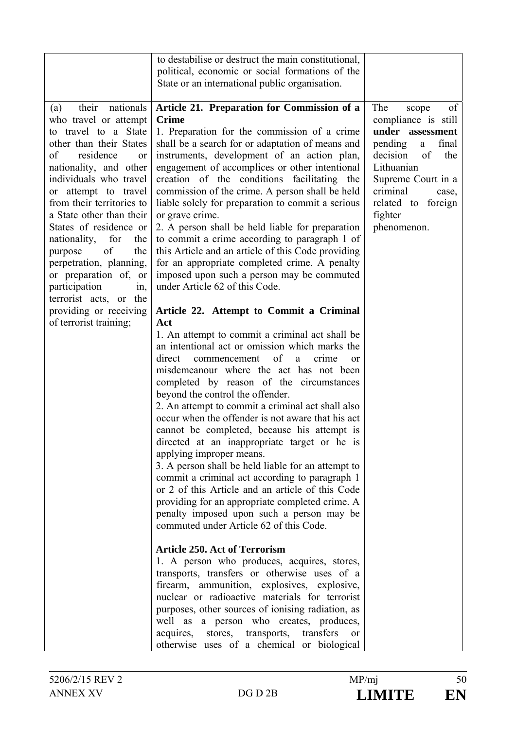|                                                                                                                                                                                                                                                                                                                                                                                                                                                                                                                          | to destabilise or destruct the main constitutional,                                                                                                                                                                                                                                                                                                                                                                                                                                                                                                                                                                                                                                                                                                                                                                                                                                                                                                                                                                                                                                                                                                                                                                                                                                                                                                                                                                                                                                                                                                                                                                                                                                                                                                                                                                                                                                                                                                                                 |                                                                                                                                                                                                                                     |
|--------------------------------------------------------------------------------------------------------------------------------------------------------------------------------------------------------------------------------------------------------------------------------------------------------------------------------------------------------------------------------------------------------------------------------------------------------------------------------------------------------------------------|-------------------------------------------------------------------------------------------------------------------------------------------------------------------------------------------------------------------------------------------------------------------------------------------------------------------------------------------------------------------------------------------------------------------------------------------------------------------------------------------------------------------------------------------------------------------------------------------------------------------------------------------------------------------------------------------------------------------------------------------------------------------------------------------------------------------------------------------------------------------------------------------------------------------------------------------------------------------------------------------------------------------------------------------------------------------------------------------------------------------------------------------------------------------------------------------------------------------------------------------------------------------------------------------------------------------------------------------------------------------------------------------------------------------------------------------------------------------------------------------------------------------------------------------------------------------------------------------------------------------------------------------------------------------------------------------------------------------------------------------------------------------------------------------------------------------------------------------------------------------------------------------------------------------------------------------------------------------------------------|-------------------------------------------------------------------------------------------------------------------------------------------------------------------------------------------------------------------------------------|
|                                                                                                                                                                                                                                                                                                                                                                                                                                                                                                                          | political, economic or social formations of the                                                                                                                                                                                                                                                                                                                                                                                                                                                                                                                                                                                                                                                                                                                                                                                                                                                                                                                                                                                                                                                                                                                                                                                                                                                                                                                                                                                                                                                                                                                                                                                                                                                                                                                                                                                                                                                                                                                                     |                                                                                                                                                                                                                                     |
|                                                                                                                                                                                                                                                                                                                                                                                                                                                                                                                          |                                                                                                                                                                                                                                                                                                                                                                                                                                                                                                                                                                                                                                                                                                                                                                                                                                                                                                                                                                                                                                                                                                                                                                                                                                                                                                                                                                                                                                                                                                                                                                                                                                                                                                                                                                                                                                                                                                                                                                                     |                                                                                                                                                                                                                                     |
| their<br>nationals<br>(a)<br>who travel or attempt<br>to travel to a State<br>other than their States<br>of<br>residence<br><sub>or</sub><br>nationality, and other<br>individuals who travel<br>or attempt to travel<br>from their territories to<br>a State other than their<br>States of residence or<br>nationality,<br>for<br>the<br>of<br>purpose<br>the<br>perpetration, planning,<br>or preparation of, or<br>participation<br>in,<br>terrorist acts, or the<br>providing or receiving<br>of terrorist training; | State or an international public organisation.<br>Article 21. Preparation for Commission of a<br><b>Crime</b><br>1. Preparation for the commission of a crime<br>shall be a search for or adaptation of means and<br>instruments, development of an action plan,<br>engagement of accomplices or other intentional<br>creation of the conditions facilitating the<br>commission of the crime. A person shall be held<br>liable solely for preparation to commit a serious<br>or grave crime.<br>2. A person shall be held liable for preparation<br>to commit a crime according to paragraph 1 of<br>this Article and an article of this Code providing<br>for an appropriate completed crime. A penalty<br>imposed upon such a person may be commuted<br>under Article 62 of this Code.<br>Article 22. Attempt to Commit a Criminal<br>Act<br>1. An attempt to commit a criminal act shall be<br>an intentional act or omission which marks the<br>direct<br>of<br>commencement<br>a<br>crime<br><sub>or</sub><br>misdemeanour where the act has not been<br>completed by reason of the circumstances<br>beyond the control the offender.<br>2. An attempt to commit a criminal act shall also<br>occur when the offender is not aware that his act<br>cannot be completed, because his attempt is<br>directed at an inappropriate target or he is<br>applying improper means.<br>3. A person shall be held liable for an attempt to<br>commit a criminal act according to paragraph 1<br>or 2 of this Article and an article of this Code<br>providing for an appropriate completed crime. A<br>penalty imposed upon such a person may be<br>commuted under Article 62 of this Code.<br><b>Article 250. Act of Terrorism</b><br>1. A person who produces, acquires, stores,<br>transports, transfers or otherwise uses of a<br>firearm, ammunition, explosives, explosive,<br>nuclear or radioactive materials for terrorist<br>purposes, other sources of ionising radiation, as | The<br>of<br>scope<br>compliance is still<br>under assessment<br>pending<br>final<br>$\mathbf{a}$<br>of<br>the<br>decision<br>Lithuanian<br>Supreme Court in a<br>criminal<br>case,<br>related to foreign<br>fighter<br>phenomenon. |
|                                                                                                                                                                                                                                                                                                                                                                                                                                                                                                                          | well as a person who creates, produces,<br>acquires, stores, transports, transfers<br>or                                                                                                                                                                                                                                                                                                                                                                                                                                                                                                                                                                                                                                                                                                                                                                                                                                                                                                                                                                                                                                                                                                                                                                                                                                                                                                                                                                                                                                                                                                                                                                                                                                                                                                                                                                                                                                                                                            |                                                                                                                                                                                                                                     |
|                                                                                                                                                                                                                                                                                                                                                                                                                                                                                                                          | otherwise uses of a chemical or biological                                                                                                                                                                                                                                                                                                                                                                                                                                                                                                                                                                                                                                                                                                                                                                                                                                                                                                                                                                                                                                                                                                                                                                                                                                                                                                                                                                                                                                                                                                                                                                                                                                                                                                                                                                                                                                                                                                                                          |                                                                                                                                                                                                                                     |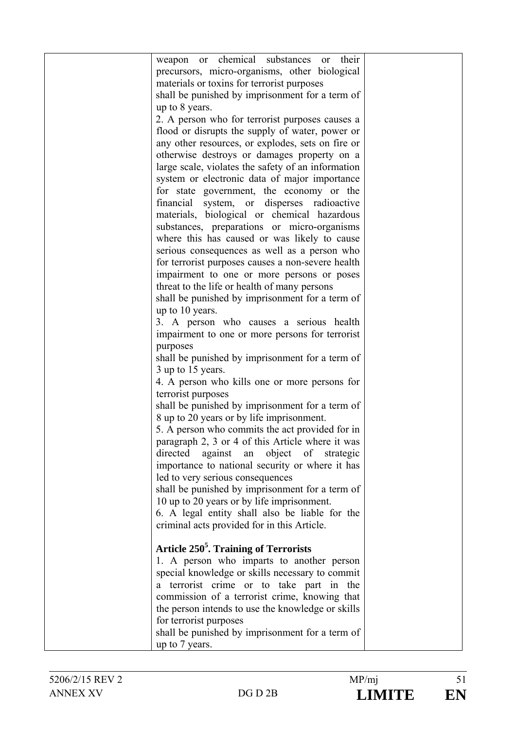| weapon or chemical substances<br>or their          |  |
|----------------------------------------------------|--|
| precursors, micro-organisms, other biological      |  |
| materials or toxins for terrorist purposes         |  |
| shall be punished by imprisonment for a term of    |  |
| up to 8 years.                                     |  |
| 2. A person who for terrorist purposes causes a    |  |
|                                                    |  |
| flood or disrupts the supply of water, power or    |  |
| any other resources, or explodes, sets on fire or  |  |
| otherwise destroys or damages property on a        |  |
| large scale, violates the safety of an information |  |
| system or electronic data of major importance      |  |
| for state government, the economy or the           |  |
| financial system, or disperses radioactive         |  |
| materials, biological or chemical hazardous        |  |
| substances, preparations or micro-organisms        |  |
| where this has caused or was likely to cause       |  |
| serious consequences as well as a person who       |  |
| for terrorist purposes causes a non-severe health  |  |
| impairment to one or more persons or poses         |  |
| threat to the life or health of many persons       |  |
| shall be punished by imprisonment for a term of    |  |
| up to 10 years.                                    |  |
| 3. A person who causes a serious health            |  |
| impairment to one or more persons for terrorist    |  |
| purposes                                           |  |
| shall be punished by imprisonment for a term of    |  |
| 3 up to 15 years.                                  |  |
| 4. A person who kills one or more persons for      |  |
| terrorist purposes                                 |  |
| shall be punished by imprisonment for a term of    |  |
| 8 up to 20 years or by life imprisonment.          |  |
| 5. A person who commits the act provided for in    |  |
| paragraph 2, 3 or 4 of this Article where it was   |  |
|                                                    |  |
| directed against an object of strategic            |  |
| importance to national security or where it has    |  |
| led to very serious consequences                   |  |
| shall be punished by imprisonment for a term of    |  |
| 10 up to 20 years or by life imprisonment.         |  |
| 6. A legal entity shall also be liable for the     |  |
| criminal acts provided for in this Article.        |  |
|                                                    |  |
| Article 250 <sup>5</sup> . Training of Terrorists  |  |
| 1. A person who imparts to another person          |  |
| special knowledge or skills necessary to commit    |  |
| a terrorist crime or to take part in the           |  |
| commission of a terrorist crime, knowing that      |  |
| the person intends to use the knowledge or skills  |  |
| for terrorist purposes                             |  |
| shall be punished by imprisonment for a term of    |  |
| up to 7 years.                                     |  |
|                                                    |  |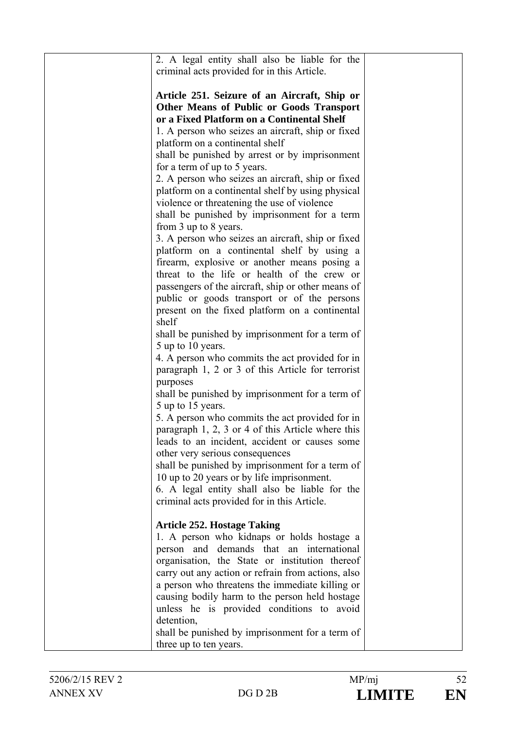| 2. A legal entity shall also be liable for the<br>criminal acts provided for in this Article. |  |
|-----------------------------------------------------------------------------------------------|--|
| Article 251. Seizure of an Aircraft, Ship or                                                  |  |
| <b>Other Means of Public or Goods Transport</b>                                               |  |
| or a Fixed Platform on a Continental Shelf                                                    |  |
| 1. A person who seizes an aircraft, ship or fixed                                             |  |
| platform on a continental shelf                                                               |  |
| shall be punished by arrest or by imprisonment<br>for a term of up to 5 years.                |  |
| 2. A person who seizes an aircraft, ship or fixed                                             |  |
| platform on a continental shelf by using physical                                             |  |
| violence or threatening the use of violence                                                   |  |
| shall be punished by imprisonment for a term                                                  |  |
| from 3 up to 8 years.                                                                         |  |
| 3. A person who seizes an aircraft, ship or fixed                                             |  |
| platform on a continental shelf by using a                                                    |  |
| firearm, explosive or another means posing a                                                  |  |
| threat to the life or health of the crew or                                                   |  |
| passengers of the aircraft, ship or other means of                                            |  |
| public or goods transport or of the persons                                                   |  |
| present on the fixed platform on a continental<br>shelf                                       |  |
| shall be punished by imprisonment for a term of<br>5 up to 10 years.                          |  |
| 4. A person who commits the act provided for in                                               |  |
| paragraph 1, 2 or 3 of this Article for terrorist<br>purposes                                 |  |
| shall be punished by imprisonment for a term of                                               |  |
| 5 up to 15 years.                                                                             |  |
| 5. A person who commits the act provided for in                                               |  |
| paragraph 1, 2, 3 or 4 of this Article where this                                             |  |
| leads to an incident, accident or causes some                                                 |  |
| other very serious consequences                                                               |  |
| shall be punished by imprisonment for a term of                                               |  |
| 10 up to 20 years or by life imprisonment.                                                    |  |
| 6. A legal entity shall also be liable for the                                                |  |
| criminal acts provided for in this Article.                                                   |  |
| <b>Article 252. Hostage Taking</b>                                                            |  |
| 1. A person who kidnaps or holds hostage a                                                    |  |
| person and demands that an international                                                      |  |
| organisation, the State or institution thereof                                                |  |
| carry out any action or refrain from actions, also                                            |  |
| a person who threatens the immediate killing or                                               |  |
| causing bodily harm to the person held hostage                                                |  |
| unless he is provided conditions to avoid                                                     |  |
| detention,<br>shall be punished by imprisonment for a term of                                 |  |
| three up to ten years.                                                                        |  |
|                                                                                               |  |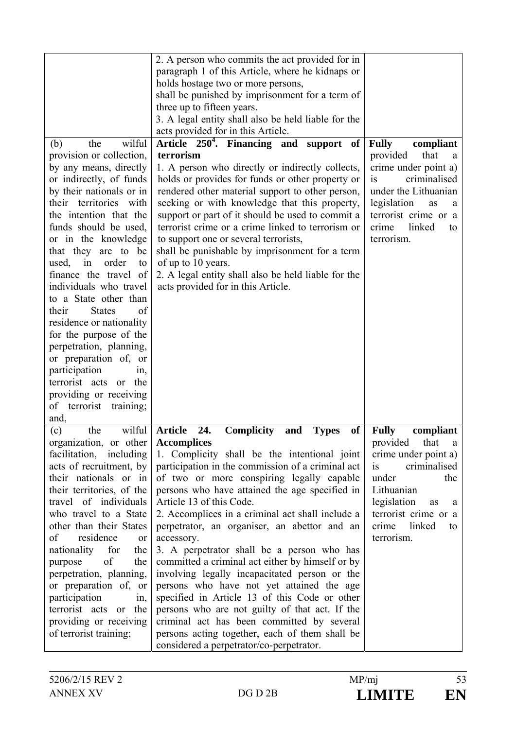|                                                                                                                                                                                                                                                                                                                                                                                                                                                                                                                                                                                                                                                      | 2. A person who commits the act provided for in<br>paragraph 1 of this Article, where he kidnaps or<br>holds hostage two or more persons,<br>shall be punished by imprisonment for a term of<br>three up to fifteen years.<br>3. A legal entity shall also be held liable for the<br>acts provided for in this Article.                                                                                                                                                                                                                                                                                                                                                                                                                                                                                                                                                                               |                                                                                                                                                                                                                         |
|------------------------------------------------------------------------------------------------------------------------------------------------------------------------------------------------------------------------------------------------------------------------------------------------------------------------------------------------------------------------------------------------------------------------------------------------------------------------------------------------------------------------------------------------------------------------------------------------------------------------------------------------------|-------------------------------------------------------------------------------------------------------------------------------------------------------------------------------------------------------------------------------------------------------------------------------------------------------------------------------------------------------------------------------------------------------------------------------------------------------------------------------------------------------------------------------------------------------------------------------------------------------------------------------------------------------------------------------------------------------------------------------------------------------------------------------------------------------------------------------------------------------------------------------------------------------|-------------------------------------------------------------------------------------------------------------------------------------------------------------------------------------------------------------------------|
| wilful<br>the<br>(b)<br>provision or collection,<br>by any means, directly<br>or indirectly, of funds<br>by their nationals or in<br>their territories with<br>the intention that the<br>funds should be used,<br>or in the knowledge<br>that they are to be<br>in<br>order<br>used,<br>to<br>finance the travel of<br>individuals who travel<br>to a State other than<br><b>States</b><br>of<br>their<br>residence or nationality<br>for the purpose of the<br>perpetration, planning,<br>or preparation of, or<br>participation<br>in,<br>terrorist acts<br>the<br><sub>or</sub><br>providing or receiving<br>terrorist<br>of<br>training;<br>and, | Article 250 <sup>4</sup> . Financing and support of<br>terrorism<br>1. A person who directly or indirectly collects,<br>holds or provides for funds or other property or<br>rendered other material support to other person,<br>seeking or with knowledge that this property,<br>support or part of it should be used to commit a<br>terrorist crime or a crime linked to terrorism or<br>to support one or several terrorists,<br>shall be punishable by imprisonment for a term<br>of up to 10 years.<br>2. A legal entity shall also be held liable for the<br>acts provided for in this Article.                                                                                                                                                                                                                                                                                                  | <b>Fully</b><br>compliant<br>provided<br>that<br>a<br>crime under point a)<br>criminalised<br>is<br>under the Lithuanian<br>legislation<br>as<br>a<br>terrorist crime or a<br>linked<br>crime<br>to<br>terrorism.       |
| wilful<br>(c)<br>the<br>organization, or other<br>facilitation, including<br>acts of recruitment, by<br>their nationals or in<br>their territories, of the<br>travel of individuals<br>who travel to a State<br>other than their States<br>of<br>residence<br><sub>or</sub><br>nationality<br>for<br>the<br>of<br>purpose<br>the<br>perpetration, planning,<br>or preparation of, or<br>participation<br>$1n$ ,<br>terrorist acts or the<br>providing or receiving<br>of terrorist training;                                                                                                                                                         | <b>Article</b><br>24.<br><b>Complicity</b><br><b>of</b><br><b>Types</b><br>and<br><b>Accomplices</b><br>1. Complicity shall be the intentional joint<br>participation in the commission of a criminal act<br>of two or more conspiring legally capable<br>persons who have attained the age specified in<br>Article 13 of this Code.<br>2. Accomplices in a criminal act shall include a<br>perpetrator, an organiser, an abettor and an<br>accessory.<br>3. A perpetrator shall be a person who has<br>committed a criminal act either by himself or by<br>involving legally incapacitated person or the<br>persons who have not yet attained the age<br>specified in Article 13 of this Code or other<br>persons who are not guilty of that act. If the<br>criminal act has been committed by several<br>persons acting together, each of them shall be<br>considered a perpetrator/co-perpetrator. | <b>Fully</b><br>compliant<br>provided<br>that<br>a<br>crime under point a)<br>criminalised<br>is<br>under<br>the<br>Lithuanian<br>legislation<br>as<br>a<br>terrorist crime or a<br>linked<br>crime<br>to<br>terrorism. |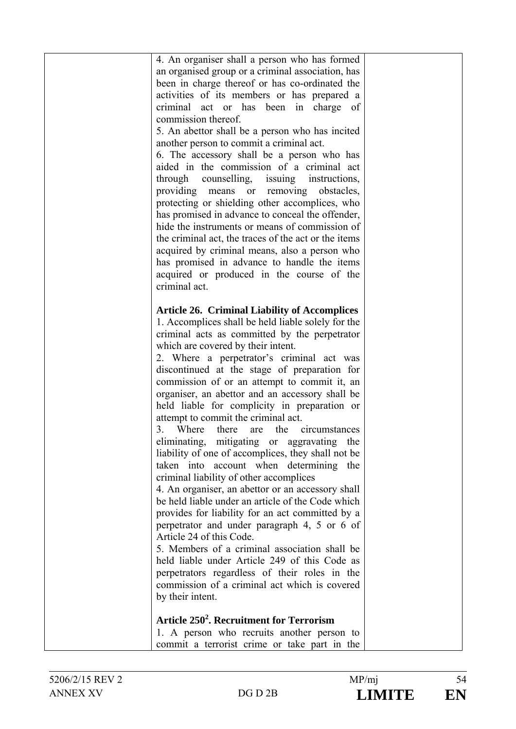| 4. An organiser shall a person who has formed                                                          |  |
|--------------------------------------------------------------------------------------------------------|--|
| an organised group or a criminal association, has                                                      |  |
| been in charge thereof or has co-ordinated the                                                         |  |
| activities of its members or has prepared a                                                            |  |
| criminal act or has been in charge of                                                                  |  |
| commission thereof.                                                                                    |  |
| 5. An abettor shall be a person who has incited                                                        |  |
| another person to commit a criminal act.                                                               |  |
| 6. The accessory shall be a person who has                                                             |  |
| aided in the commission of a criminal act                                                              |  |
| through counselling, issuing instructions,                                                             |  |
| providing means or removing<br>obstacles,                                                              |  |
| protecting or shielding other accomplices, who                                                         |  |
| has promised in advance to conceal the offender,<br>hide the instruments or means of commission of     |  |
| the criminal act, the traces of the act or the items                                                   |  |
| acquired by criminal means, also a person who                                                          |  |
| has promised in advance to handle the items                                                            |  |
| acquired or produced in the course of the                                                              |  |
| criminal act.                                                                                          |  |
|                                                                                                        |  |
| <b>Article 26. Criminal Liability of Accomplices</b>                                                   |  |
| 1. Accomplices shall be held liable solely for the                                                     |  |
| criminal acts as committed by the perpetrator                                                          |  |
| which are covered by their intent.                                                                     |  |
| 2. Where a perpetrator's criminal act was                                                              |  |
| discontinued at the stage of preparation for                                                           |  |
| commission of or an attempt to commit it, an                                                           |  |
| organiser, an abettor and an accessory shall be                                                        |  |
| held liable for complicity in preparation or                                                           |  |
| attempt to commit the criminal act.                                                                    |  |
| 3.<br>Where<br>there<br>the<br>circumstances<br>are                                                    |  |
| eliminating, mitigating or aggravating the                                                             |  |
| liability of one of accomplices, they shall not be                                                     |  |
| taken into account when determining the                                                                |  |
| criminal liability of other accomplices                                                                |  |
| 4. An organiser, an abettor or an accessory shall<br>be held liable under an article of the Code which |  |
| provides for liability for an act committed by a                                                       |  |
| perpetrator and under paragraph 4, 5 or 6 of                                                           |  |
| Article 24 of this Code.                                                                               |  |
| 5. Members of a criminal association shall be                                                          |  |
| held liable under Article 249 of this Code as                                                          |  |
| perpetrators regardless of their roles in the                                                          |  |
| commission of a criminal act which is covered                                                          |  |
| by their intent.                                                                                       |  |
|                                                                                                        |  |
| Article 250 <sup>2</sup> . Recruitment for Terrorism                                                   |  |
| 1. A person who recruits another person to                                                             |  |
| commit a terrorist crime or take part in the                                                           |  |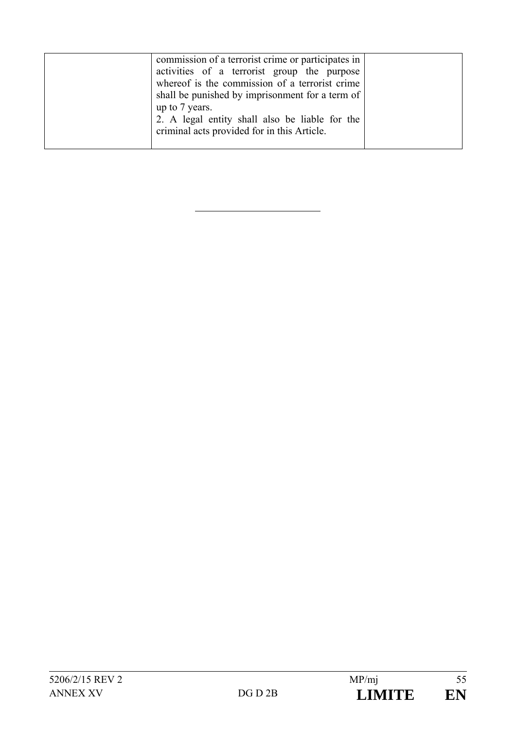| commission of a terrorist crime or participates in<br>activities of a terrorist group the purpose<br>whereof is the commission of a terrorist crime<br>shall be punished by imprisonment for a term of<br>up to 7 years.<br>2. A legal entity shall also be liable for the<br>criminal acts provided for in this Article. |  |
|---------------------------------------------------------------------------------------------------------------------------------------------------------------------------------------------------------------------------------------------------------------------------------------------------------------------------|--|
|---------------------------------------------------------------------------------------------------------------------------------------------------------------------------------------------------------------------------------------------------------------------------------------------------------------------------|--|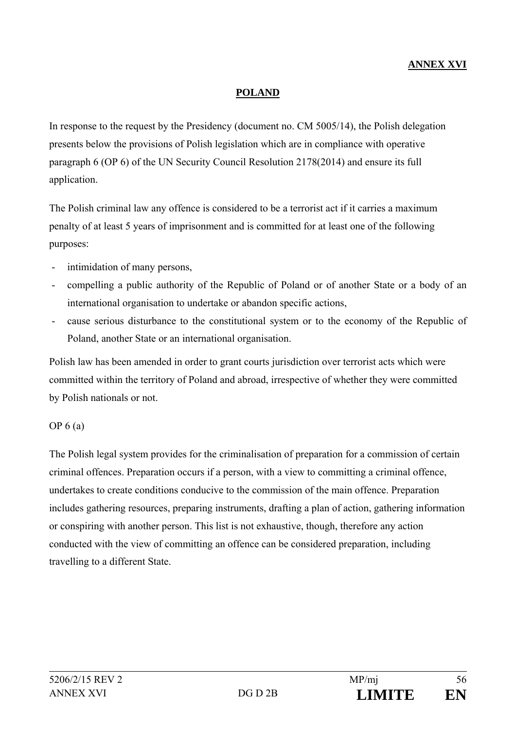#### **POLAND**

In response to the request by the Presidency (document no. CM 5005/14), the Polish delegation presents below the provisions of Polish legislation which are in compliance with operative paragraph 6 (OP 6) of the UN Security Council Resolution 2178(2014) and ensure its full application.

The Polish criminal law any offence is considered to be a terrorist act if it carries a maximum penalty of at least 5 years of imprisonment and is committed for at least one of the following purposes:

- intimidation of many persons,
- compelling a public authority of the Republic of Poland or of another State or a body of an international organisation to undertake or abandon specific actions,
- cause serious disturbance to the constitutional system or to the economy of the Republic of Poland, another State or an international organisation.

Polish law has been amended in order to grant courts jurisdiction over terrorist acts which were committed within the territory of Poland and abroad, irrespective of whether they were committed by Polish nationals or not.

#### OP 6 (a)

The Polish legal system provides for the criminalisation of preparation for a commission of certain criminal offences. Preparation occurs if a person, with a view to committing a criminal offence, undertakes to create conditions conducive to the commission of the main offence. Preparation includes gathering resources, preparing instruments, drafting a plan of action, gathering information or conspiring with another person. This list is not exhaustive, though, therefore any action conducted with the view of committing an offence can be considered preparation, including travelling to a different State.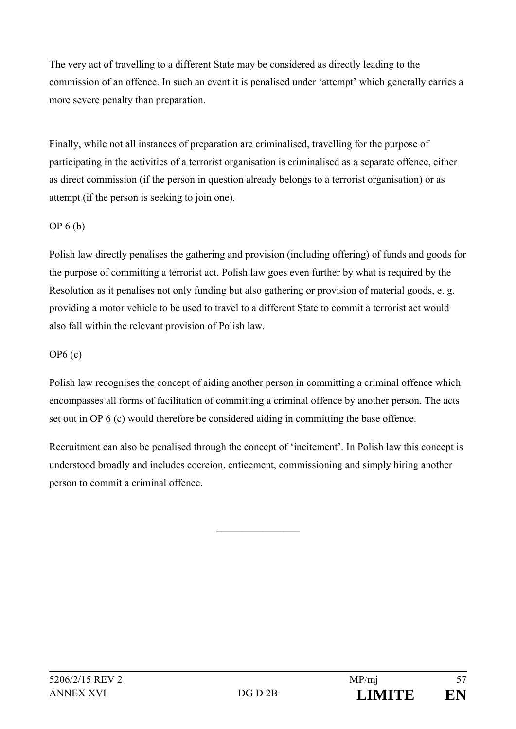The very act of travelling to a different State may be considered as directly leading to the commission of an offence. In such an event it is penalised under 'attempt' which generally carries a more severe penalty than preparation.

Finally, while not all instances of preparation are criminalised, travelling for the purpose of participating in the activities of a terrorist organisation is criminalised as a separate offence, either as direct commission (if the person in question already belongs to a terrorist organisation) or as attempt (if the person is seeking to join one).

## OP 6 (b)

Polish law directly penalises the gathering and provision (including offering) of funds and goods for the purpose of committing a terrorist act. Polish law goes even further by what is required by the Resolution as it penalises not only funding but also gathering or provision of material goods, e. g. providing a motor vehicle to be used to travel to a different State to commit a terrorist act would also fall within the relevant provision of Polish law.

## OP6 (c)

Polish law recognises the concept of aiding another person in committing a criminal offence which encompasses all forms of facilitation of committing a criminal offence by another person. The acts set out in OP 6 (c) would therefore be considered aiding in committing the base offence.

Recruitment can also be penalised through the concept of 'incitement'. In Polish law this concept is understood broadly and includes coercion, enticement, commissioning and simply hiring another person to commit a criminal offence.

 $\mathcal{L}_\text{max}$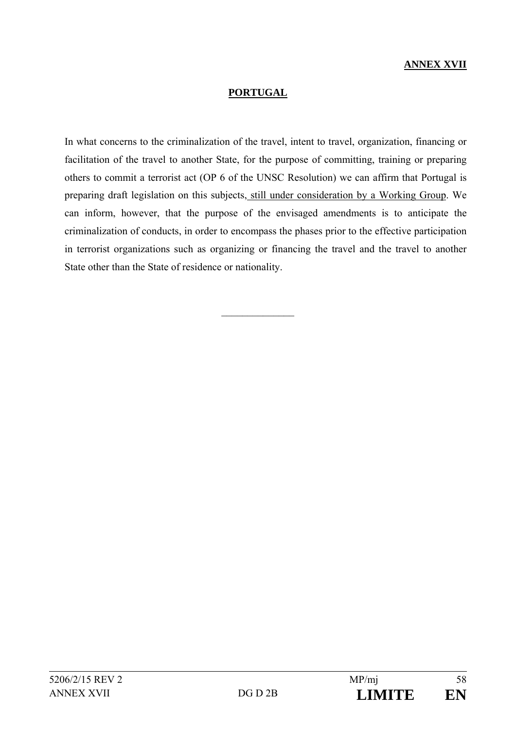### **ANNEX XVII**

#### **PORTUGAL**

In what concerns to the criminalization of the travel, intent to travel, organization, financing or facilitation of the travel to another State, for the purpose of committing, training or preparing others to commit a terrorist act (OP 6 of the UNSC Resolution) we can affirm that Portugal is preparing draft legislation on this subjects, still under consideration by a Working Group. We can inform, however, that the purpose of the envisaged amendments is to anticipate the criminalization of conducts, in order to encompass the phases prior to the effective participation in terrorist organizations such as organizing or financing the travel and the travel to another State other than the State of residence or nationality.

 $\frac{1}{2}$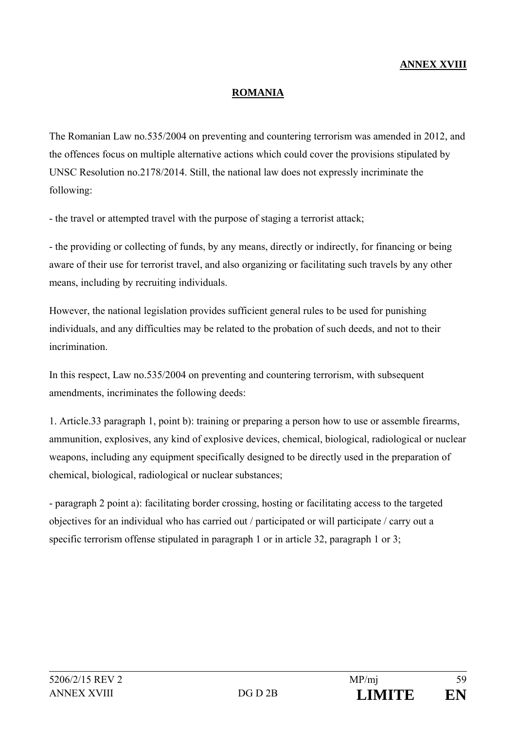## **ANNEX XVIII**

#### **ROMANIA**

The Romanian Law no.535/2004 on preventing and countering terrorism was amended in 2012, and the offences focus on multiple alternative actions which could cover the provisions stipulated by UNSC Resolution no.2178/2014. Still, the national law does not expressly incriminate the following:

- the travel or attempted travel with the purpose of staging a terrorist attack;

- the providing or collecting of funds, by any means, directly or indirectly, for financing or being aware of their use for terrorist travel, and also organizing or facilitating such travels by any other means, including by recruiting individuals.

However, the national legislation provides sufficient general rules to be used for punishing individuals, and any difficulties may be related to the probation of such deeds, and not to their incrimination.

In this respect, Law no.535/2004 on preventing and countering terrorism, with subsequent amendments, incriminates the following deeds:

1. Article.33 paragraph 1, point b): training or preparing a person how to use or assemble firearms, ammunition, explosives, any kind of explosive devices, chemical, biological, radiological or nuclear weapons, including any equipment specifically designed to be directly used in the preparation of chemical, biological, radiological or nuclear substances;

- paragraph 2 point a): facilitating border crossing, hosting or facilitating access to the targeted objectives for an individual who has carried out / participated or will participate / carry out a specific terrorism offense stipulated in paragraph 1 or in article 32, paragraph 1 or 3;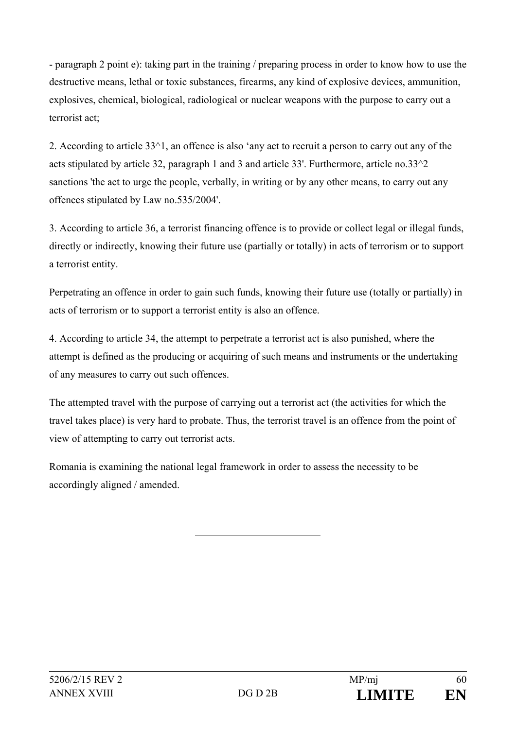- paragraph 2 point e): taking part in the training / preparing process in order to know how to use the destructive means, lethal or toxic substances, firearms, any kind of explosive devices, ammunition, explosives, chemical, biological, radiological or nuclear weapons with the purpose to carry out a terrorist act;

2. According to article 33^1, an offence is also 'any act to recruit a person to carry out any of the acts stipulated by article 32, paragraph 1 and 3 and article 33'. Furthermore, article no.33^2 sanctions 'the act to urge the people, verbally, in writing or by any other means, to carry out any offences stipulated by Law no.535/2004'.

3. According to article 36, a terrorist financing offence is to provide or collect legal or illegal funds, directly or indirectly, knowing their future use (partially or totally) in acts of terrorism or to support a terrorist entity.

Perpetrating an offence in order to gain such funds, knowing their future use (totally or partially) in acts of terrorism or to support a terrorist entity is also an offence.

4. According to article 34, the attempt to perpetrate a terrorist act is also punished, where the attempt is defined as the producing or acquiring of such means and instruments or the undertaking of any measures to carry out such offences.

The attempted travel with the purpose of carrying out a terrorist act (the activities for which the travel takes place) is very hard to probate. Thus, the terrorist travel is an offence from the point of view of attempting to carry out terrorist acts.

Romania is examining the national legal framework in order to assess the necessity to be accordingly aligned / amended.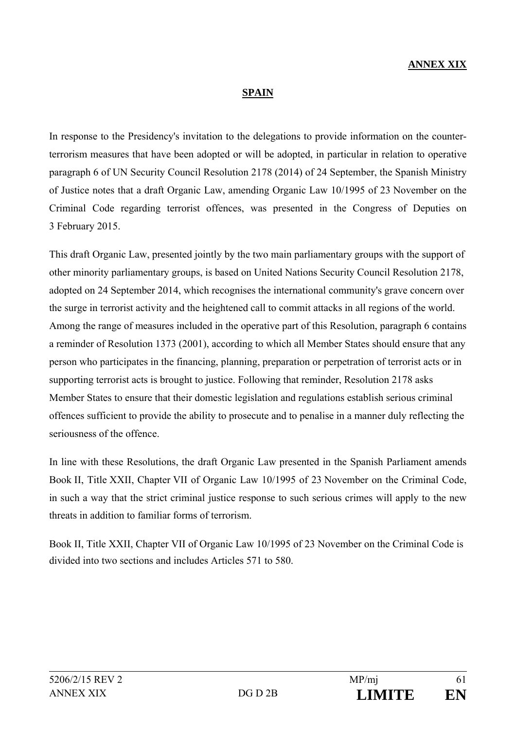#### **SPAIN**

In response to the Presidency's invitation to the delegations to provide information on the counterterrorism measures that have been adopted or will be adopted, in particular in relation to operative paragraph 6 of UN Security Council Resolution 2178 (2014) of 24 September, the Spanish Ministry of Justice notes that a draft Organic Law, amending Organic Law 10/1995 of 23 November on the Criminal Code regarding terrorist offences, was presented in the Congress of Deputies on 3 February 2015.

This draft Organic Law, presented jointly by the two main parliamentary groups with the support of other minority parliamentary groups, is based on United Nations Security Council Resolution 2178, adopted on 24 September 2014, which recognises the international community's grave concern over the surge in terrorist activity and the heightened call to commit attacks in all regions of the world. Among the range of measures included in the operative part of this Resolution, paragraph 6 contains a reminder of Resolution 1373 (2001), according to which all Member States should ensure that any person who participates in the financing, planning, preparation or perpetration of terrorist acts or in supporting terrorist acts is brought to justice. Following that reminder, Resolution 2178 asks Member States to ensure that their domestic legislation and regulations establish serious criminal offences sufficient to provide the ability to prosecute and to penalise in a manner duly reflecting the seriousness of the offence.

In line with these Resolutions, the draft Organic Law presented in the Spanish Parliament amends Book II, Title XXII, Chapter VII of Organic Law 10/1995 of 23 November on the Criminal Code, in such a way that the strict criminal justice response to such serious crimes will apply to the new threats in addition to familiar forms of terrorism.

Book II, Title XXII, Chapter VII of Organic Law 10/1995 of 23 November on the Criminal Code is divided into two sections and includes Articles 571 to 580.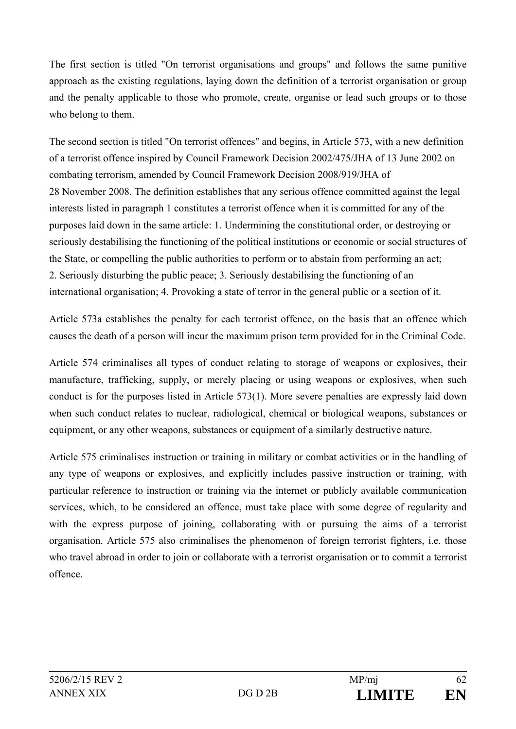The first section is titled "On terrorist organisations and groups" and follows the same punitive approach as the existing regulations, laying down the definition of a terrorist organisation or group and the penalty applicable to those who promote, create, organise or lead such groups or to those who belong to them.

The second section is titled "On terrorist offences" and begins, in Article 573, with a new definition of a terrorist offence inspired by Council Framework Decision 2002/475/JHA of 13 June 2002 on combating terrorism, amended by Council Framework Decision 2008/919/JHA of 28 November 2008. The definition establishes that any serious offence committed against the legal interests listed in paragraph 1 constitutes a terrorist offence when it is committed for any of the purposes laid down in the same article: 1. Undermining the constitutional order, or destroying or seriously destabilising the functioning of the political institutions or economic or social structures of the State, or compelling the public authorities to perform or to abstain from performing an act; 2. Seriously disturbing the public peace; 3. Seriously destabilising the functioning of an international organisation; 4. Provoking a state of terror in the general public or a section of it.

Article 573a establishes the penalty for each terrorist offence, on the basis that an offence which causes the death of a person will incur the maximum prison term provided for in the Criminal Code.

Article 574 criminalises all types of conduct relating to storage of weapons or explosives, their manufacture, trafficking, supply, or merely placing or using weapons or explosives, when such conduct is for the purposes listed in Article 573(1). More severe penalties are expressly laid down when such conduct relates to nuclear, radiological, chemical or biological weapons, substances or equipment, or any other weapons, substances or equipment of a similarly destructive nature.

Article 575 criminalises instruction or training in military or combat activities or in the handling of any type of weapons or explosives, and explicitly includes passive instruction or training, with particular reference to instruction or training via the internet or publicly available communication services, which, to be considered an offence, must take place with some degree of regularity and with the express purpose of joining, collaborating with or pursuing the aims of a terrorist organisation. Article 575 also criminalises the phenomenon of foreign terrorist fighters, i.e. those who travel abroad in order to join or collaborate with a terrorist organisation or to commit a terrorist offence.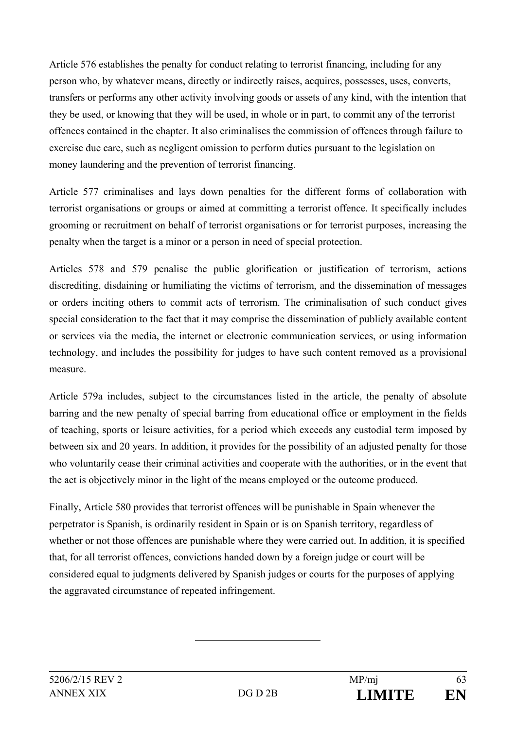Article 576 establishes the penalty for conduct relating to terrorist financing, including for any person who, by whatever means, directly or indirectly raises, acquires, possesses, uses, converts, transfers or performs any other activity involving goods or assets of any kind, with the intention that they be used, or knowing that they will be used, in whole or in part, to commit any of the terrorist offences contained in the chapter. It also criminalises the commission of offences through failure to exercise due care, such as negligent omission to perform duties pursuant to the legislation on money laundering and the prevention of terrorist financing.

Article 577 criminalises and lays down penalties for the different forms of collaboration with terrorist organisations or groups or aimed at committing a terrorist offence. It specifically includes grooming or recruitment on behalf of terrorist organisations or for terrorist purposes, increasing the penalty when the target is a minor or a person in need of special protection.

Articles 578 and 579 penalise the public glorification or justification of terrorism, actions discrediting, disdaining or humiliating the victims of terrorism, and the dissemination of messages or orders inciting others to commit acts of terrorism. The criminalisation of such conduct gives special consideration to the fact that it may comprise the dissemination of publicly available content or services via the media, the internet or electronic communication services, or using information technology, and includes the possibility for judges to have such content removed as a provisional measure.

Article 579a includes, subject to the circumstances listed in the article, the penalty of absolute barring and the new penalty of special barring from educational office or employment in the fields of teaching, sports or leisure activities, for a period which exceeds any custodial term imposed by between six and 20 years. In addition, it provides for the possibility of an adjusted penalty for those who voluntarily cease their criminal activities and cooperate with the authorities, or in the event that the act is objectively minor in the light of the means employed or the outcome produced.

Finally, Article 580 provides that terrorist offences will be punishable in Spain whenever the perpetrator is Spanish, is ordinarily resident in Spain or is on Spanish territory, regardless of whether or not those offences are punishable where they were carried out. In addition, it is specified that, for all terrorist offences, convictions handed down by a foreign judge or court will be considered equal to judgments delivered by Spanish judges or courts for the purposes of applying the aggravated circumstance of repeated infringement.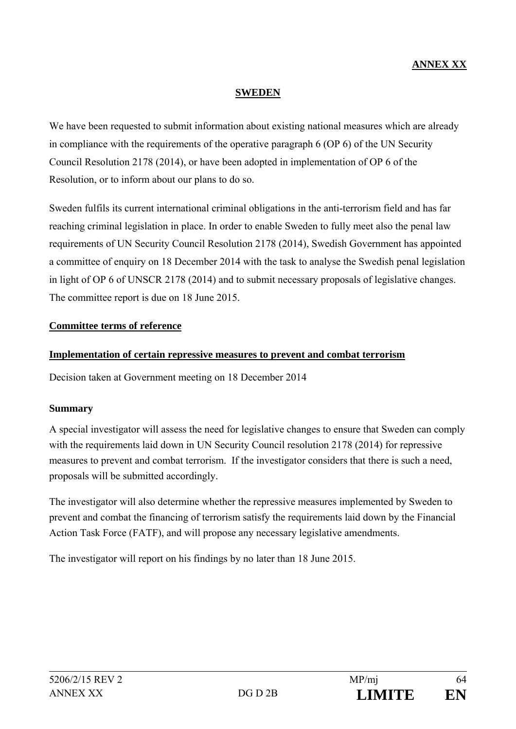## **ANNEX XX**

#### **SWEDEN**

We have been requested to submit information about existing national measures which are already in compliance with the requirements of the operative paragraph 6 (OP 6) of the UN Security Council Resolution 2178 (2014), or have been adopted in implementation of OP 6 of the Resolution, or to inform about our plans to do so.

Sweden fulfils its current international criminal obligations in the anti-terrorism field and has far reaching criminal legislation in place. In order to enable Sweden to fully meet also the penal law requirements of UN Security Council Resolution 2178 (2014), Swedish Government has appointed a committee of enquiry on 18 December 2014 with the task to analyse the Swedish penal legislation in light of OP 6 of UNSCR 2178 (2014) and to submit necessary proposals of legislative changes. The committee report is due on 18 June 2015.

#### **Committee terms of reference**

#### **Implementation of certain repressive measures to prevent and combat terrorism**

Decision taken at Government meeting on 18 December 2014

#### **Summary**

A special investigator will assess the need for legislative changes to ensure that Sweden can comply with the requirements laid down in UN Security Council resolution 2178 (2014) for repressive measures to prevent and combat terrorism. If the investigator considers that there is such a need, proposals will be submitted accordingly.

The investigator will also determine whether the repressive measures implemented by Sweden to prevent and combat the financing of terrorism satisfy the requirements laid down by the Financial Action Task Force (FATF), and will propose any necessary legislative amendments.

The investigator will report on his findings by no later than 18 June 2015.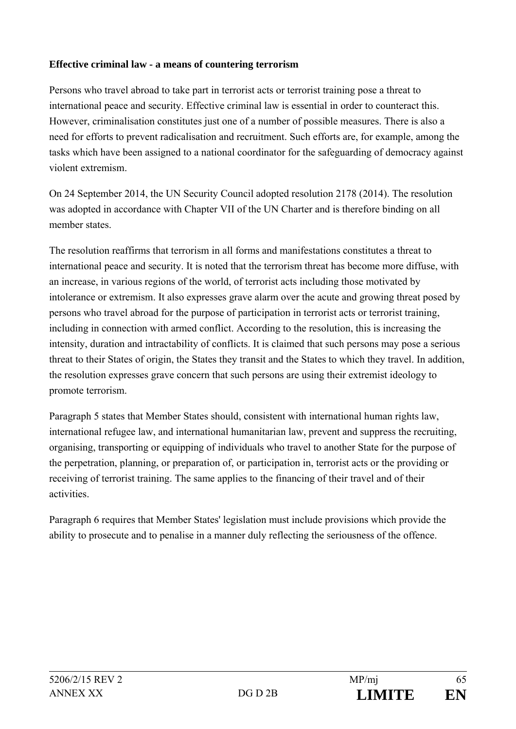## **Effective criminal law - a means of countering terrorism**

Persons who travel abroad to take part in terrorist acts or terrorist training pose a threat to international peace and security. Effective criminal law is essential in order to counteract this. However, criminalisation constitutes just one of a number of possible measures. There is also a need for efforts to prevent radicalisation and recruitment. Such efforts are, for example, among the tasks which have been assigned to a national coordinator for the safeguarding of democracy against violent extremism.

On 24 September 2014, the UN Security Council adopted resolution 2178 (2014). The resolution was adopted in accordance with Chapter VII of the UN Charter and is therefore binding on all member states.

The resolution reaffirms that terrorism in all forms and manifestations constitutes a threat to international peace and security. It is noted that the terrorism threat has become more diffuse, with an increase, in various regions of the world, of terrorist acts including those motivated by intolerance or extremism. It also expresses grave alarm over the acute and growing threat posed by persons who travel abroad for the purpose of participation in terrorist acts or terrorist training, including in connection with armed conflict. According to the resolution, this is increasing the intensity, duration and intractability of conflicts. It is claimed that such persons may pose a serious threat to their States of origin, the States they transit and the States to which they travel. In addition, the resolution expresses grave concern that such persons are using their extremist ideology to promote terrorism.

Paragraph 5 states that Member States should, consistent with international human rights law, international refugee law, and international humanitarian law, prevent and suppress the recruiting, organising, transporting or equipping of individuals who travel to another State for the purpose of the perpetration, planning, or preparation of, or participation in, terrorist acts or the providing or receiving of terrorist training. The same applies to the financing of their travel and of their activities.

Paragraph 6 requires that Member States' legislation must include provisions which provide the ability to prosecute and to penalise in a manner duly reflecting the seriousness of the offence.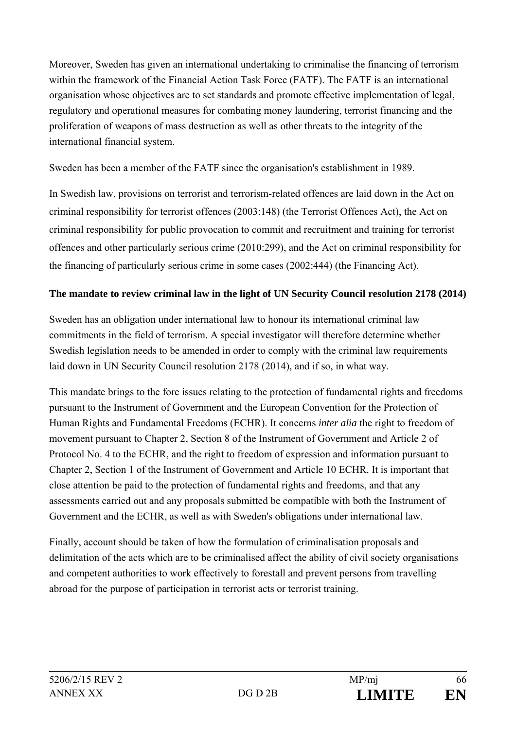Moreover, Sweden has given an international undertaking to criminalise the financing of terrorism within the framework of the Financial Action Task Force (FATF). The FATF is an international organisation whose objectives are to set standards and promote effective implementation of legal, regulatory and operational measures for combating money laundering, terrorist financing and the proliferation of weapons of mass destruction as well as other threats to the integrity of the international financial system.

Sweden has been a member of the FATF since the organisation's establishment in 1989.

In Swedish law, provisions on terrorist and terrorism-related offences are laid down in the Act on criminal responsibility for terrorist offences (2003:148) (the Terrorist Offences Act), the Act on criminal responsibility for public provocation to commit and recruitment and training for terrorist offences and other particularly serious crime (2010:299), and the Act on criminal responsibility for the financing of particularly serious crime in some cases (2002:444) (the Financing Act).

## **The mandate to review criminal law in the light of UN Security Council resolution 2178 (2014)**

Sweden has an obligation under international law to honour its international criminal law commitments in the field of terrorism. A special investigator will therefore determine whether Swedish legislation needs to be amended in order to comply with the criminal law requirements laid down in UN Security Council resolution 2178 (2014), and if so, in what way.

This mandate brings to the fore issues relating to the protection of fundamental rights and freedoms pursuant to the Instrument of Government and the European Convention for the Protection of Human Rights and Fundamental Freedoms (ECHR). It concerns *inter alia* the right to freedom of movement pursuant to Chapter 2, Section 8 of the Instrument of Government and Article 2 of Protocol No. 4 to the ECHR, and the right to freedom of expression and information pursuant to Chapter 2, Section 1 of the Instrument of Government and Article 10 ECHR. It is important that close attention be paid to the protection of fundamental rights and freedoms, and that any assessments carried out and any proposals submitted be compatible with both the Instrument of Government and the ECHR, as well as with Sweden's obligations under international law.

Finally, account should be taken of how the formulation of criminalisation proposals and delimitation of the acts which are to be criminalised affect the ability of civil society organisations and competent authorities to work effectively to forestall and prevent persons from travelling abroad for the purpose of participation in terrorist acts or terrorist training.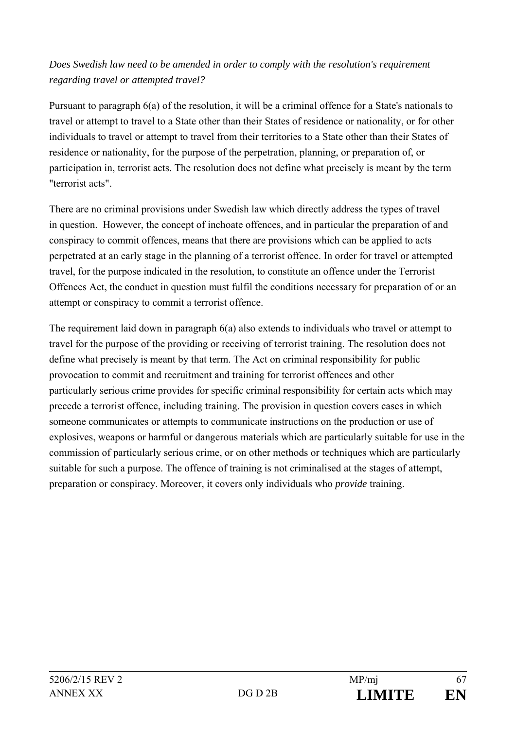## *Does Swedish law need to be amended in order to comply with the resolution's requirement regarding travel or attempted travel?*

Pursuant to paragraph 6(a) of the resolution, it will be a criminal offence for a State's nationals to travel or attempt to travel to a State other than their States of residence or nationality, or for other individuals to travel or attempt to travel from their territories to a State other than their States of residence or nationality, for the purpose of the perpetration, planning, or preparation of, or participation in, terrorist acts. The resolution does not define what precisely is meant by the term "terrorist acts".

There are no criminal provisions under Swedish law which directly address the types of travel in question. However, the concept of inchoate offences, and in particular the preparation of and conspiracy to commit offences, means that there are provisions which can be applied to acts perpetrated at an early stage in the planning of a terrorist offence. In order for travel or attempted travel, for the purpose indicated in the resolution, to constitute an offence under the Terrorist Offences Act, the conduct in question must fulfil the conditions necessary for preparation of or an attempt or conspiracy to commit a terrorist offence.

The requirement laid down in paragraph 6(a) also extends to individuals who travel or attempt to travel for the purpose of the providing or receiving of terrorist training. The resolution does not define what precisely is meant by that term. The Act on criminal responsibility for public provocation to commit and recruitment and training for terrorist offences and other particularly serious crime provides for specific criminal responsibility for certain acts which may precede a terrorist offence, including training. The provision in question covers cases in which someone communicates or attempts to communicate instructions on the production or use of explosives, weapons or harmful or dangerous materials which are particularly suitable for use in the commission of particularly serious crime, or on other methods or techniques which are particularly suitable for such a purpose. The offence of training is not criminalised at the stages of attempt, preparation or conspiracy. Moreover, it covers only individuals who *provide* training.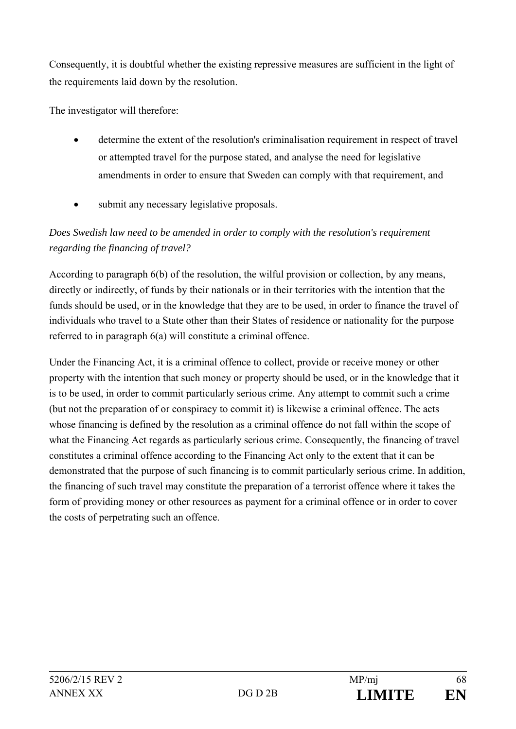Consequently, it is doubtful whether the existing repressive measures are sufficient in the light of the requirements laid down by the resolution.

The investigator will therefore:

- determine the extent of the resolution's criminalisation requirement in respect of travel or attempted travel for the purpose stated, and analyse the need for legislative amendments in order to ensure that Sweden can comply with that requirement, and
- submit any necessary legislative proposals.

## *Does Swedish law need to be amended in order to comply with the resolution's requirement regarding the financing of travel?*

According to paragraph 6(b) of the resolution, the wilful provision or collection, by any means, directly or indirectly, of funds by their nationals or in their territories with the intention that the funds should be used, or in the knowledge that they are to be used, in order to finance the travel of individuals who travel to a State other than their States of residence or nationality for the purpose referred to in paragraph 6(a) will constitute a criminal offence.

Under the Financing Act, it is a criminal offence to collect, provide or receive money or other property with the intention that such money or property should be used, or in the knowledge that it is to be used, in order to commit particularly serious crime. Any attempt to commit such a crime (but not the preparation of or conspiracy to commit it) is likewise a criminal offence. The acts whose financing is defined by the resolution as a criminal offence do not fall within the scope of what the Financing Act regards as particularly serious crime. Consequently, the financing of travel constitutes a criminal offence according to the Financing Act only to the extent that it can be demonstrated that the purpose of such financing is to commit particularly serious crime. In addition, the financing of such travel may constitute the preparation of a terrorist offence where it takes the form of providing money or other resources as payment for a criminal offence or in order to cover the costs of perpetrating such an offence.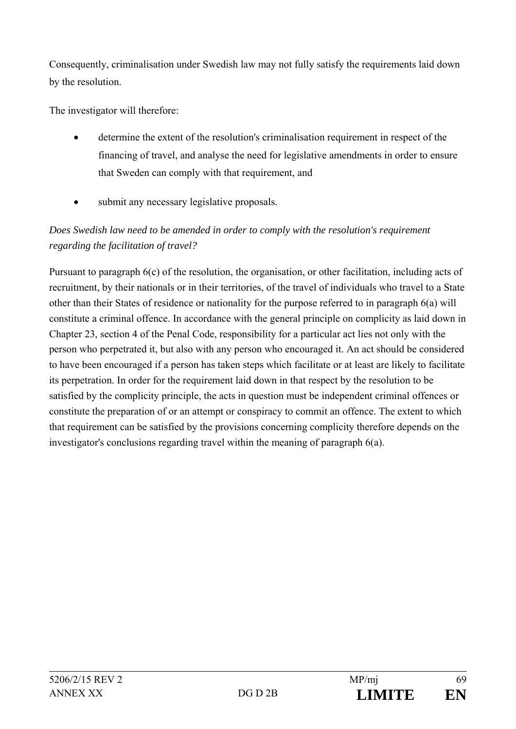Consequently, criminalisation under Swedish law may not fully satisfy the requirements laid down by the resolution.

The investigator will therefore:

- determine the extent of the resolution's criminalisation requirement in respect of the financing of travel, and analyse the need for legislative amendments in order to ensure that Sweden can comply with that requirement, and
- submit any necessary legislative proposals.

# *Does Swedish law need to be amended in order to comply with the resolution's requirement regarding the facilitation of travel?*

Pursuant to paragraph 6(c) of the resolution, the organisation, or other facilitation, including acts of recruitment, by their nationals or in their territories, of the travel of individuals who travel to a State other than their States of residence or nationality for the purpose referred to in paragraph 6(a) will constitute a criminal offence. In accordance with the general principle on complicity as laid down in Chapter 23, section 4 of the Penal Code, responsibility for a particular act lies not only with the person who perpetrated it, but also with any person who encouraged it. An act should be considered to have been encouraged if a person has taken steps which facilitate or at least are likely to facilitate its perpetration. In order for the requirement laid down in that respect by the resolution to be satisfied by the complicity principle, the acts in question must be independent criminal offences or constitute the preparation of or an attempt or conspiracy to commit an offence. The extent to which that requirement can be satisfied by the provisions concerning complicity therefore depends on the investigator's conclusions regarding travel within the meaning of paragraph 6(a).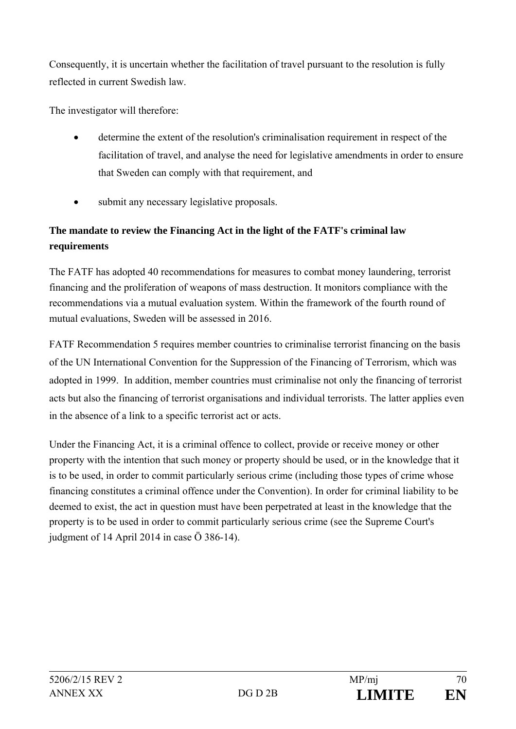Consequently, it is uncertain whether the facilitation of travel pursuant to the resolution is fully reflected in current Swedish law.

The investigator will therefore:

- determine the extent of the resolution's criminalisation requirement in respect of the facilitation of travel, and analyse the need for legislative amendments in order to ensure that Sweden can comply with that requirement, and
- submit any necessary legislative proposals.

# **The mandate to review the Financing Act in the light of the FATF's criminal law requirements**

The FATF has adopted 40 recommendations for measures to combat money laundering, terrorist financing and the proliferation of weapons of mass destruction. It monitors compliance with the recommendations via a mutual evaluation system. Within the framework of the fourth round of mutual evaluations, Sweden will be assessed in 2016.

FATF Recommendation 5 requires member countries to criminalise terrorist financing on the basis of the UN International Convention for the Suppression of the Financing of Terrorism, which was adopted in 1999. In addition, member countries must criminalise not only the financing of terrorist acts but also the financing of terrorist organisations and individual terrorists. The latter applies even in the absence of a link to a specific terrorist act or acts.

Under the Financing Act, it is a criminal offence to collect, provide or receive money or other property with the intention that such money or property should be used, or in the knowledge that it is to be used, in order to commit particularly serious crime (including those types of crime whose financing constitutes a criminal offence under the Convention). In order for criminal liability to be deemed to exist, the act in question must have been perpetrated at least in the knowledge that the property is to be used in order to commit particularly serious crime (see the Supreme Court's judgment of 14 April 2014 in case Ö 386-14).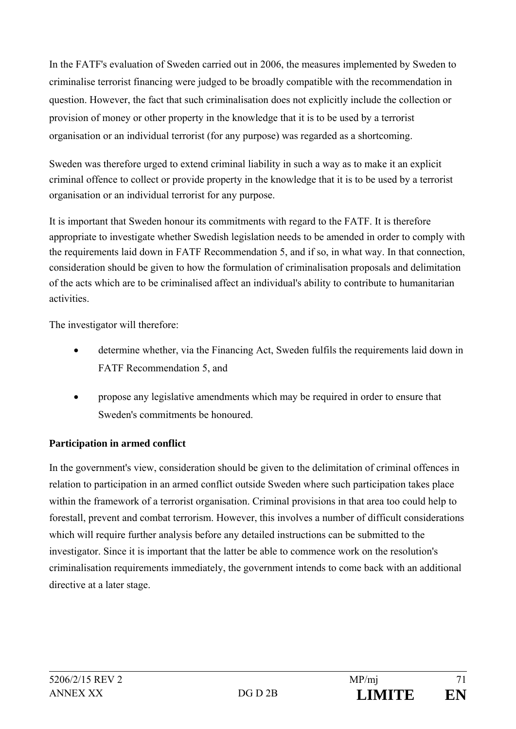In the FATF's evaluation of Sweden carried out in 2006, the measures implemented by Sweden to criminalise terrorist financing were judged to be broadly compatible with the recommendation in question. However, the fact that such criminalisation does not explicitly include the collection or provision of money or other property in the knowledge that it is to be used by a terrorist organisation or an individual terrorist (for any purpose) was regarded as a shortcoming.

Sweden was therefore urged to extend criminal liability in such a way as to make it an explicit criminal offence to collect or provide property in the knowledge that it is to be used by a terrorist organisation or an individual terrorist for any purpose.

It is important that Sweden honour its commitments with regard to the FATF. It is therefore appropriate to investigate whether Swedish legislation needs to be amended in order to comply with the requirements laid down in FATF Recommendation 5, and if so, in what way. In that connection, consideration should be given to how the formulation of criminalisation proposals and delimitation of the acts which are to be criminalised affect an individual's ability to contribute to humanitarian activities.

The investigator will therefore:

- determine whether, via the Financing Act, Sweden fulfils the requirements laid down in FATF Recommendation 5, and
- propose any legislative amendments which may be required in order to ensure that Sweden's commitments be honoured.

## **Participation in armed conflict**

In the government's view, consideration should be given to the delimitation of criminal offences in relation to participation in an armed conflict outside Sweden where such participation takes place within the framework of a terrorist organisation. Criminal provisions in that area too could help to forestall, prevent and combat terrorism. However, this involves a number of difficult considerations which will require further analysis before any detailed instructions can be submitted to the investigator. Since it is important that the latter be able to commence work on the resolution's criminalisation requirements immediately, the government intends to come back with an additional directive at a later stage.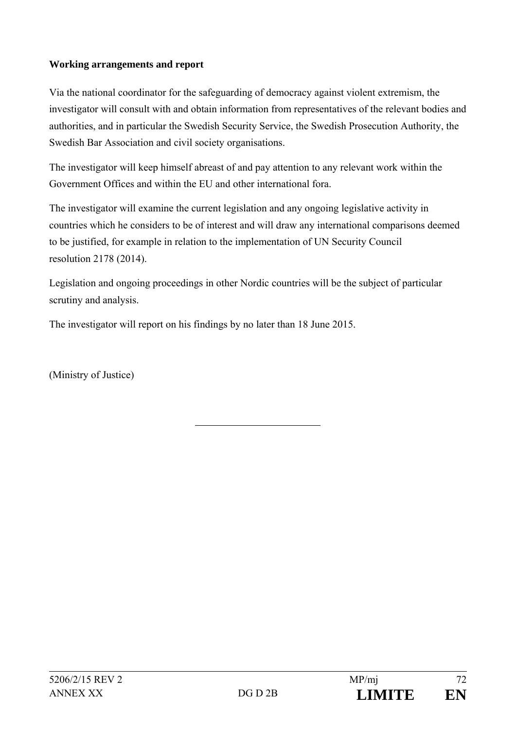## **Working arrangements and report**

Via the national coordinator for the safeguarding of democracy against violent extremism, the investigator will consult with and obtain information from representatives of the relevant bodies and authorities, and in particular the Swedish Security Service, the Swedish Prosecution Authority, the Swedish Bar Association and civil society organisations.

The investigator will keep himself abreast of and pay attention to any relevant work within the Government Offices and within the EU and other international fora.

The investigator will examine the current legislation and any ongoing legislative activity in countries which he considers to be of interest and will draw any international comparisons deemed to be justified, for example in relation to the implementation of UN Security Council resolution 2178 (2014).

Legislation and ongoing proceedings in other Nordic countries will be the subject of particular scrutiny and analysis.

The investigator will report on his findings by no later than 18 June 2015.

(Ministry of Justice)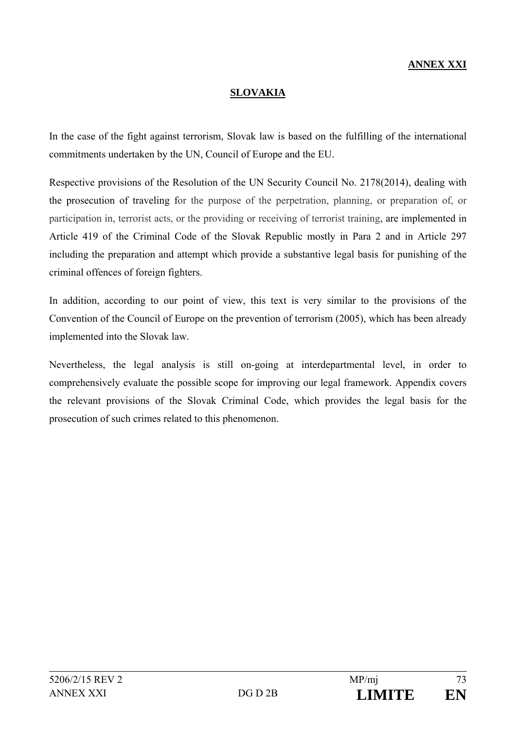# **ANNEX XXI**

### **SLOVAKIA**

In the case of the fight against terrorism, Slovak law is based on the fulfilling of the international commitments undertaken by the UN, Council of Europe and the EU.

Respective provisions of the Resolution of the UN Security Council No. 2178(2014), dealing with the prosecution of traveling for the purpose of the perpetration, planning, or preparation of, or participation in, terrorist acts, or the providing or receiving of terrorist training, are implemented in Article 419 of the Criminal Code of the Slovak Republic mostly in Para 2 and in Article 297 including the preparation and attempt which provide a substantive legal basis for punishing of the criminal offences of foreign fighters.

In addition, according to our point of view, this text is very similar to the provisions of the Convention of the Council of Europe on the prevention of terrorism (2005), which has been already implemented into the Slovak law.

Nevertheless, the legal analysis is still on-going at interdepartmental level, in order to comprehensively evaluate the possible scope for improving our legal framework. Appendix covers the relevant provisions of the Slovak Criminal Code, which provides the legal basis for the prosecution of such crimes related to this phenomenon.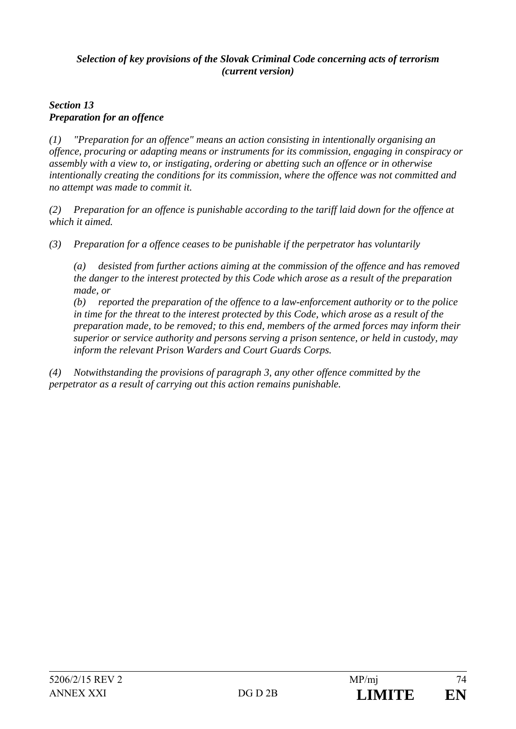# *Selection of key provisions of the Slovak Criminal Code concerning acts of terrorism (current version)*

# *Section 13 Preparation for an offence*

*(1) "Preparation for an offence" means an action consisting in intentionally organising an offence, procuring or adapting means or instruments for its commission, engaging in conspiracy or assembly with a view to, or instigating, ordering or abetting such an offence or in otherwise intentionally creating the conditions for its commission, where the offence was not committed and no attempt was made to commit it.* 

*(2) Preparation for an offence is punishable according to the tariff laid down for the offence at which it aimed.* 

*(3) Preparation for a offence ceases to be punishable if the perpetrator has voluntarily* 

*(a) desisted from further actions aiming at the commission of the offence and has removed the danger to the interest protected by this Code which arose as a result of the preparation made, or* 

*(b) reported the preparation of the offence to a law-enforcement authority or to the police in time for the threat to the interest protected by this Code, which arose as a result of the preparation made, to be removed; to this end, members of the armed forces may inform their superior or service authority and persons serving a prison sentence, or held in custody, may inform the relevant Prison Warders and Court Guards Corps.* 

*(4) Notwithstanding the provisions of paragraph 3, any other offence committed by the perpetrator as a result of carrying out this action remains punishable.*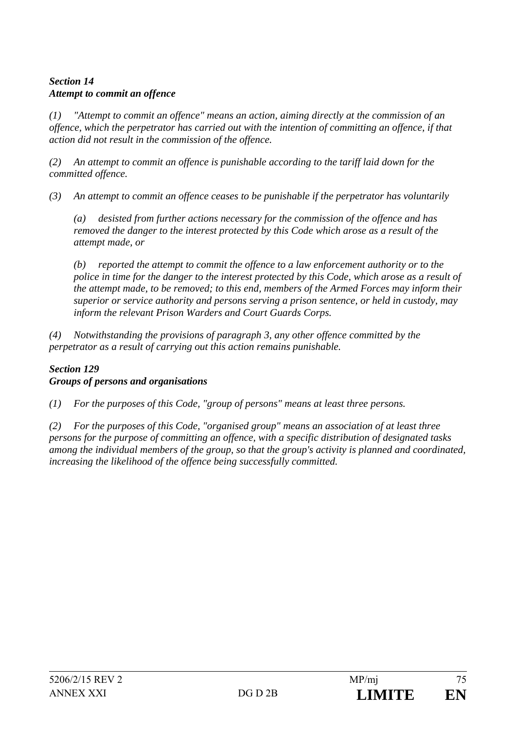# *Section 14 Attempt to commit an offence*

*(1) "Attempt to commit an offence" means an action, aiming directly at the commission of an offence, which the perpetrator has carried out with the intention of committing an offence, if that action did not result in the commission of the offence.* 

*(2) An attempt to commit an offence is punishable according to the tariff laid down for the committed offence.* 

*(3) An attempt to commit an offence ceases to be punishable if the perpetrator has voluntarily* 

*(a) desisted from further actions necessary for the commission of the offence and has removed the danger to the interest protected by this Code which arose as a result of the attempt made, or* 

*(b) reported the attempt to commit the offence to a law enforcement authority or to the police in time for the danger to the interest protected by this Code, which arose as a result of the attempt made, to be removed; to this end, members of the Armed Forces may inform their superior or service authority and persons serving a prison sentence, or held in custody, may inform the relevant Prison Warders and Court Guards Corps.* 

*(4) Notwithstanding the provisions of paragraph 3, any other offence committed by the perpetrator as a result of carrying out this action remains punishable.* 

# *Section 129 Groups of persons and organisations*

*(1) For the purposes of this Code, "group of persons" means at least three persons.* 

*(2) For the purposes of this Code, "organised group" means an association of at least three persons for the purpose of committing an offence, with a specific distribution of designated tasks among the individual members of the group, so that the group's activity is planned and coordinated, increasing the likelihood of the offence being successfully committed.*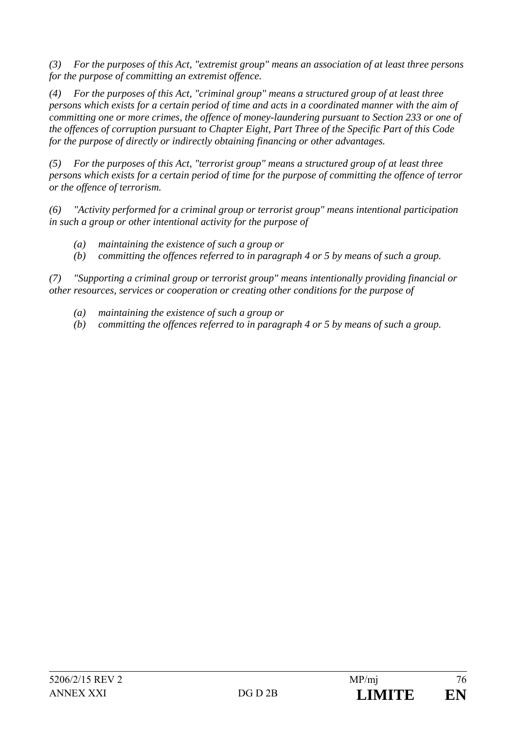*(3) For the purposes of this Act, "extremist group" means an association of at least three persons for the purpose of committing an extremist offence.* 

*(4) For the purposes of this Act, "criminal group" means a structured group of at least three persons which exists for a certain period of time and acts in a coordinated manner with the aim of committing one or more crimes, the offence of money-laundering pursuant to Section 233 or one of the offences of corruption pursuant to Chapter Eight, Part Three of the Specific Part of this Code for the purpose of directly or indirectly obtaining financing or other advantages.* 

*(5) For the purposes of this Act, "terrorist group" means a structured group of at least three persons which exists for a certain period of time for the purpose of committing the offence of terror or the offence of terrorism.* 

*(6) "Activity performed for a criminal group or terrorist group" means intentional participation in such a group or other intentional activity for the purpose of* 

- *(a) maintaining the existence of such a group or*
- *(b) committing the offences referred to in paragraph 4 or 5 by means of such a group.*

*(7) "Supporting a criminal group or terrorist group" means intentionally providing financial or other resources, services or cooperation or creating other conditions for the purpose of* 

- *(a) maintaining the existence of such a group or*
- *(b) committing the offences referred to in paragraph 4 or 5 by means of such a group.*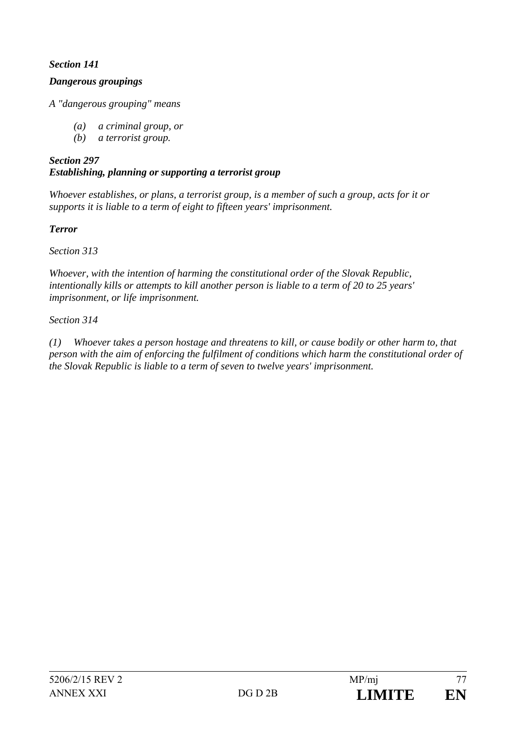# *Section 141*

## *Dangerous groupings*

*A "dangerous grouping" means* 

- *(a) a criminal group, or*
- *(b) a terrorist group.*

# *Section 297 Establishing, planning or supporting a terrorist group*

*Whoever establishes, or plans, a terrorist group, is a member of such a group, acts for it or supports it is liable to a term of eight to fifteen years' imprisonment.* 

# *Terror*

*Section 313* 

*Whoever, with the intention of harming the constitutional order of the Slovak Republic, intentionally kills or attempts to kill another person is liable to a term of 20 to 25 years' imprisonment, or life imprisonment.* 

# *Section 314*

*(1) Whoever takes a person hostage and threatens to kill, or cause bodily or other harm to, that person with the aim of enforcing the fulfilment of conditions which harm the constitutional order of the Slovak Republic is liable to a term of seven to twelve years' imprisonment.*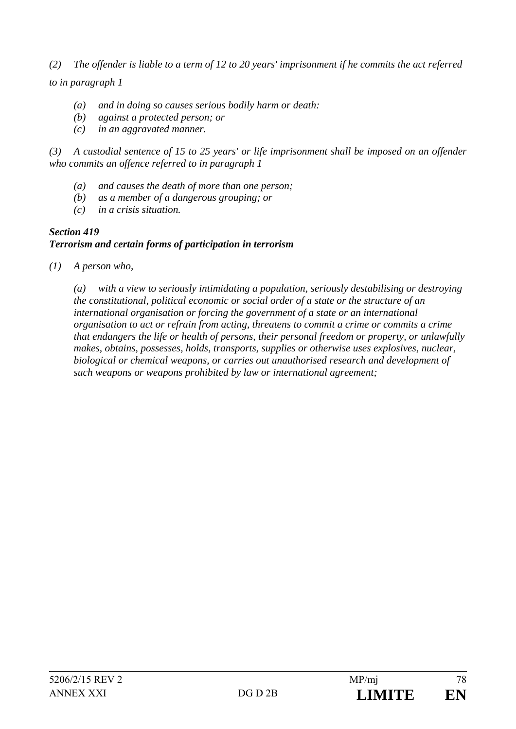*(2) The offender is liable to a term of 12 to 20 years' imprisonment if he commits the act referred to in paragraph 1* 

- *(a) and in doing so causes serious bodily harm or death:*
- *(b) against a protected person; or*
- *(c) in an aggravated manner.*

*(3) A custodial sentence of 15 to 25 years' or life imprisonment shall be imposed on an offender who commits an offence referred to in paragraph 1* 

- *(a) and causes the death of more than one person;*
- *(b) as a member of a dangerous grouping; or*
- *(c) in a crisis situation.*

### *Section 419 Terrorism and certain forms of participation in terrorism*

*(1) A person who,* 

*(a) with a view to seriously intimidating a population, seriously destabilising or destroying the constitutional, political economic or social order of a state or the structure of an international organisation or forcing the government of a state or an international organisation to act or refrain from acting, threatens to commit a crime or commits a crime that endangers the life or health of persons, their personal freedom or property, or unlawfully makes, obtains, possesses, holds, transports, supplies or otherwise uses explosives, nuclear, biological or chemical weapons, or carries out unauthorised research and development of such weapons or weapons prohibited by law or international agreement;*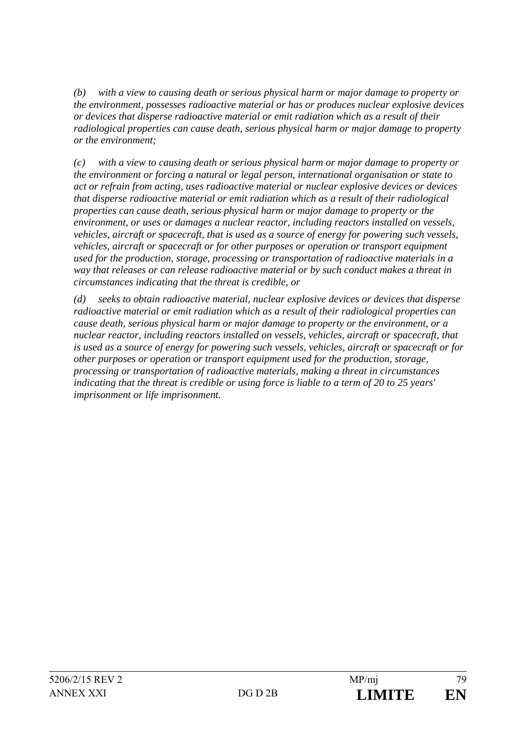*(b) with a view to causing death or serious physical harm or major damage to property or the environment, possesses radioactive material or has or produces nuclear explosive devices or devices that disperse radioactive material or emit radiation which as a result of their radiological properties can cause death, serious physical harm or major damage to property or the environment;* 

*(c) with a view to causing death or serious physical harm or major damage to property or the environment or forcing a natural or legal person, international organisation or state to act or refrain from acting, uses radioactive material or nuclear explosive devices or devices that disperse radioactive material or emit radiation which as a result of their radiological properties can cause death, serious physical harm or major damage to property or the environment, or uses or damages a nuclear reactor, including reactors installed on vessels, vehicles, aircraft or spacecraft, that is used as a source of energy for powering such vessels, vehicles, aircraft or spacecraft or for other purposes or operation or transport equipment used for the production, storage, processing or transportation of radioactive materials in a way that releases or can release radioactive material or by such conduct makes a threat in circumstances indicating that the threat is credible, or* 

*(d) seeks to obtain radioactive material, nuclear explosive devices or devices that disperse radioactive material or emit radiation which as a result of their radiological properties can cause death, serious physical harm or major damage to property or the environment, or a nuclear reactor, including reactors installed on vessels, vehicles, aircraft or spacecraft, that is used as a source of energy for powering such vessels, vehicles, aircraft or spacecraft or for other purposes or operation or transport equipment used for the production, storage, processing or transportation of radioactive materials, making a threat in circumstances indicating that the threat is credible or using force is liable to a term of 20 to 25 years' imprisonment or life imprisonment.*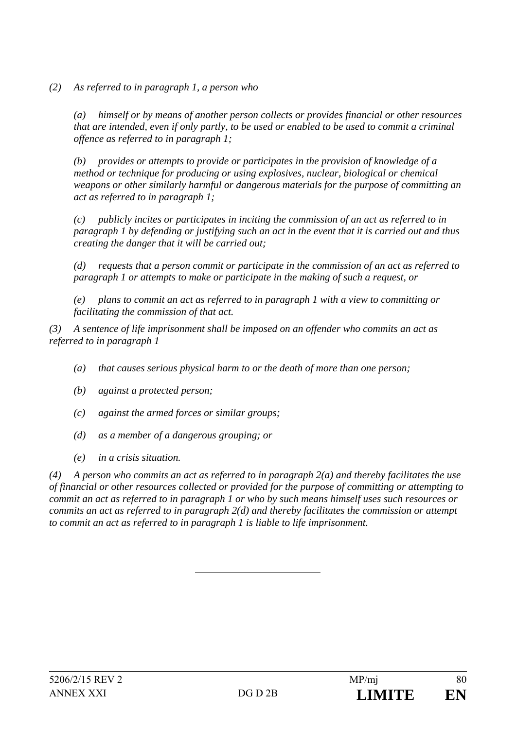*(2) As referred to in paragraph 1, a person who* 

*(a) himself or by means of another person collects or provides financial or other resources that are intended, even if only partly, to be used or enabled to be used to commit a criminal offence as referred to in paragraph 1;* 

*(b) provides or attempts to provide or participates in the provision of knowledge of a method or technique for producing or using explosives, nuclear, biological or chemical weapons or other similarly harmful or dangerous materials for the purpose of committing an act as referred to in paragraph 1;* 

*(c) publicly incites or participates in inciting the commission of an act as referred to in paragraph 1 by defending or justifying such an act in the event that it is carried out and thus creating the danger that it will be carried out;* 

*(d) requests that a person commit or participate in the commission of an act as referred to paragraph 1 or attempts to make or participate in the making of such a request, or* 

*(e) plans to commit an act as referred to in paragraph 1 with a view to committing or facilitating the commission of that act.* 

*(3) A sentence of life imprisonment shall be imposed on an offender who commits an act as referred to in paragraph 1* 

- *(a) that causes serious physical harm to or the death of more than one person;*
- *(b) against a protected person;*
- *(c) against the armed forces or similar groups;*
- *(d) as a member of a dangerous grouping; or*
- *(e) in a crisis situation.*

*(4) A person who commits an act as referred to in paragraph 2(a) and thereby facilitates the use of financial or other resources collected or provided for the purpose of committing or attempting to commit an act as referred to in paragraph 1 or who by such means himself uses such resources or commits an act as referred to in paragraph 2(d) and thereby facilitates the commission or attempt to commit an act as referred to in paragraph 1 is liable to life imprisonment.*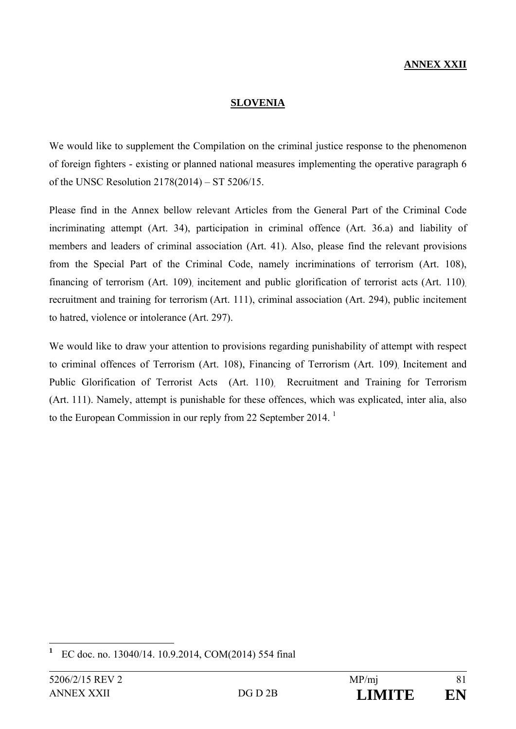# **ANNEX XXII**

#### **SLOVENIA**

We would like to supplement the Compilation on the criminal justice response to the phenomenon of foreign fighters - existing or planned national measures implementing the operative paragraph 6 of the UNSC Resolution 2178(2014) – ST 5206/15.

Please find in the Annex bellow relevant Articles from the General Part of the Criminal Code incriminating attempt (Art. 34), participation in criminal offence (Art. 36.a) and liability of members and leaders of criminal association (Art. 41). Also, please find the relevant provisions from the Special Part of the Criminal Code, namely incriminations of terrorism (Art. 108), financing of terrorism (Art. 109) incitement and public glorification of terrorist acts (Art. 110) recruitment and training for terrorism (Art. 111), criminal association (Art. 294), public incitement to hatred, violence or intolerance (Art. 297).

We would like to draw your attention to provisions regarding punishability of attempt with respect to criminal offences of Terrorism (Art. 108), Financing of Terrorism (Art. 109), Incitement and Public Glorification of Terrorist Acts (Art. 110), Recruitment and Training for Terrorism (Art. 111). Namely, attempt is punishable for these offences, which was explicated, inter alia, also to the European Commission in our reply from 22 September 2014.<sup>1</sup>

 $\overline{a}$ 

**<sup>1</sup>** EC doc. no. 13040/14. 10.9.2014, COM(2014) 554 final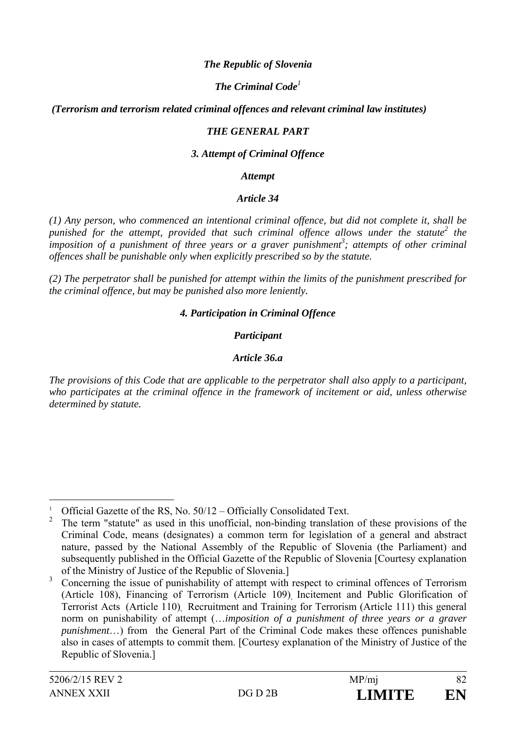### *The Republic of Slovenia*

# *The Criminal Code<sup>1</sup>*

### *(Terrorism and terrorism related criminal offences and relevant criminal law institutes)*

### *THE GENERAL PART*

#### *3. Attempt of Criminal Offence*

#### *Attempt*

#### *Article 34*

*(1) Any person, who commenced an intentional criminal offence, but did not complete it, shall be punished for the attempt, provided that such criminal offence allows under the statute2 the imposition of a punishment of three years or a graver punishment<sup>3</sup>; attempts of other criminal offences shall be punishable only when explicitly prescribed so by the statute.* 

*(2) The perpetrator shall be punished for attempt within the limits of the punishment prescribed for the criminal offence, but may be punished also more leniently.* 

#### *4. Participation in Criminal Offence*

### *Participant*

### *Article 36.a*

*The provisions of this Code that are applicable to the perpetrator shall also apply to a participant, who participates at the criminal offence in the framework of incitement or aid, unless otherwise determined by statute.* 

 $\overline{a}$ 

<sup>1</sup> Official Gazette of the RS, No. 50/12 – Officially Consolidated Text.

<sup>2</sup> The term "statute" as used in this unofficial, non-binding translation of these provisions of the Criminal Code, means (designates) a common term for legislation of a general and abstract nature, passed by the National Assembly of the Republic of Slovenia (the Parliament) and subsequently published in the Official Gazette of the Republic of Slovenia [Courtesy explanation of the Ministry of Justice of the Republic of Slovenia.]

<sup>3</sup> Concerning the issue of punishability of attempt with respect to criminal offences of Terrorism (Article 108), Financing of Terrorism (Article 109) Incitement and Public Glorification of Terrorist Acts (Article 110), Recruitment and Training for Terrorism (Article 111) this general norm on punishability of attempt (…*imposition of a punishment of three years or a graver punishment*...) from the General Part of the Criminal Code makes these offences punishable also in cases of attempts to commit them. [Courtesy explanation of the Ministry of Justice of the Republic of Slovenia.]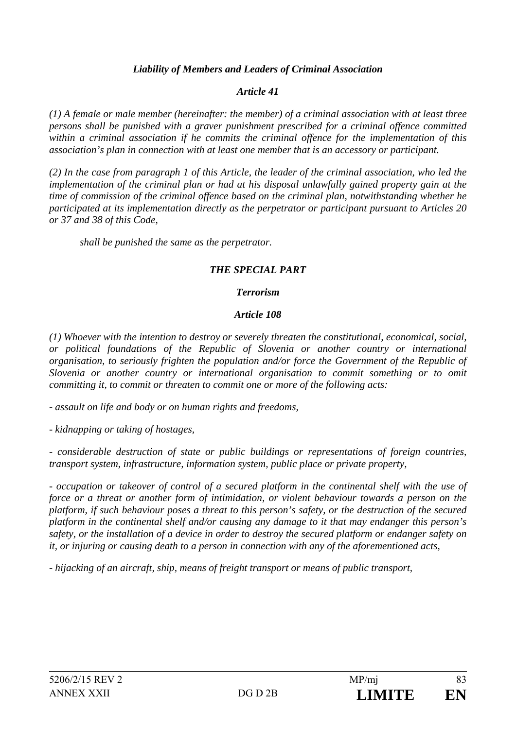# *Liability of Members and Leaders of Criminal Association*

## *Article 41*

*(1) A female or male member (hereinafter: the member) of a criminal association with at least three persons shall be punished with a graver punishment prescribed for a criminal offence committed within a criminal association if he commits the criminal offence for the implementation of this association's plan in connection with at least one member that is an accessory or participant.* 

*(2) In the case from paragraph 1 of this Article, the leader of the criminal association, who led the implementation of the criminal plan or had at his disposal unlawfully gained property gain at the time of commission of the criminal offence based on the criminal plan, notwithstanding whether he participated at its implementation directly as the perpetrator or participant pursuant to Articles 20 or 37 and 38 of this Code,* 

*shall be punished the same as the perpetrator.* 

### *THE SPECIAL PART*

### *Terrorism*

### *Article 108*

*(1) Whoever with the intention to destroy or severely threaten the constitutional, economical, social, or political foundations of the Republic of Slovenia or another country or international organisation, to seriously frighten the population and/or force the Government of the Republic of Slovenia or another country or international organisation to commit something or to omit committing it, to commit or threaten to commit one or more of the following acts:* 

*- assault on life and body or on human rights and freedoms,* 

*- kidnapping or taking of hostages,* 

*- considerable destruction of state or public buildings or representations of foreign countries, transport system, infrastructure, information system, public place or private property,* 

*- occupation or takeover of control of a secured platform in the continental shelf with the use of force or a threat or another form of intimidation, or violent behaviour towards a person on the platform, if such behaviour poses a threat to this person's safety, or the destruction of the secured platform in the continental shelf and/or causing any damage to it that may endanger this person's safety, or the installation of a device in order to destroy the secured platform or endanger safety on it, or injuring or causing death to a person in connection with any of the aforementioned acts,* 

*- hijacking of an aircraft, ship, means of freight transport or means of public transport,*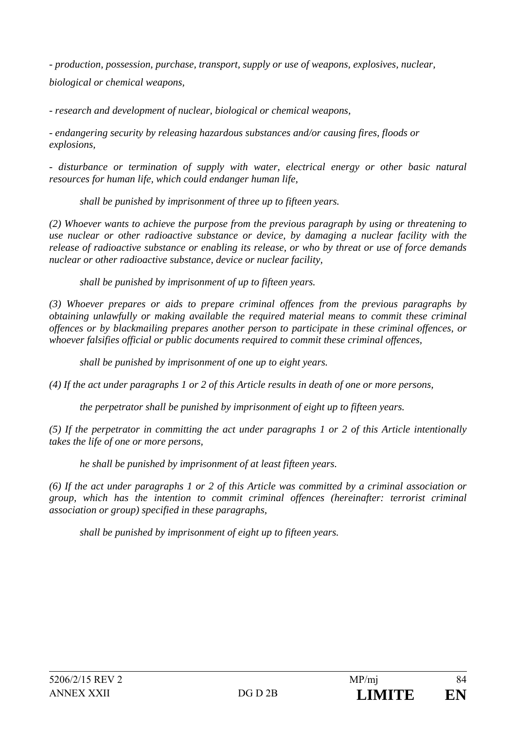*- production, possession, purchase, transport, supply or use of weapons, explosives, nuclear, biological or chemical weapons,* 

*- research and development of nuclear, biological or chemical weapons,* 

*- endangering security by releasing hazardous substances and/or causing fires, floods or explosions,* 

*- disturbance or termination of supply with water, electrical energy or other basic natural resources for human life, which could endanger human life,* 

*shall be punished by imprisonment of three up to fifteen years.* 

*(2) Whoever wants to achieve the purpose from the previous paragraph by using or threatening to use nuclear or other radioactive substance or device, by damaging a nuclear facility with the release of radioactive substance or enabling its release, or who by threat or use of force demands nuclear or other radioactive substance, device or nuclear facility,* 

*shall be punished by imprisonment of up to fifteen years.* 

*(3) Whoever prepares or aids to prepare criminal offences from the previous paragraphs by obtaining unlawfully or making available the required material means to commit these criminal offences or by blackmailing prepares another person to participate in these criminal offences, or whoever falsifies official or public documents required to commit these criminal offences,* 

*shall be punished by imprisonment of one up to eight years.* 

*(4) If the act under paragraphs 1 or 2 of this Article results in death of one or more persons,* 

*the perpetrator shall be punished by imprisonment of eight up to fifteen years.* 

*(5) If the perpetrator in committing the act under paragraphs 1 or 2 of this Article intentionally takes the life of one or more persons,* 

*he shall be punished by imprisonment of at least fifteen years.* 

*(6) If the act under paragraphs 1 or 2 of this Article was committed by a criminal association or group, which has the intention to commit criminal offences (hereinafter: terrorist criminal association or group) specified in these paragraphs,* 

*shall be punished by imprisonment of eight up to fifteen years.*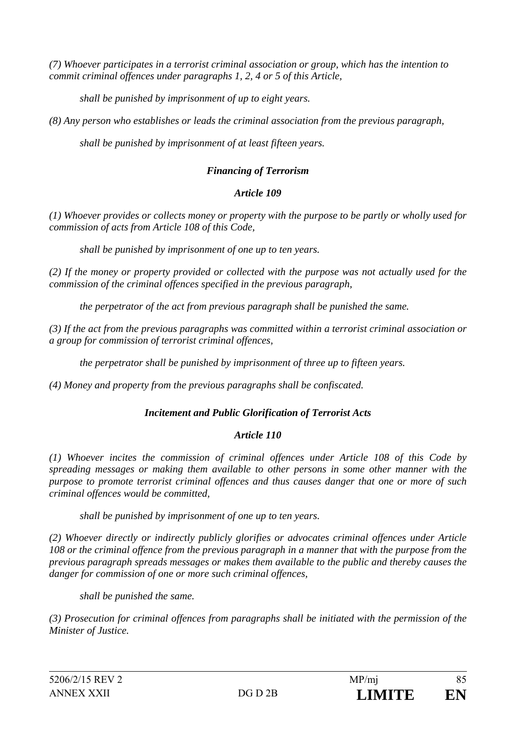*(7) Whoever participates in a terrorist criminal association or group, which has the intention to commit criminal offences under paragraphs 1, 2, 4 or 5 of this Article,* 

*shall be punished by imprisonment of up to eight years.* 

*(8) Any person who establishes or leads the criminal association from the previous paragraph,* 

*shall be punished by imprisonment of at least fifteen years.* 

# *Financing of Terrorism*

# *Article 109*

*(1) Whoever provides or collects money or property with the purpose to be partly or wholly used for commission of acts from Article 108 of this Code,* 

*shall be punished by imprisonment of one up to ten years.* 

*(2) If the money or property provided or collected with the purpose was not actually used for the commission of the criminal offences specified in the previous paragraph,* 

*the perpetrator of the act from previous paragraph shall be punished the same.* 

*(3) If the act from the previous paragraphs was committed within a terrorist criminal association or a group for commission of terrorist criminal offences,* 

*the perpetrator shall be punished by imprisonment of three up to fifteen years.* 

*(4) Money and property from the previous paragraphs shall be confiscated.* 

# *Incitement and Public Glorification of Terrorist Acts*

# *Article 110*

*(1) Whoever incites the commission of criminal offences under Article 108 of this Code by spreading messages or making them available to other persons in some other manner with the purpose to promote terrorist criminal offences and thus causes danger that one or more of such criminal offences would be committed,* 

*shall be punished by imprisonment of one up to ten years.* 

*(2) Whoever directly or indirectly publicly glorifies or advocates criminal offences under Article 108 or the criminal offence from the previous paragraph in a manner that with the purpose from the previous paragraph spreads messages or makes them available to the public and thereby causes the danger for commission of one or more such criminal offences,* 

*shall be punished the same.* 

*(3) Prosecution for criminal offences from paragraphs shall be initiated with the permission of the Minister of Justice.*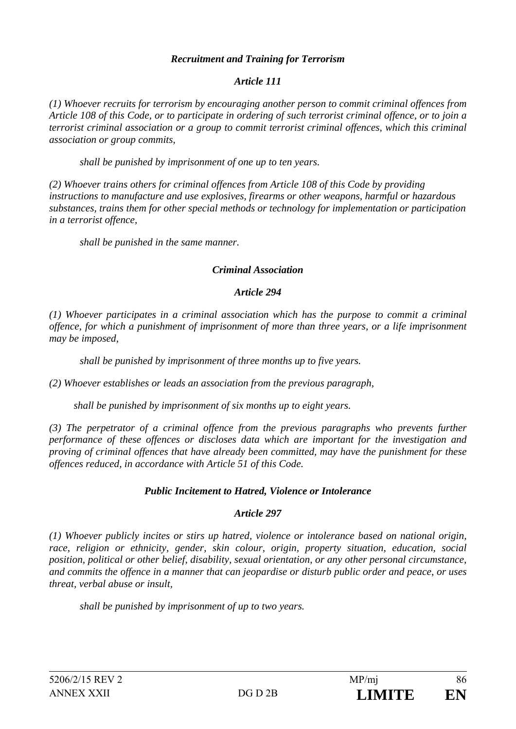## *Recruitment and Training for Terrorism*

## *Article 111*

*(1) Whoever recruits for terrorism by encouraging another person to commit criminal offences from Article 108 of this Code, or to participate in ordering of such terrorist criminal offence, or to join a terrorist criminal association or a group to commit terrorist criminal offences, which this criminal association or group commits,* 

*shall be punished by imprisonment of one up to ten years.* 

*(2) Whoever trains others for criminal offences from Article 108 of this Code by providing instructions to manufacture and use explosives, firearms or other weapons, harmful or hazardous substances, trains them for other special methods or technology for implementation or participation in a terrorist offence,* 

*shall be punished in the same manner.* 

### *Criminal Association*

#### *Article 294*

*(1) Whoever participates in a criminal association which has the purpose to commit a criminal offence, for which a punishment of imprisonment of more than three years, or a life imprisonment may be imposed,* 

*shall be punished by imprisonment of three months up to five years.* 

*(2) Whoever establishes or leads an association from the previous paragraph,* 

 *shall be punished by imprisonment of six months up to eight years.* 

*(3) The perpetrator of a criminal offence from the previous paragraphs who prevents further performance of these offences or discloses data which are important for the investigation and proving of criminal offences that have already been committed, may have the punishment for these offences reduced, in accordance with Article 51 of this Code.* 

### *Public Incitement to Hatred, Violence or Intolerance*

### *Article 297*

*(1) Whoever publicly incites or stirs up hatred, violence or intolerance based on national origin, race, religion or ethnicity, gender, skin colour, origin, property situation, education, social position, political or other belief, disability, sexual orientation, or any other personal circumstance, and commits the offence in a manner that can jeopardise or disturb public order and peace, or uses threat, verbal abuse or insult,* 

*shall be punished by imprisonment of up to two years.*